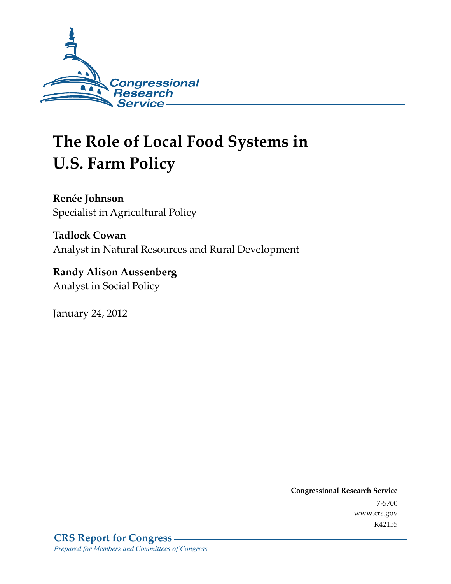

# **The Role of Local Food Systems in U.S. Farm Policy**

**Renée Johnson**  Specialist in Agricultural Policy

**Tadlock Cowan**  Analyst in Natural Resources and Rural Development

**Randy Alison Aussenberg**  Analyst in Social Policy

January 24, 2012

**Congressional Research Service**  7-5700 www.crs.gov R42155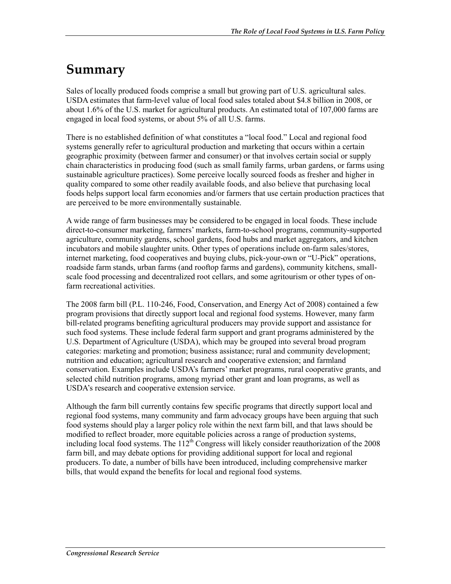## **Summary**

Sales of locally produced foods comprise a small but growing part of U.S. agricultural sales. USDA estimates that farm-level value of local food sales totaled about \$4.8 billion in 2008, or about 1.6% of the U.S. market for agricultural products. An estimated total of 107,000 farms are engaged in local food systems, or about 5% of all U.S. farms.

There is no established definition of what constitutes a "local food." Local and regional food systems generally refer to agricultural production and marketing that occurs within a certain geographic proximity (between farmer and consumer) or that involves certain social or supply chain characteristics in producing food (such as small family farms, urban gardens, or farms using sustainable agriculture practices). Some perceive locally sourced foods as fresher and higher in quality compared to some other readily available foods, and also believe that purchasing local foods helps support local farm economies and/or farmers that use certain production practices that are perceived to be more environmentally sustainable.

A wide range of farm businesses may be considered to be engaged in local foods. These include direct-to-consumer marketing, farmers' markets, farm-to-school programs, community-supported agriculture, community gardens, school gardens, food hubs and market aggregators, and kitchen incubators and mobile slaughter units. Other types of operations include on-farm sales/stores, internet marketing, food cooperatives and buying clubs, pick-your-own or "U-Pick" operations, roadside farm stands, urban farms (and rooftop farms and gardens), community kitchens, smallscale food processing and decentralized root cellars, and some agritourism or other types of onfarm recreational activities.

The 2008 farm bill (P.L. 110-246, Food, Conservation, and Energy Act of 2008) contained a few program provisions that directly support local and regional food systems. However, many farm bill-related programs benefiting agricultural producers may provide support and assistance for such food systems. These include federal farm support and grant programs administered by the U.S. Department of Agriculture (USDA), which may be grouped into several broad program categories: marketing and promotion; business assistance; rural and community development; nutrition and education; agricultural research and cooperative extension; and farmland conservation. Examples include USDA's farmers' market programs, rural cooperative grants, and selected child nutrition programs, among myriad other grant and loan programs, as well as USDA's research and cooperative extension service.

Although the farm bill currently contains few specific programs that directly support local and regional food systems, many community and farm advocacy groups have been arguing that such food systems should play a larger policy role within the next farm bill, and that laws should be modified to reflect broader, more equitable policies across a range of production systems, including local food systems. The  $112<sup>th</sup>$  Congress will likely consider reauthorization of the 2008 farm bill, and may debate options for providing additional support for local and regional producers. To date, a number of bills have been introduced, including comprehensive marker bills, that would expand the benefits for local and regional food systems.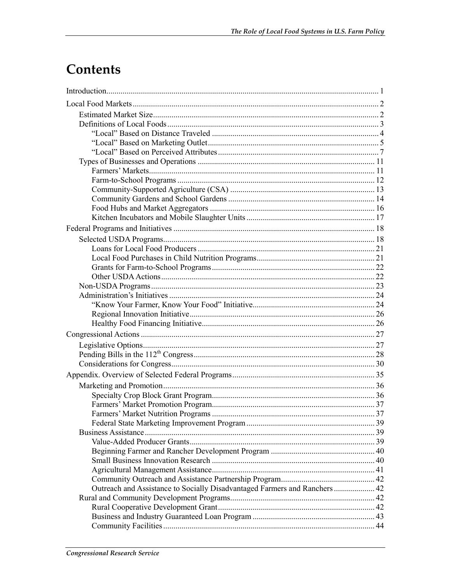## Contents

| Outreach and Assistance to Socially Disadvantaged Farmers and Ranchers 42 |  |
|---------------------------------------------------------------------------|--|
|                                                                           |  |
|                                                                           |  |
|                                                                           |  |
|                                                                           |  |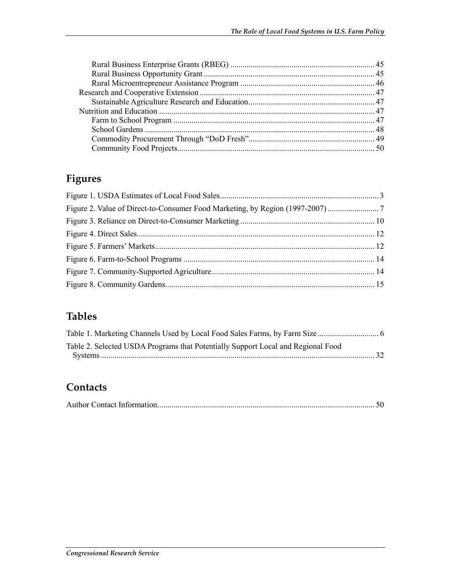## **Figures**

| Figure 2. Value of Direct-to-Consumer Food Marketing, by Region (1997-2007) |  |
|-----------------------------------------------------------------------------|--|
|                                                                             |  |
|                                                                             |  |
|                                                                             |  |
|                                                                             |  |
|                                                                             |  |
|                                                                             |  |

### **Tables**

| Table 2. Selected USDA Programs that Potentially Support Local and Regional Food |  |
|----------------------------------------------------------------------------------|--|
|                                                                                  |  |

### **Contacts**

|--|--|--|--|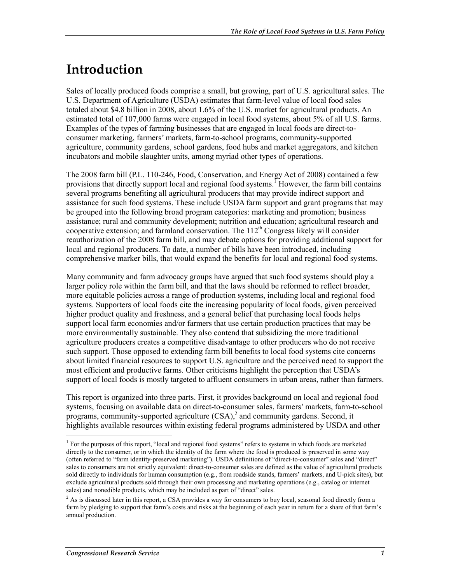## **Introduction**

Sales of locally produced foods comprise a small, but growing, part of U.S. agricultural sales. The U.S. Department of Agriculture (USDA) estimates that farm-level value of local food sales totaled about \$4.8 billion in 2008, about 1.6% of the U.S. market for agricultural products. An estimated total of 107,000 farms were engaged in local food systems, about 5% of all U.S. farms. Examples of the types of farming businesses that are engaged in local foods are direct-toconsumer marketing, farmers' markets, farm-to-school programs, community-supported agriculture, community gardens, school gardens, food hubs and market aggregators, and kitchen incubators and mobile slaughter units, among myriad other types of operations.

The 2008 farm bill (P.L. 110-246, Food, Conservation, and Energy Act of 2008) contained a few provisions that directly support local and regional food systems. However, the farm bill contains several programs benefiting all agricultural producers that may provide indirect support and assistance for such food systems. These include USDA farm support and grant programs that may be grouped into the following broad program categories: marketing and promotion; business assistance; rural and community development; nutrition and education; agricultural research and cooperative extension; and farmland conservation. The  $112<sup>th</sup>$  Congress likely will consider reauthorization of the 2008 farm bill, and may debate options for providing additional support for local and regional producers. To date, a number of bills have been introduced, including comprehensive marker bills, that would expand the benefits for local and regional food systems.

Many community and farm advocacy groups have argued that such food systems should play a larger policy role within the farm bill, and that the laws should be reformed to reflect broader, more equitable policies across a range of production systems, including local and regional food systems. Supporters of local foods cite the increasing popularity of local foods, given perceived higher product quality and freshness, and a general belief that purchasing local foods helps support local farm economies and/or farmers that use certain production practices that may be more environmentally sustainable. They also contend that subsidizing the more traditional agriculture producers creates a competitive disadvantage to other producers who do not receive such support. Those opposed to extending farm bill benefits to local food systems cite concerns about limited financial resources to support U.S. agriculture and the perceived need to support the most efficient and productive farms. Other criticisms highlight the perception that USDA's support of local foods is mostly targeted to affluent consumers in urban areas, rather than farmers.

This report is organized into three parts. First, it provides background on local and regional food systems, focusing on available data on direct-to-consumer sales, farmers' markets, farm-to-school programs, community-supported agriculture  $(CSA)$ , and community gardens. Second, it highlights available resources within existing federal programs administered by USDA and other

<sup>&</sup>lt;sup>1</sup> For the purposes of this report, "local and regional food systems" refers to systems in which foods are marketed directly to the consumer, or in which the identity of the farm where the food is produced is preserved in some way (often referred to "farm identity-preserved marketing"). USDA definitions of "direct-to-consumer" sales and "direct" sales to consumers are not strictly equivalent: direct-to-consumer sales are defined as the value of agricultural products sold directly to individuals for human consumption (e.g., from roadside stands, farmers' markets, and U-pick sites), but exclude agricultural products sold through their own processing and marketing operations (e.g., catalog or internet sales) and nonedible products, which may be included as part of "direct" sales.

 $2$  As is discussed later in this report, a CSA provides a way for consumers to buy local, seasonal food directly from a farm by pledging to support that farm's costs and risks at the beginning of each year in return for a share of that farm's annual production.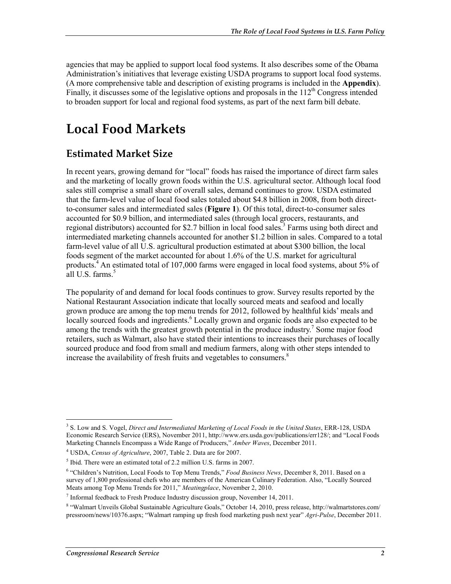agencies that may be applied to support local food systems. It also describes some of the Obama Administration's initiatives that leverage existing USDA programs to support local food systems. (A more comprehensive table and description of existing programs is included in the **Appendix**). Finally, it discusses some of the legislative options and proposals in the  $112<sup>th</sup>$  Congress intended to broaden support for local and regional food systems, as part of the next farm bill debate.

## **Local Food Markets**

### **Estimated Market Size**

In recent years, growing demand for "local" foods has raised the importance of direct farm sales and the marketing of locally grown foods within the U.S. agricultural sector. Although local food sales still comprise a small share of overall sales, demand continues to grow. USDA estimated that the farm-level value of local food sales totaled about \$4.8 billion in 2008, from both directto-consumer sales and intermediated sales (**Figure 1**). Of this total, direct-to-consumer sales accounted for \$0.9 billion, and intermediated sales (through local grocers, restaurants, and regional distributors) accounted for \$2.7 billion in local food sales.<sup>3</sup> Farms using both direct and intermediated marketing channels accounted for another \$1.2 billion in sales. Compared to a total farm-level value of all U.S. agricultural production estimated at about \$300 billion, the local foods segment of the market accounted for about 1.6% of the U.S. market for agricultural products.<sup>4</sup> An estimated total of 107,000 farms were engaged in local food systems, about 5% of all U.S. farms.<sup>5</sup>

The popularity of and demand for local foods continues to grow. Survey results reported by the National Restaurant Association indicate that locally sourced meats and seafood and locally grown produce are among the top menu trends for 2012, followed by healthful kids' meals and locally sourced foods and ingredients.<sup>6</sup> Locally grown and organic foods are also expected to be among the trends with the greatest growth potential in the produce industry.<sup>7</sup> Some major food retailers, such as Walmart, also have stated their intentions to increases their purchases of locally sourced produce and food from small and medium farmers, along with other steps intended to increase the availability of fresh fruits and vegetables to consumers.<sup>8</sup>

<u>.</u>

<sup>3</sup> S. Low and S. Vogel, *Direct and Intermediated Marketing of Local Foods in the United States*, ERR-128, USDA Economic Research Service (ERS), November 2011, http://www.ers.usda.gov/publications/err128/; and "Local Foods Marketing Channels Encompass a Wide Range of Producers," *Amber Waves*, December 2011.

<sup>4</sup> USDA, *Census of Agriculture*, 2007, Table 2. Data are for 2007.

<sup>&</sup>lt;sup>5</sup> Ibid. There were an estimated total of 2.2 million U.S. farms in 2007.

<sup>&</sup>lt;sup>6</sup> "Children's Nutrition, Local Foods to Top Menu Trends," *Food Business News*, December 8, 2011. Based on a survey of 1,800 professional chefs who are members of the American Culinary Federation. Also, "Locally Sourced Meats among Top Menu Trends for 2011," *Meatingplace*, November 2, 2010.

<sup>&</sup>lt;sup>7</sup> Informal feedback to Fresh Produce Industry discussion group, November 14, 2011.

<sup>&</sup>lt;sup>8</sup> "Walmart Unveils Global Sustainable Agriculture Goals," October 14, 2010, press release, http://walmartstores.com/ pressroom/news/10376.aspx; "Walmart ramping up fresh food marketing push next year" *Agri-Pulse*, December 2011.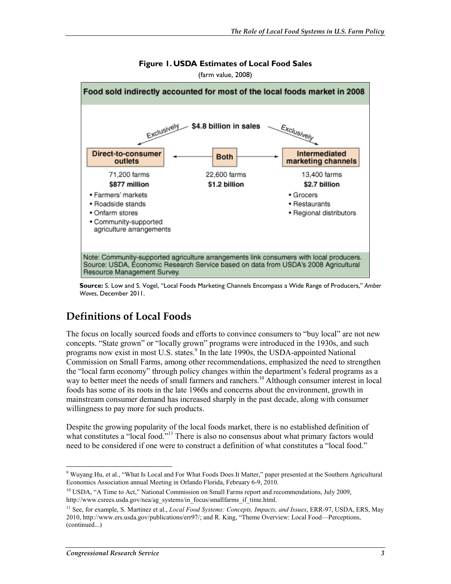

#### **Figure 1. USDA Estimates of Local Food Sales**

(farm value, 2008)

**Source:** S. Low and S. Vogel, "Local Foods Marketing Channels Encompass a Wide Range of Producers," *Amber Waves*, December 2011.

### **Definitions of Local Foods**

The focus on locally sourced foods and efforts to convince consumers to "buy local" are not new concepts. "State grown" or "locally grown" programs were introduced in the 1930s, and such programs now exist in most U.S. states.<sup>9</sup> In the late 1990s, the USDA-appointed National Commission on Small Farms, among other recommendations, emphasized the need to strengthen the "local farm economy" through policy changes within the department's federal programs as a way to better meet the needs of small farmers and ranchers.<sup>10</sup> Although consumer interest in local foods has some of its roots in the late 1960s and concerns about the environment, growth in mainstream consumer demand has increased sharply in the past decade, along with consumer willingness to pay more for such products.

Despite the growing popularity of the local foods market, there is no established definition of what constitutes a "local food."<sup>11</sup> There is also no consensus about what primary factors would need to be considered if one were to construct a definition of what constitutes a "local food."

<sup>1</sup> 9 Wuyang Hu, et al., "What Is Local and For What Foods Does It Matter," paper presented at the Southern Agricultural Economics Association annual Meeting in Orlando Florida, February 6-9, 2010.

<sup>&</sup>lt;sup>10</sup> USDA, "A Time to Act," National Commission on Small Farms report and recommendations, July 2009, http://www.csrees.usda.gov/nea/ag\_systems/in\_focus/smallfarms\_if\_time.html.

<sup>11</sup> See, for example, S. Martinez et al., *Local Food Systems: Concepts, Impacts, and Issues*, ERR-97, USDA, ERS, May 2010, http://www.ers.usda.gov/publications/err97/; and R. King, "Theme Overview: Local Food—Perceptions, (continued...)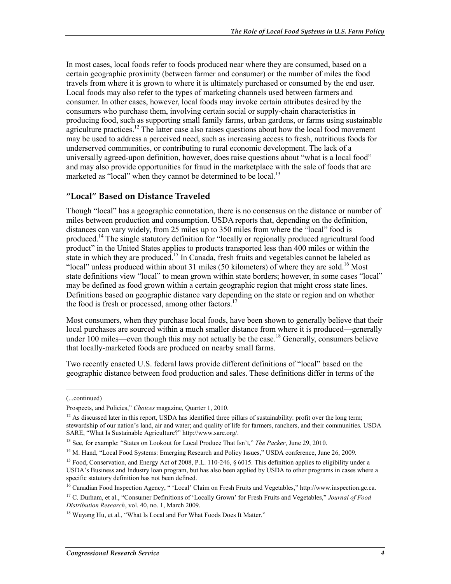In most cases, local foods refer to foods produced near where they are consumed, based on a certain geographic proximity (between farmer and consumer) or the number of miles the food travels from where it is grown to where it is ultimately purchased or consumed by the end user. Local foods may also refer to the types of marketing channels used between farmers and consumer. In other cases, however, local foods may invoke certain attributes desired by the consumers who purchase them, involving certain social or supply-chain characteristics in producing food, such as supporting small family farms, urban gardens, or farms using sustainable agriculture practices.<sup>12</sup> The latter case also raises questions about how the local food movement may be used to address a perceived need, such as increasing access to fresh, nutritious foods for underserved communities, or contributing to rural economic development. The lack of a universally agreed-upon definition, however, does raise questions about "what is a local food" and may also provide opportunities for fraud in the marketplace with the sale of foods that are marketed as "local" when they cannot be determined to be local.<sup>13</sup>

### **"Local" Based on Distance Traveled**

Though "local" has a geographic connotation, there is no consensus on the distance or number of miles between production and consumption. USDA reports that, depending on the definition, distances can vary widely, from 25 miles up to 350 miles from where the "local" food is produced.<sup>14</sup> The single statutory definition for "locally or regionally produced agricultural food product" in the United States applies to products transported less than 400 miles or within the state in which they are produced.<sup>15</sup> In Canada, fresh fruits and vegetables cannot be labeled as "local" unless produced within about 31 miles (50 kilometers) of where they are sold.<sup>16</sup> Most state definitions view "local" to mean grown within state borders; however, in some cases "local" may be defined as food grown within a certain geographic region that might cross state lines. Definitions based on geographic distance vary depending on the state or region and on whether the food is fresh or processed, among other factors.<sup>17</sup>

Most consumers, when they purchase local foods, have been shown to generally believe that their local purchases are sourced within a much smaller distance from where it is produced—generally under 100 miles—even though this may not actually be the case.<sup>18</sup> Generally, consumers believe that locally-marketed foods are produced on nearby small farms.

Two recently enacted U.S. federal laws provide different definitions of "local" based on the geographic distance between food production and sales. These definitions differ in terms of the

 $\overline{\phantom{a}}$ 

<sup>(...</sup>continued)

Prospects, and Policies," *Choices* magazine, Quarter 1, 2010.

 $12$  As discussed later in this report, USDA has identified three pillars of sustainability: profit over the long term; stewardship of our nation's land, air and water; and quality of life for farmers, ranchers, and their communities. USDA SARE, "What Is Sustainable Agriculture?" http://www.sare.org/.

<sup>13</sup> See, for example: "States on Lookout for Local Produce That Isn't," *The Packer*, June 29, 2010.

<sup>&</sup>lt;sup>14</sup> M. Hand, "Local Food Systems: Emerging Research and Policy Issues," USDA conference, June 26, 2009.

<sup>&</sup>lt;sup>15</sup> Food, Conservation, and Energy Act of 2008, P.L. 110-246, § 6015. This definition applies to eligibility under a USDA's Business and Industry loan program, but has also been applied by USDA to other programs in cases where a specific statutory definition has not been defined.

<sup>&</sup>lt;sup>16</sup> Canadian Food Inspection Agency, " 'Local' Claim on Fresh Fruits and Vegetables," http://www.inspection.gc.ca.

<sup>17</sup> C. Durham, et al., "Consumer Definitions of 'Locally Grown' for Fresh Fruits and Vegetables," *Journal of Food Distribution Research*, vol. 40, no. 1, March 2009.

<sup>&</sup>lt;sup>18</sup> Wuyang Hu, et al., "What Is Local and For What Foods Does It Matter."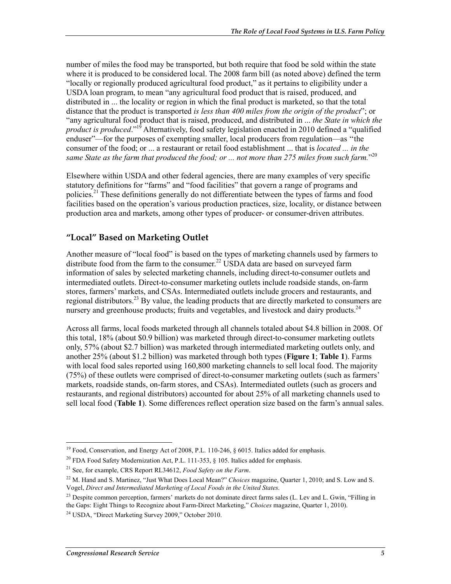number of miles the food may be transported, but both require that food be sold within the state where it is produced to be considered local. The 2008 farm bill (as noted above) defined the term "locally or regionally produced agricultural food product," as it pertains to eligibility under a USDA loan program, to mean "any agricultural food product that is raised, produced, and distributed in ... the locality or region in which the final product is marketed, so that the total distance that the product is transported *is less than 400 miles from the origin of the product*"; or "any agricultural food product that is raised, produced, and distributed in ... *the State in which the product is produced*."19 Alternatively, food safety legislation enacted in 2010 defined a "qualified enduser"—for the purposes of exempting smaller, local producers from regulation—as "the consumer of the food; or ... a restaurant or retail food establishment ... that is *located ... in the same State as the farm that produced the food; or ... not more than 275 miles from such farm.*" 20

Elsewhere within USDA and other federal agencies, there are many examples of very specific statutory definitions for "farms" and "food facilities" that govern a range of programs and policies.<sup>21</sup> These definitions generally do not differentiate between the types of farms and food facilities based on the operation's various production practices, size, locality, or distance between production area and markets, among other types of producer- or consumer-driven attributes.

### **"Local" Based on Marketing Outlet**

Another measure of "local food" is based on the types of marketing channels used by farmers to distribute food from the farm to the consumer.<sup>22</sup> USDA data are based on surveyed farm information of sales by selected marketing channels, including direct-to-consumer outlets and intermediated outlets. Direct-to-consumer marketing outlets include roadside stands, on-farm stores, farmers' markets, and CSAs. Intermediated outlets include grocers and restaurants, and regional distributors.<sup>23</sup> By value, the leading products that are directly marketed to consumers are nursery and greenhouse products; fruits and vegetables, and livestock and dairy products.<sup>24</sup>

Across all farms, local foods marketed through all channels totaled about \$4.8 billion in 2008. Of this total, 18% (about \$0.9 billion) was marketed through direct-to-consumer marketing outlets only, 57% (about \$2.7 billion) was marketed through intermediated marketing outlets only, and another 25% (about \$1.2 billion) was marketed through both types (**Figure 1**; **Table 1**). Farms with local food sales reported using 160,800 marketing channels to sell local food. The majority (75%) of these outlets were comprised of direct-to-consumer marketing outlets (such as farmers' markets, roadside stands, on-farm stores, and CSAs). Intermediated outlets (such as grocers and restaurants, and regional distributors) accounted for about 25% of all marketing channels used to sell local food (**Table 1**). Some differences reflect operation size based on the farm's annual sales.

<sup>&</sup>lt;sup>19</sup> Food, Conservation, and Energy Act of 2008, P.L. 110-246, § 6015. Italics added for emphasis.

<sup>&</sup>lt;sup>20</sup> FDA Food Safety Modernization Act, P.L. 111-353,  $\frac{1}{2}$  105. Italics added for emphasis.

<sup>21</sup> See, for example, CRS Report RL34612, *Food Safety on the Farm*.

<sup>22</sup> M. Hand and S. Martinez, "Just What Does Local Mean?" *Choices* magazine, Quarter 1, 2010; and S. Low and S. Vogel, *Direct and Intermediated Marketing of Local Foods in the United States*.

<sup>&</sup>lt;sup>23</sup> Despite common perception, farmers' markets do not dominate direct farms sales (L. Lev and L. Gwin, "Filling in the Gaps: Eight Things to Recognize about Farm-Direct Marketing," *Choices* magazine, Quarter 1, 2010).

<sup>24</sup> USDA, "Direct Marketing Survey 2009," October 2010.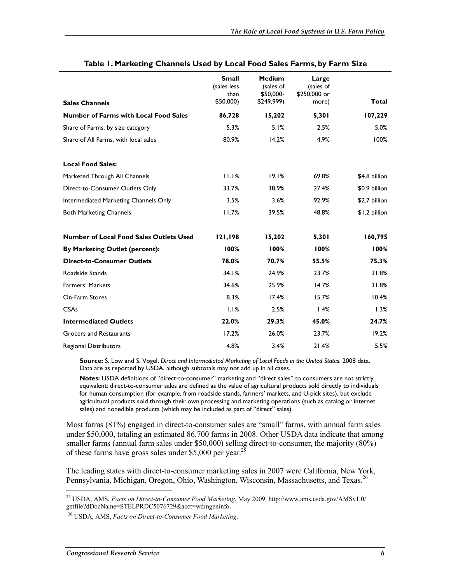|                                                | <b>Small</b><br>(sales less<br>than | <b>Medium</b><br>(sales of<br>\$50,000- | Large<br>(sales of<br>\$250,000 or |               |
|------------------------------------------------|-------------------------------------|-----------------------------------------|------------------------------------|---------------|
| <b>Sales Channels</b>                          | \$50,000)                           | \$249,999)                              | more)                              | Total         |
| <b>Number of Farms with Local Food Sales</b>   | 86,728                              | 15,202                                  | 5,301                              | 107,229       |
| Share of Farms, by size category               | 5.3%                                | 5.1%                                    | 2.5%                               | 5.0%          |
| Share of All Farms, with local sales           | 80.9%                               | 14.2%                                   | 4.9%                               | 100%          |
| <b>Local Food Sales:</b>                       |                                     |                                         |                                    |               |
| Marketed Through All Channels                  | 11.1%                               | 19.1%                                   | 69.8%                              | \$4.8 billion |
| Direct-to-Consumer Outlets Only                | 33.7%                               | 38.9%                                   | 27.4%                              | \$0.9 billion |
| Intermediated Marketing Channels Only          | 3.5%                                | 3.6%                                    | 92.9%                              | \$2.7 billion |
| <b>Both Marketing Channels</b>                 | 11.7%                               | 39.5%                                   | 48.8%                              | \$1.2 billion |
| <b>Number of Local Food Sales Outlets Used</b> | 121,198                             | 15,202                                  | 5,301                              | 160,795       |
| By Marketing Outlet (percent):                 | 100%                                | 100%                                    | 100%                               | 100%          |
| <b>Direct-to-Consumer Outlets</b>              | 78.0%                               | 70.7%                                   | 55.5%                              | 75.3%         |
| Roadside Stands                                | 34.1%                               | 24.9%                                   | 23.7%                              | 31.8%         |
| <b>Farmers' Markets</b>                        | 34.6%                               | 25.9%                                   | 14.7%                              | 31.8%         |
| On-Farm Stores                                 | 8.3%                                | 17.4%                                   | 15.7%                              | 10.4%         |
| <b>CSAs</b>                                    | 1.1%                                | 2.5%                                    | 1.4%                               | 1.3%          |
| <b>Intermediated Outlets</b>                   | 22.0%                               | 29.3%                                   | 45.0%                              | 24.7%         |
| <b>Grocers and Restaurants</b>                 | 17.2%                               | 26.0%                                   | 23.7%                              | 19.2%         |
| <b>Regional Distributors</b>                   | 4.8%                                | 3.4%                                    | 21.4%                              | 5.5%          |

#### **Table 1. Marketing Channels Used by Local Food Sales Farms, by Farm Size**

**Source:** S. Low and S. Vogel, *Direct and Intermediated Marketing of Local Foods in the United States*. 2008 data. Data are as reported by USDA, although subtotals may not add up in all cases.

**Notes:** USDA definitions of "direct-to-consumer" marketing and "direct sales" to consumers are not strictly equivalent: direct-to-consumer sales are defined as the value of agricultural products sold directly to individuals for human consumption (for example, from roadside stands, farmers' markets, and U-pick sites), but exclude agricultural products sold through their own processing and marketing operations (such as catalog or internet sales) and nonedible products (which may be included as part of "direct" sales).

Most farms (81%) engaged in direct-to-consumer sales are "small" farms, with annual farm sales under \$50,000, totaling an estimated 86,700 farms in 2008. Other USDA data indicate that among smaller farms (annual farm sales under \$50,000) selling direct-to-consumer, the majority (80%) of these farms have gross sales under \$5,000 per year.<sup>25</sup>

The leading states with direct-to-consumer marketing sales in 2007 were California, New York, Pennsylvania, Michigan, Oregon, Ohio, Washington, Wisconsin, Massachusetts, and Texas.<sup>26</sup>

<sup>25</sup> USDA, AMS, *Facts on Direct-to-Consumer Food Marketing*, May 2009, http://www.ams.usda.gov/AMSv1.0/ getfile?dDocName=STELPRDC5076729&acct=wdmgeninfo.

<sup>26</sup> USDA, AMS, *Facts on Direct-to-Consumer Food Marketing*.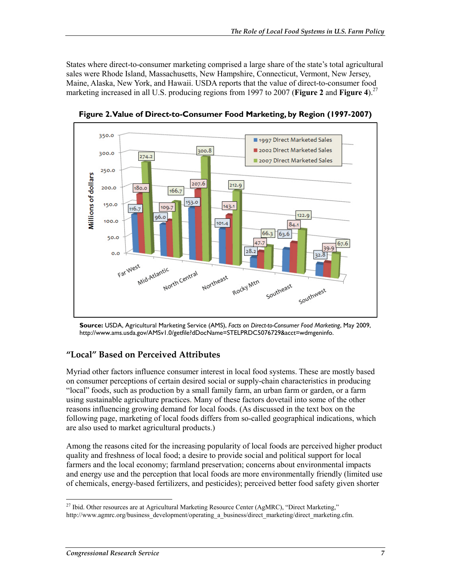States where direct-to-consumer marketing comprised a large share of the state's total agricultural sales were Rhode Island, Massachusetts, New Hampshire, Connecticut, Vermont, New Jersey, Maine, Alaska, New York, and Hawaii. USDA reports that the value of direct-to-consumer food marketing increased in all U.S. producing regions from 1997 to 2007 (**Figure 2** and **Figure 4**).<sup>27</sup>



**Figure 2. Value of Direct-to-Consumer Food Marketing, by Region (1997-2007)** 

**Source:** USDA, Agricultural Marketing Service (AMS), *Facts on Direct-to-Consumer Food Marketing*, May 2009, http://www.ams.usda.gov/AMSv1.0/getfile?dDocName=STELPRDC5076729&acct=wdmgeninfo.

### **"Local" Based on Perceived Attributes**

Myriad other factors influence consumer interest in local food systems. These are mostly based on consumer perceptions of certain desired social or supply-chain characteristics in producing "local" foods, such as production by a small family farm, an urban farm or garden, or a farm using sustainable agriculture practices. Many of these factors dovetail into some of the other reasons influencing growing demand for local foods. (As discussed in the text box on the following page, marketing of local foods differs from so-called geographical indications, which are also used to market agricultural products.)

Among the reasons cited for the increasing popularity of local foods are perceived higher product quality and freshness of local food; a desire to provide social and political support for local farmers and the local economy; farmland preservation; concerns about environmental impacts and energy use and the perception that local foods are more environmentally friendly (limited use of chemicals, energy-based fertilizers, and pesticides); perceived better food safety given shorter

<sup>1</sup>  $^{27}$  Ibid. Other resources are at Agricultural Marketing Resource Center (AgMRC), "Direct Marketing," http://www.agmrc.org/business\_development/operating\_a\_business/direct\_marketing/direct\_marketing.cfm.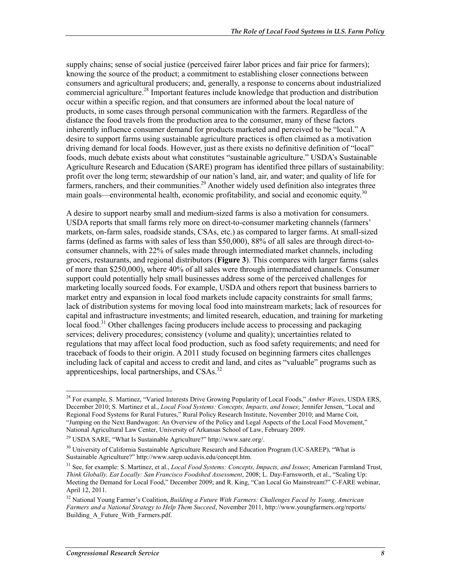supply chains; sense of social justice (perceived fairer labor prices and fair price for farmers); knowing the source of the product; a commitment to establishing closer connections between consumers and agricultural producers; and, generally, a response to concerns about industrialized commercial agriculture.28 Important features include knowledge that production and distribution occur within a specific region, and that consumers are informed about the local nature of products, in some cases through personal communication with the farmers. Regardless of the distance the food travels from the production area to the consumer, many of these factors inherently influence consumer demand for products marketed and perceived to be "local." A desire to support farms using sustainable agriculture practices is often claimed as a motivation driving demand for local foods. However, just as there exists no definitive definition of "local" foods, much debate exists about what constitutes "sustainable agriculture." USDA's Sustainable Agriculture Research and Education (SARE) program has identified three pillars of sustainability: profit over the long term; stewardship of our nation's land, air, and water; and quality of life for farmers, ranchers, and their communities.<sup>29</sup> Another widely used definition also integrates three main goals—environmental health, economic profitability, and social and economic equity.<sup>30</sup>

A desire to support nearby small and medium-sized farms is also a motivation for consumers. USDA reports that small farms rely more on direct-to-consumer marketing channels (farmers' markets, on-farm sales, roadside stands, CSAs, etc.) as compared to larger farms. At small-sized farms (defined as farms with sales of less than \$50,000), 88% of all sales are through direct-toconsumer channels, with 22% of sales made through intermediated market channels, including grocers, restaurants, and regional distributors (**Figure 3**). This compares with larger farms (sales of more than \$250,000), where 40% of all sales were through intermediated channels. Consumer support could potentially help small businesses address some of the perceived challenges for marketing locally sourced foods. For example, USDA and others report that business barriers to market entry and expansion in local food markets include capacity constraints for small farms; lack of distribution systems for moving local food into mainstream markets; lack of resources for capital and infrastructure investments; and limited research, education, and training for marketing local food.<sup>31</sup> Other challenges facing producers include access to processing and packaging services; delivery procedures; consistency (volume and quality); uncertainties related to regulations that may affect local food production, such as food safety requirements; and need for traceback of foods to their origin. A 2011 study focused on beginning farmers cites challenges including lack of capital and access to credit and land, and cites as "valuable" programs such as apprenticeships, local partnerships, and CSAs.<sup>32</sup>

<sup>28</sup> For example, S. Martinez, "Varied Interests Drive Growing Popularity of Local Foods," *Amber Waves*, USDA ERS, December 2010; S. Martinez et al., *Local Food Systems: Concepts, Impacts, and Issues*; Jennifer Jensen, "Local and Regional Food Systems for Rural Futures," Rural Policy Research Institute, November 2010; and Marne Coit, "Jumping on the Next Bandwagon: An Overview of the Policy and Legal Aspects of the Local Food Movement," National Agricultural Law Center, University of Arkansas School of Law, February 2009.

<sup>29</sup> USDA SARE, "What Is Sustainable Agriculture?" http://www.sare.org/.

<sup>&</sup>lt;sup>30</sup> University of California Sustainable Agriculture Research and Education Program (UC-SAREP), "What is Sustainable Agriculture?" http://www.sarep.ucdavis.edu/concept.htm.

<sup>31</sup> See, for example: S. Martinez, et al., *Local Food Systems: Concepts, Impacts, and Issues*; American Farmland Trust, *Think Globally, Eat Locally: San Francisco Foodshed Assessment*, 2008; L. Day-Farnsworth, et al., "Scaling Up: Meeting the Demand for Local Food," December 2009; and R. King, "Can Local Go Mainstream?" C-FARE webinar, April 12, 2011.

<sup>32</sup> National Young Farmer's Coalition, *Building a Future With Farmers: Challenges Faced by Young, American Farmers and a National Strategy to Help Them Succeed*, November 2011, http://www.youngfarmers.org/reports/ Building A Future With Farmers.pdf.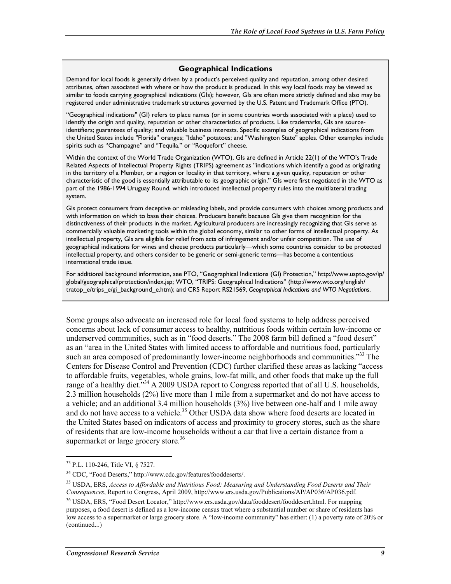#### **Geographical Indications**

Demand for local foods is generally driven by a product's perceived quality and reputation, among other desired attributes, often associated with where or how the product is produced. In this way local foods may be viewed as similar to foods carrying geographical indications (GIs); however, GIs are often more strictly defined and also may be registered under administrative trademark structures governed by the U.S. Patent and Trademark Office (PTO).

"Geographical indications" (GI) refers to place names (or in some countries words associated with a place) used to identify the origin and quality, reputation or other characteristics of products. Like trademarks, GIs are sourceidentifiers; guarantees of quality; and valuable business interests. Specific examples of geographical indications from the United States include "Florida" oranges; "Idaho" potatoes; and "Washington State" apples. Other examples include spirits such as "Champagne" and "Tequila," or "Roquefort" cheese.

Within the context of the World Trade Organization (WTO), GIs are defined in Article 22(1) of the WTO's Trade Related Aspects of Intellectual Property Rights (TRIPS) agreement as "indications which identify a good as originating in the territory of a Member, or a region or locality in that territory, where a given quality, reputation or other characteristic of the good is essentially attributable to its geographic origin." GIs were first negotiated in the WTO as part of the 1986-1994 Uruguay Round, which introduced intellectual property rules into the multilateral trading system.

GIs protect consumers from deceptive or misleading labels, and provide consumers with choices among products and with information on which to base their choices. Producers benefit because GIs give them recognition for the distinctiveness of their products in the market. Agricultural producers are increasingly recognizing that GIs serve as commercially valuable marketing tools within the global economy, similar to other forms of intellectual property. As intellectual property, GIs are eligible for relief from acts of infringement and/or unfair competition. The use of geographical indications for wines and cheese products particularly—which some countries consider to be protected intellectual property, and others consider to be generic or semi-generic terms—has become a contentious international trade issue.

For additional background information, see PTO, "Geographical Indications (GI) Protection," http://www.uspto.gov/ip/ global/geographical/protection/index.jsp; WTO, "TRIPS: Geographical Indications" (http://www.wto.org/english/ tratop\_e/trips\_e/gi\_background\_e.htm); and CRS Report RS21569, *Geographical Indications and WTO Negotiations*.

Some groups also advocate an increased role for local food systems to help address perceived concerns about lack of consumer access to healthy, nutritious foods within certain low-income or underserved communities, such as in "food deserts." The 2008 farm bill defined a "food desert" as an "area in the United States with limited access to affordable and nutritious food, particularly such an area composed of predominantly lower-income neighborhoods and communities."<sup>33</sup> The Centers for Disease Control and Prevention (CDC) further clarified these areas as lacking "access to affordable fruits, vegetables, whole grains, low-fat milk, and other foods that make up the full range of a healthy diet."<sup>34</sup> A 2009 USDA report to Congress reported that of all U.S. households, 2.3 million households (2%) live more than 1 mile from a supermarket and do not have access to a vehicle; and an additional 3.4 million households (3%) live between one-half and 1 mile away and do not have access to a vehicle.<sup>35</sup> Other USDA data show where food deserts are located in the United States based on indicators of access and proximity to grocery stores, such as the share of residents that are low-income households without a car that live a certain distance from a supermarket or large grocery store.<sup>36</sup>

<sup>&</sup>lt;sup>33</sup> P.L. 110-246, Title VI, § 7527.

<sup>34</sup> CDC, "Food Deserts," http://www.cdc.gov/features/fooddeserts/.

<sup>35</sup> USDA, ERS, *Access to Affordable and Nutritious Food: Measuring and Understanding Food Deserts and Their Consequences*, Report to Congress, April 2009, http://www.ers.usda.gov/Publications/AP/AP036/AP036.pdf.

<sup>36</sup> USDA, ERS, "Food Desert Locator," http://www.ers.usda.gov/data/fooddesert/fooddesert.html. For mapping purposes, a food desert is defined as a low-income census tract where a substantial number or share of residents has low access to a supermarket or large grocery store. A "low-income community" has either: (1) a poverty rate of 20% or (continued...)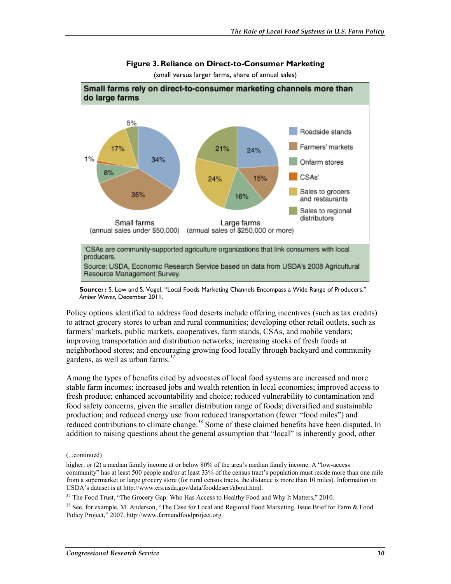

#### **Figure 3. Reliance on Direct-to-Consumer Marketing**

(small versus larger farms, share of annual sales)

Policy options identified to address food deserts include offering incentives (such as tax credits) to attract grocery stores to urban and rural communities; developing other retail outlets, such as farmers' markets, public markets, cooperatives, farm stands, CSAs, and mobile vendors; improving transportation and distribution networks; increasing stocks of fresh foods at neighborhood stores; and encouraging growing food locally through backyard and community gardens, as well as urban farms.<sup>37</sup>

Among the types of benefits cited by advocates of local food systems are increased and more stable farm incomes; increased jobs and wealth retention in local economies; improved access to fresh produce; enhanced accountability and choice; reduced vulnerability to contamination and food safety concerns, given the smaller distribution range of foods; diversified and sustainable production; and reduced energy use from reduced transportation (fewer "food miles") and reduced contributions to climate change.<sup>38</sup> Some of these claimed benefits have been disputed. In addition to raising questions about the general assumption that "local" is inherently good, other

**Source: :** S. Low and S. Vogel, "Local Foods Marketing Channels Encompass a Wide Range of Producers," *Amber Waves*, December 2011.

<sup>(...</sup>continued)

higher, or (2) a median family income at or below 80% of the area's median family income. A "low-access" community" has at least 500 people and/or at least 33% of the census tract's population must reside more than one mile from a supermarket or large grocery store (for rural census tracts, the distance is more than 10 miles). Information on USDA's dataset is at http://www.ers.usda.gov/data/fooddesert/about.html.

<sup>&</sup>lt;sup>37</sup> The Food Trust, "The Grocery Gap: Who Has Access to Healthy Food and Why It Matters," 2010.

<sup>&</sup>lt;sup>38</sup> See, for example, M. Anderson, "The Case for Local and Regional Food Marketing. Issue Brief for Farm & Food Policy Project," 2007, http://www.farmandfoodproject.org.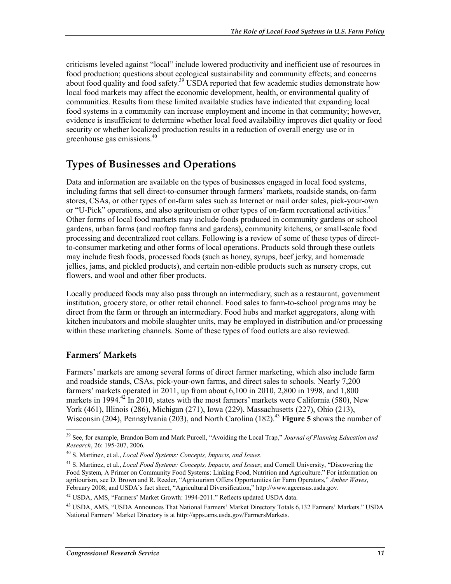criticisms leveled against "local" include lowered productivity and inefficient use of resources in food production; questions about ecological sustainability and community effects; and concerns about food quality and food safety.<sup>39</sup> USDA reported that few academic studies demonstrate how local food markets may affect the economic development, health, or environmental quality of communities. Results from these limited available studies have indicated that expanding local food systems in a community can increase employment and income in that community; however, evidence is insufficient to determine whether local food availability improves diet quality or food security or whether localized production results in a reduction of overall energy use or in greenhouse gas emissions.40

### **Types of Businesses and Operations**

Data and information are available on the types of businesses engaged in local food systems, including farms that sell direct-to-consumer through farmers' markets, roadside stands, on-farm stores, CSAs, or other types of on-farm sales such as Internet or mail order sales, pick-your-own or "U-Pick" operations, and also agritourism or other types of on-farm recreational activities.<sup>41</sup> Other forms of local food markets may include foods produced in community gardens or school gardens, urban farms (and rooftop farms and gardens), community kitchens, or small-scale food processing and decentralized root cellars. Following is a review of some of these types of directto-consumer marketing and other forms of local operations. Products sold through these outlets may include fresh foods, processed foods (such as honey, syrups, beef jerky, and homemade jellies, jams, and pickled products), and certain non-edible products such as nursery crops, cut flowers, and wool and other fiber products.

Locally produced foods may also pass through an intermediary, such as a restaurant, government institution, grocery store, or other retail channel. Food sales to farm-to-school programs may be direct from the farm or through an intermediary. Food hubs and market aggregators, along with kitchen incubators and mobile slaughter units, may be employed in distribution and/or processing within these marketing channels. Some of these types of food outlets are also reviewed.

### **Farmers' Markets**

1

Farmers' markets are among several forms of direct farmer marketing, which also include farm and roadside stands, CSAs, pick-your-own farms, and direct sales to schools. Nearly 7,200 farmers' markets operated in 2011, up from about 6,100 in 2010, 2,800 in 1998, and 1,800 markets in 1994.<sup>42</sup> In 2010, states with the most farmers' markets were California (580), New York (461), Illinois (286), Michigan (271), Iowa (229), Massachusetts (227), Ohio (213), Wisconsin (204), Pennsylvania (203), and North Carolina (182).<sup>43</sup> **Figure 5** shows the number of

<sup>39</sup> See, for example, Brandon Born and Mark Purcell, "Avoiding the Local Trap," *Journal of Planning Education and Research*, 26: 195-207, 2006.

<sup>40</sup> S. Martinez, et al., *Local Food Systems: Concepts, Impacts, and Issues*.

<sup>41</sup> S. Martinez, et al., *Local Food Systems: Concepts, Impacts, and Issues*; and Cornell University, "Discovering the Food System, A Primer on Community Food Systems: Linking Food, Nutrition and Agriculture." For information on agritourism, see D. Brown and R. Reeder, "Agritourism Offers Opportunities for Farm Operators," *Amber Waves*, February 2008; and USDA's fact sheet, "Agricultural Diversification," http://www.agcensus.usda.gov.

<sup>42</sup> USDA, AMS, "Farmers' Market Growth: 1994-2011." Reflects updated USDA data.

<sup>43</sup> USDA, AMS, "USDA Announces That National Farmers' Market Directory Totals 6,132 Farmers' Markets." USDA National Farmers' Market Directory is at http://apps.ams.usda.gov/FarmersMarkets.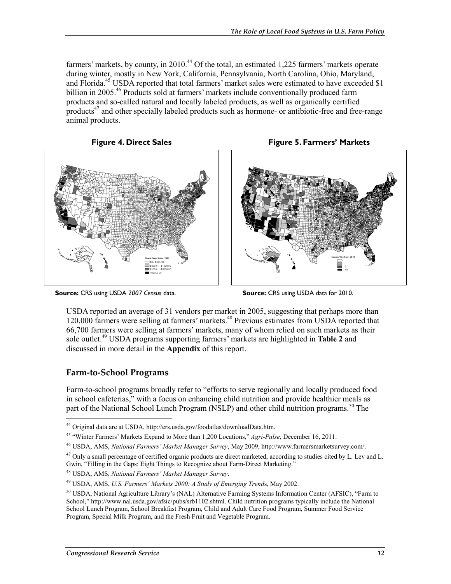farmers' markets, by county, in  $2010^{44}$  Of the total, an estimated 1,225 farmers' markets operate during winter, mostly in New York, California, Pennsylvania, North Carolina, Ohio, Maryland, and Florida.<sup>45</sup> USDA reported that total farmers' market sales were estimated to have exceeded \$1 billion in 2005.<sup>46</sup> Products sold at farmers' markets include conventionally produced farm products and so-called natural and locally labeled products, as well as organically certified  $p$ roducts<sup>47</sup> and other specially labeled products such as hormone- or antibiotic-free and free-range animal products.

**Figure 4. Direct Sales** 







**Source:** CRS using USDA *2007 Census* data.

**Source:** CRS using USDA data for 2010.

USDA reported an average of 31 vendors per market in 2005, suggesting that perhaps more than 120,000 farmers were selling at farmers' markets.<sup>48</sup> Previous estimates from USDA reported that 66,700 farmers were selling at farmers' markets, many of whom relied on such markets as their sole outlet.49 USDA programs supporting farmers' markets are highlighted in **Table 2** and discussed in more detail in the **Appendix** of this report.

### **Farm-to-School Programs**

Farm-to-school programs broadly refer to "efforts to serve regionally and locally produced food in school cafeterias," with a focus on enhancing child nutrition and provide healthier meals as part of the National School Lunch Program (NSLP) and other child nutrition programs.<sup>50</sup> The

<sup>1</sup> 44 Original data are at USDA, http://ers.usda.gov/foodatlas/downloadData.htm.

<sup>45 &</sup>quot;Winter Farmers' Markets Expand to More than 1,200 Locations," *Agri-Pulse*, December 16, 2011.

<sup>46</sup> USDA, AMS, *National Farmers' Market Manager Survey*, May 2009, http://www.farmersmarketsurvey.com/.

 $47$  Only a small percentage of certified organic products are direct marketed, according to studies cited by L. Lev and L. Gwin, "Filling in the Gaps: Eight Things to Recognize about Farm-Direct Marketing."

<sup>48</sup> USDA, AMS, *National Farmers' Market Manager Survey*.

<sup>49</sup> USDA, AMS, *U.S. Farmers' Markets 2000: A Study of Emerging Trend*s, May 2002.

<sup>50</sup> USDA, National Agriculture Library's (NAL) Alternative Farming Systems Information Center (AFSIC), "Farm to School," http://www.nal.usda.gov/afsic/pubs/srb1102.shtml. Child nutrition programs typically include the National School Lunch Program, School Breakfast Program, Child and Adult Care Food Program, Summer Food Service Program, Special Milk Program, and the Fresh Fruit and Vegetable Program.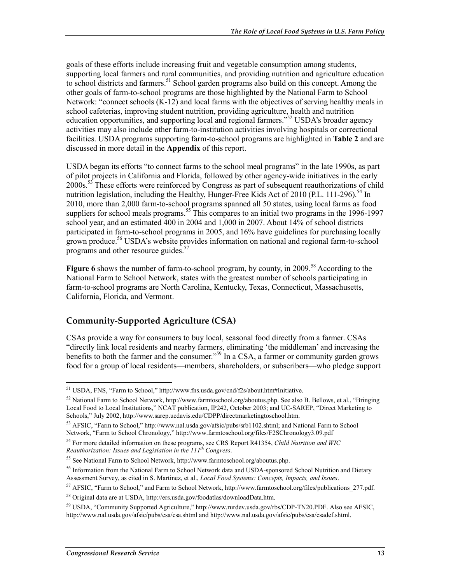goals of these efforts include increasing fruit and vegetable consumption among students, supporting local farmers and rural communities, and providing nutrition and agriculture education to school districts and farmers.<sup>51</sup> School garden programs also build on this concept. Among the other goals of farm-to-school programs are those highlighted by the National Farm to School Network: "connect schools (K-12) and local farms with the objectives of serving healthy meals in school cafeterias, improving student nutrition, providing agriculture, health and nutrition education opportunities, and supporting local and regional farmers."<sup>52</sup> USDA's broader agency activities may also include other farm-to-institution activities involving hospitals or correctional facilities. USDA programs supporting farm-to-school programs are highlighted in **Table 2** and are discussed in more detail in the **Appendix** of this report.

USDA began its efforts "to connect farms to the school meal programs" in the late 1990s, as part of pilot projects in California and Florida, followed by other agency-wide initiatives in the early 2000s.<sup>53</sup> These efforts were reinforced by Congress as part of subsequent reauthorizations of child nutrition legislation, including the Healthy, Hunger-Free Kids Act of 2010 (P.L. 111-296).<sup>54</sup> In 2010, more than 2,000 farm-to-school programs spanned all 50 states, using local farms as food suppliers for school meals programs.<sup>55</sup> This compares to an initial two programs in the 1996-1997 school year, and an estimated 400 in 2004 and 1,000 in 2007. About 14% of school districts participated in farm-to-school programs in 2005, and 16% have guidelines for purchasing locally grown produce.<sup>56</sup> USDA's website provides information on national and regional farm-to-school programs and other resource guides.<sup>57</sup>

Figure 6 shows the number of farm-to-school program, by county, in 2009.<sup>58</sup> According to the National Farm to School Network, states with the greatest number of schools participating in farm-to-school programs are North Carolina, Kentucky, Texas, Connecticut, Massachusetts, California, Florida, and Vermont.

### **Community-Supported Agriculture (CSA)**

CSAs provide a way for consumers to buy local, seasonal food directly from a farmer. CSAs "directly link local residents and nearby farmers, eliminating 'the middleman' and increasing the benefits to both the farmer and the consumer."<sup>59</sup> In a CSA, a farmer or community garden grows food for a group of local residents—members, shareholders, or subscribers—who pledge support

<sup>51</sup> USDA, FNS, "Farm to School," http://www.fns.usda.gov/cnd/f2s/about.htm#Initiative.

 $52$  National Farm to School Network, http://www.farmtoschool.org/aboutus.php. See also B. Bellows, et al., "Bringing" Local Food to Local Institutions," NCAT publication, IP242, October 2003; and UC-SAREP, "Direct Marketing to Schools," July 2002, http://www.sarep.ucdavis.edu/CDPP/directmarketingtoschool.htm.

<sup>&</sup>lt;sup>53</sup> AFSIC, "Farm to School," http://www.nal.usda.gov/afsic/pubs/srb1102.shtml; and National Farm to School Network, "Farm to School Chronology," http://www.farmtoschool.org/files/F2SChronology3.09.pdf

<sup>54</sup> For more detailed information on these programs, see CRS Report R41354, *Child Nutrition and WIC Reauthorization: Issues and Legislation in the 111th Congress*.

<sup>55</sup> See National Farm to School Network, http://www.farmtoschool.org/aboutus.php.

<sup>&</sup>lt;sup>56</sup> Information from the National Farm to School Network data and USDA-sponsored School Nutrition and Dietary Assessment Survey, as cited in S. Martinez, et al., *Local Food Systems: Concepts, Impacts, and Issues*.

<sup>&</sup>lt;sup>57</sup> AFSIC, "Farm to School," and Farm to School Network, http://www.farmtoschool.org/files/publications 277.pdf.

<sup>58</sup> Original data are at USDA, http://ers.usda.gov/foodatlas/downloadData.htm.

<sup>59</sup> USDA, "Community Supported Agriculture," http://www.rurdev.usda.gov/rbs/CDP-TN20.PDF. Also see AFSIC, http://www.nal.usda.gov/afsic/pubs/csa/csa.shtml and http://www.nal.usda.gov/afsic/pubs/csa/csadef.shtml.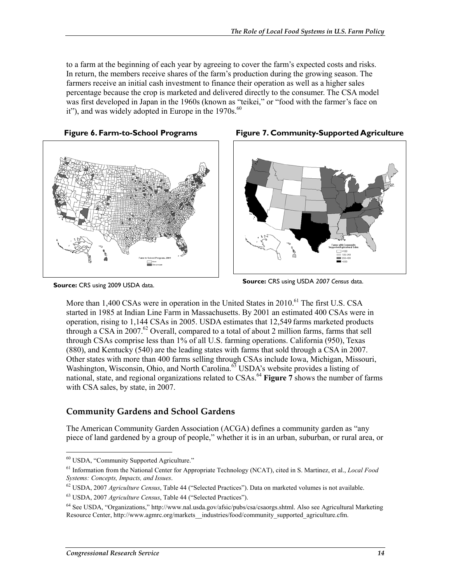to a farm at the beginning of each year by agreeing to cover the farm's expected costs and risks. In return, the members receive shares of the farm's production during the growing season. The farmers receive an initial cash investment to finance their operation as well as a higher sales percentage because the crop is marketed and delivered directly to the consumer. The CSA model was first developed in Japan in the 1960s (known as "teikei," or "food with the farmer's face on it"), and was widely adopted in Europe in the 1970s.<sup>60</sup>





**Source:** CRS using 2009 USDA data.





**Source:** CRS using USDA *2007 Census* data.

More than 1,400 CSAs were in operation in the United States in 2010.<sup>61</sup> The first U.S. CSA started in 1985 at Indian Line Farm in Massachusetts. By 2001 an estimated 400 CSAs were in operation, rising to 1,144 CSAs in 2005. USDA estimates that 12,549 farms marketed products through a CSA in 2007.<sup>62</sup> Overall, compared to a total of about 2 million farms, farms that sell through CSAs comprise less than 1% of all U.S. farming operations. California (950), Texas (880), and Kentucky (540) are the leading states with farms that sold through a CSA in 2007. Other states with more than 400 farms selling through CSAs include Iowa, Michigan, Missouri, Washington, Wisconsin, Ohio, and North Carolina.<sup>63</sup> USDA's website provides a listing of national, state, and regional organizations related to CSAs.<sup>64</sup> **Figure 7** shows the number of farms with CSA sales, by state, in 2007.

### **Community Gardens and School Gardens**

The American Community Garden Association (ACGA) defines a community garden as "any piece of land gardened by a group of people," whether it is in an urban, suburban, or rural area, or

<sup>1</sup> 60 USDA, "Community Supported Agriculture."

<sup>61</sup> Information from the National Center for Appropriate Technology (NCAT), cited in S. Martinez, et al., *Local Food Systems: Concepts, Impacts, and Issues*.

<sup>62</sup> USDA, 2007 *Agriculture Census*, Table 44 ("Selected Practices"). Data on marketed volumes is not available.

<sup>63</sup> USDA, 2007 *Agriculture Census*, Table 44 ("Selected Practices").

<sup>64</sup> See USDA, "Organizations," http://www.nal.usda.gov/afsic/pubs/csa/csaorgs.shtml. Also see Agricultural Marketing Resource Center, http://www.agmrc.org/markets\_industries/food/community\_supported\_agriculture.cfm.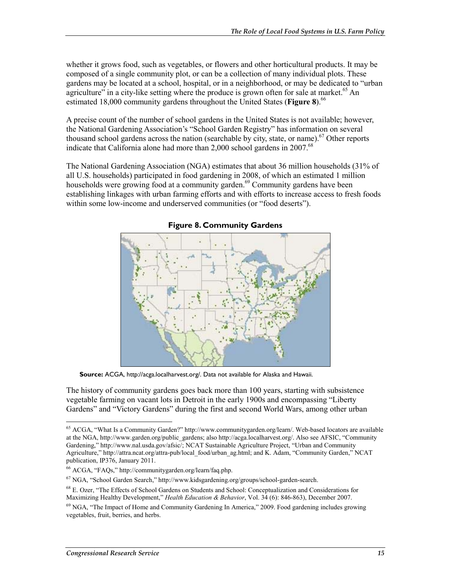whether it grows food, such as vegetables, or flowers and other horticultural products. It may be composed of a single community plot, or can be a collection of many individual plots. These gardens may be located at a school, hospital, or in a neighborhood, or may be dedicated to "urban agriculture" in a city-like setting where the produce is grown often for sale at market.<sup>65</sup> An estimated 18,000 community gardens throughout the United States (**Figure 8**).<sup>66</sup>

A precise count of the number of school gardens in the United States is not available; however, the National Gardening Association's "School Garden Registry" has information on several thousand school gardens across the nation (searchable by city, state, or name).<sup>67</sup> Other reports indicate that California alone had more than  $2.000$  school gardens in  $2007<sup>68</sup>$ 

The National Gardening Association (NGA) estimates that about 36 million households (31% of all U.S. households) participated in food gardening in 2008, of which an estimated 1 million households were growing food at a community garden.<sup>69</sup> Community gardens have been establishing linkages with urban farming efforts and with efforts to increase access to fresh foods within some low-income and underserved communities (or "food deserts").



**Figure 8. Community Gardens** 

**Source:** ACGA, http://acga.localharvest.org/. Data not available for Alaska and Hawaii.

The history of community gardens goes back more than 100 years, starting with subsistence vegetable farming on vacant lots in Detroit in the early 1900s and encompassing "Liberty Gardens" and "Victory Gardens" during the first and second World Wars, among other urban

<u>.</u>

<sup>65</sup> ACGA, "What Is a Community Garden?" http://www.communitygarden.org/learn/. Web-based locators are available at the NGA, http://www.garden.org/public\_gardens; also http://acga.localharvest.org/. Also see AFSIC, "Community Gardening," http://www.nal.usda.gov/afsic/; NCAT Sustainable Agriculture Project, "Urban and Community Agriculture," http://attra.ncat.org/attra-pub/local\_food/urban\_ag.html; and K. Adam, "Community Garden," NCAT publication, IP376, January 2011.

<sup>66</sup> ACGA, "FAQs," http://communitygarden.org/learn/faq.php.

<sup>67</sup> NGA, "School Garden Search," http://www.kidsgardening.org/groups/school-garden-search.

<sup>68</sup> E. Ozer, "The Effects of School Gardens on Students and School: Conceptualization and Considerations for Maximizing Healthy Development," *Health Education & Behavior*, Vol. 34 (6): 846-863), December 2007.

<sup>&</sup>lt;sup>69</sup> NGA, "The Impact of Home and Community Gardening In America," 2009. Food gardening includes growing vegetables, fruit, berries, and herbs.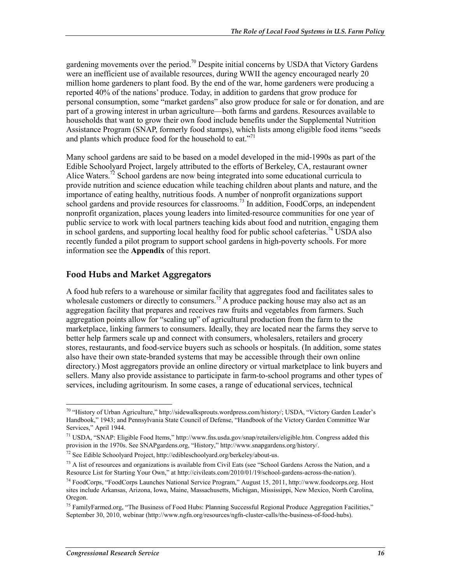gardening movements over the period.<sup>70</sup> Despite initial concerns by USDA that Victory Gardens were an inefficient use of available resources, during WWII the agency encouraged nearly 20 million home gardeners to plant food. By the end of the war, home gardeners were producing a reported 40% of the nations' produce. Today, in addition to gardens that grow produce for personal consumption, some "market gardens" also grow produce for sale or for donation, and are part of a growing interest in urban agriculture—both farms and gardens. Resources available to households that want to grow their own food include benefits under the Supplemental Nutrition Assistance Program (SNAP, formerly food stamps), which lists among eligible food items "seeds and plants which produce food for the household to eat."<sup>71</sup>

Many school gardens are said to be based on a model developed in the mid-1990s as part of the Edible Schoolyard Project, largely attributed to the efforts of Berkeley, CA, restaurant owner Alice Waters.<sup>72</sup> School gardens are now being integrated into some educational curricula to provide nutrition and science education while teaching children about plants and nature, and the importance of eating healthy, nutritious foods. A number of nonprofit organizations support school gardens and provide resources for classrooms.<sup>73</sup> In addition, FoodCorps, an independent nonprofit organization, places young leaders into limited-resource communities for one year of public service to work with local partners teaching kids about food and nutrition, engaging them in school gardens, and supporting local healthy food for public school cafeterias.<sup>74</sup> USDA also recently funded a pilot program to support school gardens in high-poverty schools. For more information see the **Appendix** of this report.

#### **Food Hubs and Market Aggregators**

A food hub refers to a warehouse or similar facility that aggregates food and facilitates sales to wholesale customers or directly to consumers.<sup>75</sup> A produce packing house may also act as an aggregation facility that prepares and receives raw fruits and vegetables from farmers. Such aggregation points allow for "scaling up" of agricultural production from the farm to the marketplace, linking farmers to consumers. Ideally, they are located near the farms they serve to better help farmers scale up and connect with consumers, wholesalers, retailers and grocery stores, restaurants, and food-service buyers such as schools or hospitals. (In addition, some states also have their own state-branded systems that may be accessible through their own online directory.) Most aggregators provide an online directory or virtual marketplace to link buyers and sellers. Many also provide assistance to participate in farm-to-school programs and other types of services, including agritourism. In some cases, a range of educational services, technical

<u>.</u>

<sup>&</sup>lt;sup>70</sup> "History of Urban Agriculture," http://sidewalksprouts.wordpress.com/history/; USDA, "Victory Garden Leader's Handbook," 1943; and Pennsylvania State Council of Defense, "Handbook of the Victory Garden Committee War Services," April 1944.

<sup>71</sup> USDA, "SNAP: Eligible Food Items," http://www.fns.usda.gov/snap/retailers/eligible.htm. Congress added this provision in the 1970s. See SNAPgardens.org, "History," http://www.snapgardens.org/history/.

<sup>72</sup> See Edible Schoolyard Project, http://edibleschoolyard.org/berkeley/about-us.

 $^{73}$  A list of resources and organizations is available from Civil Eats (see "School Gardens Across the Nation, and a Resource List for Starting Your Own," at http://civileats.com/2010/01/19/school-gardens-across-the-nation/).

<sup>74</sup> FoodCorps, "FoodCorps Launches National Service Program," August 15, 2011, http://www.foodcorps.org. Host sites include Arkansas, Arizona, Iowa, Maine, Massachusetts, Michigan, Mississippi, New Mexico, North Carolina, Oregon.

<sup>&</sup>lt;sup>75</sup> FamilyFarmed.org, "The Business of Food Hubs: Planning Successful Regional Produce Aggregation Facilities," September 30, 2010, webinar (http://www.ngfn.org/resources/ngfn-cluster-calls/the-business-of-food-hubs).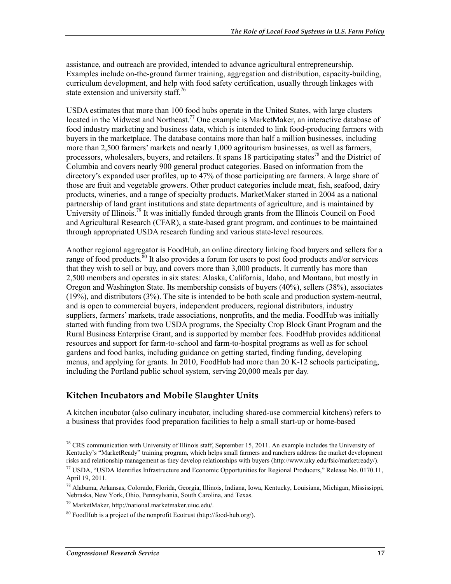assistance, and outreach are provided, intended to advance agricultural entrepreneurship. Examples include on-the-ground farmer training, aggregation and distribution, capacity-building, curriculum development, and help with food safety certification, usually through linkages with state extension and university staff.<sup>76</sup>

USDA estimates that more than 100 food hubs operate in the United States, with large clusters located in the Midwest and Northeast.<sup>77</sup> One example is MarketMaker, an interactive database of food industry marketing and business data, which is intended to link food-producing farmers with buyers in the marketplace. The database contains more than half a million businesses, including more than 2,500 farmers' markets and nearly 1,000 agritourism businesses, as well as farmers, processors, wholesalers, buyers, and retailers. It spans 18 participating states<sup>78</sup> and the District of Columbia and covers nearly 900 general product categories. Based on information from the directory's expanded user profiles, up to 47% of those participating are farmers. A large share of those are fruit and vegetable growers. Other product categories include meat, fish, seafood, dairy products, wineries, and a range of specialty products. MarketMaker started in 2004 as a national partnership of land grant institutions and state departments of agriculture, and is maintained by University of Illinois.<sup>79</sup> It was initially funded through grants from the Illinois Council on Food and Agricultural Research (CFAR), a state-based grant program, and continues to be maintained through appropriated USDA research funding and various state-level resources.

Another regional aggregator is FoodHub, an online directory linking food buyers and sellers for a range of food products. $\frac{80}{1}$  It also provides a forum for users to post food products and/or services that they wish to sell or buy, and covers more than 3,000 products. It currently has more than 2,500 members and operates in six states: Alaska, California, Idaho, and Montana, but mostly in Oregon and Washington State. Its membership consists of buyers (40%), sellers (38%), associates (19%), and distributors (3%). The site is intended to be both scale and production system-neutral, and is open to commercial buyers, independent producers, regional distributors, industry suppliers, farmers' markets, trade associations, nonprofits, and the media. FoodHub was initially started with funding from two USDA programs, the Specialty Crop Block Grant Program and the Rural Business Enterprise Grant, and is supported by member fees. FoodHub provides additional resources and support for farm-to-school and farm-to-hospital programs as well as for school gardens and food banks, including guidance on getting started, finding funding, developing menus, and applying for grants. In 2010, FoodHub had more than 20 K-12 schools participating, including the Portland public school system, serving 20,000 meals per day.

### **Kitchen Incubators and Mobile Slaughter Units**

A kitchen incubator (also culinary incubator, including shared-use commercial kitchens) refers to a business that provides food preparation facilities to help a small start-up or home-based

<sup>&</sup>lt;sup>76</sup> CRS communication with University of Illinois staff, September 15, 2011. An example includes the University of Kentucky's "MarketReady" training program, which helps small farmers and ranchers address the market development risks and relationship management as they develop relationships with buyers (http://www.uky.edu/fsic/marketready/).

 $^{77}$  USDA, "USDA Identifies Infrastructure and Economic Opportunities for Regional Producers," Release No. 0170.11, April 19, 2011.

<sup>78</sup> Alabama, Arkansas, Colorado, Florida, Georgia, Illinois, Indiana, Iowa, Kentucky, Louisiana, Michigan, Mississippi, Nebraska, New York, Ohio, Pennsylvania, South Carolina, and Texas.

<sup>79</sup> MarketMaker, http://national.marketmaker.uiuc.edu/.

 $80$  FoodHub is a project of the nonprofit Ecotrust (http://food-hub.org/).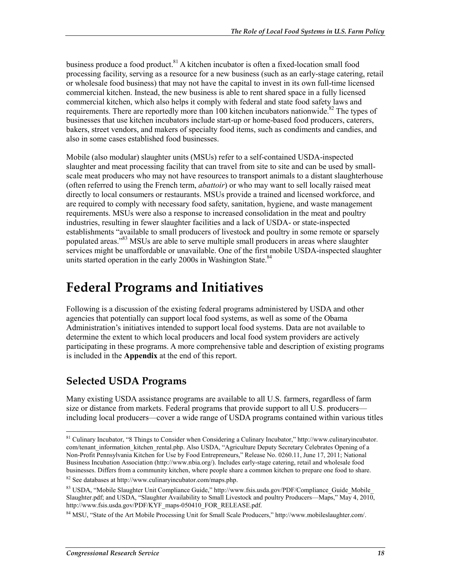business produce a food product.<sup>81</sup> A kitchen incubator is often a fixed-location small food processing facility, serving as a resource for a new business (such as an early-stage catering, retail or wholesale food business) that may not have the capital to invest in its own full-time licensed commercial kitchen. Instead, the new business is able to rent shared space in a fully licensed commercial kitchen, which also helps it comply with federal and state food safety laws and requirements. There are reportedly more than 100 kitchen incubators nationwide.<sup>82</sup> The types of businesses that use kitchen incubators include start-up or home-based food producers, caterers, bakers, street vendors, and makers of specialty food items, such as condiments and candies, and also in some cases established food businesses.

Mobile (also modular) slaughter units (MSUs) refer to a self-contained USDA-inspected slaughter and meat processing facility that can travel from site to site and can be used by smallscale meat producers who may not have resources to transport animals to a distant slaughterhouse (often referred to using the French term, *abattoir*) or who may want to sell locally raised meat directly to local consumers or restaurants. MSUs provide a trained and licensed workforce, and are required to comply with necessary food safety, sanitation, hygiene, and waste management requirements. MSUs were also a response to increased consolidation in the meat and poultry industries, resulting in fewer slaughter facilities and a lack of USDA- or state-inspected establishments "available to small producers of livestock and poultry in some remote or sparsely populated areas."83 MSUs are able to serve multiple small producers in areas where slaughter services might be unaffordable or unavailable. One of the first mobile USDA-inspected slaughter units started operation in the early 2000s in Washington State.<sup>84</sup>

## **Federal Programs and Initiatives**

Following is a discussion of the existing federal programs administered by USDA and other agencies that potentially can support local food systems, as well as some of the Obama Administration's initiatives intended to support local food systems. Data are not available to determine the extent to which local producers and local food system providers are actively participating in these programs. A more comprehensive table and description of existing programs is included in the **Appendix** at the end of this report.

### **Selected USDA Programs**

1

Many existing USDA assistance programs are available to all U.S. farmers, regardless of farm size or distance from markets. Federal programs that provide support to all U.S. producers including local producers—cover a wide range of USDA programs contained within various titles

<sup>&</sup>lt;sup>81</sup> Culinary Incubator, "8 Things to Consider when Considering a Culinary Incubator," http://www.culinaryincubator. com/tenant\_information\_kitchen\_rental.php. Also USDA, "Agriculture Deputy Secretary Celebrates Opening of a Non-Profit Pennsylvania Kitchen for Use by Food Entrepreneurs," Release No. 0260.11, June 17, 2011; National Business Incubation Association (http://www.nbia.org/). Includes early-stage catering, retail and wholesale food businesses. Differs from a community kitchen, where people share a common kitchen to prepare one food to share.

<sup>82</sup> See databases at http://www.culinaryincubator.com/maps.php.

<sup>&</sup>lt;sup>83</sup> USDA, "Mobile Slaughter Unit Compliance Guide," http://www.fsis.usda.gov/PDF/Compliance Guide Mobile Slaughter.pdf; and USDA, "Slaughter Availability to Small Livestock and poultry Producers—Maps," May 4, 2010, http://www.fsis.usda.gov/PDF/KYF\_maps-050410\_FOR\_RELEASE.pdf.

<sup>84</sup> MSU, "State of the Art Mobile Processing Unit for Small Scale Producers," http://www.mobileslaughter.com/.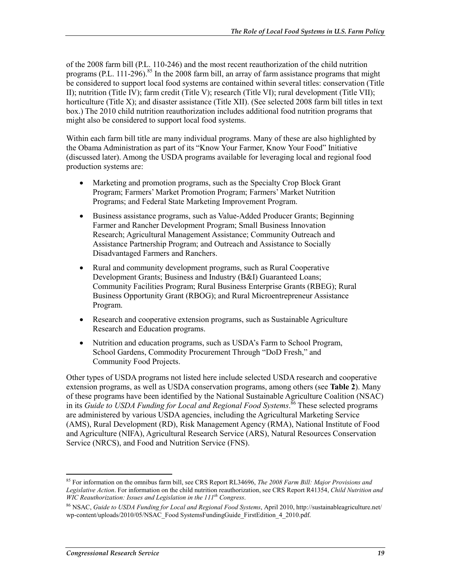of the 2008 farm bill (P.L. 110-246) and the most recent reauthorization of the child nutrition programs (P.L. 111-296).<sup>85</sup> In the 2008 farm bill, an array of farm assistance programs that might be considered to support local food systems are contained within several titles: conservation (Title II); nutrition (Title IV); farm credit (Title V); research (Title VI); rural development (Title VII); horticulture (Title X); and disaster assistance (Title XII). (See selected 2008 farm bill titles in text box.) The 2010 child nutrition reauthorization includes additional food nutrition programs that might also be considered to support local food systems.

Within each farm bill title are many individual programs. Many of these are also highlighted by the Obama Administration as part of its "Know Your Farmer, Know Your Food" Initiative (discussed later). Among the USDA programs available for leveraging local and regional food production systems are:

- Marketing and promotion programs, such as the Specialty Crop Block Grant Program; Farmers' Market Promotion Program; Farmers' Market Nutrition Programs; and Federal State Marketing Improvement Program.
- Business assistance programs, such as Value-Added Producer Grants; Beginning Farmer and Rancher Development Program; Small Business Innovation Research; Agricultural Management Assistance; Community Outreach and Assistance Partnership Program; and Outreach and Assistance to Socially Disadvantaged Farmers and Ranchers.
- Rural and community development programs, such as Rural Cooperative Development Grants; Business and Industry (B&I) Guaranteed Loans; Community Facilities Program; Rural Business Enterprise Grants (RBEG); Rural Business Opportunity Grant (RBOG); and Rural Microentrepreneur Assistance Program.
- Research and cooperative extension programs, such as Sustainable Agriculture Research and Education programs.
- Nutrition and education programs, such as USDA's Farm to School Program, School Gardens, Commodity Procurement Through "DoD Fresh," and Community Food Projects.

Other types of USDA programs not listed here include selected USDA research and cooperative extension programs, as well as USDA conservation programs, among others (see **Table 2**). Many of these programs have been identified by the National Sustainable Agriculture Coalition (NSAC) in its *Guide to USDA Funding for Local and Regional Food Systems*. 86 These selected programs are administered by various USDA agencies, including the Agricultural Marketing Service (AMS), Rural Development (RD), Risk Management Agency (RMA), National Institute of Food and Agriculture (NIFA), Agricultural Research Service (ARS), Natural Resources Conservation Service (NRCS), and Food and Nutrition Service (FNS).

<sup>85</sup> For information on the omnibus farm bill, see CRS Report RL34696, *The 2008 Farm Bill: Major Provisions and Legislative Action*. For information on the child nutrition reauthorization, see CRS Report R41354, *Child Nutrition and WIC Reauthorization: Issues and Legislation in the 111th Congress*.

<sup>86</sup> NSAC, *Guide to USDA Funding for Local and Regional Food Systems*, April 2010, http://sustainableagriculture.net/ wp-content/uploads/2010/05/NSAC\_Food SystemsFundingGuide\_FirstEdition\_4\_2010.pdf.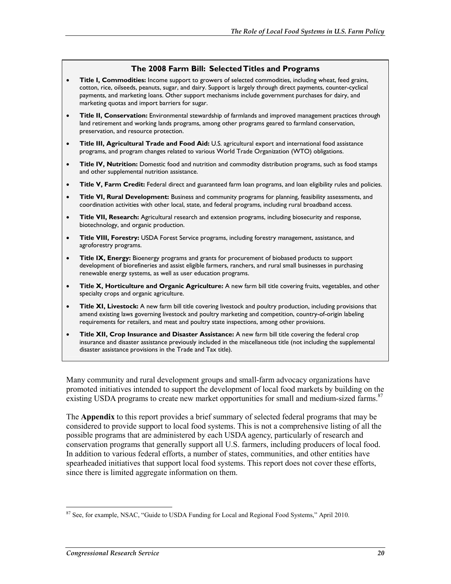#### **The 2008 Farm Bill: Selected Titles and Programs**

- **Title I, Commodities:** Income support to growers of selected commodities, including wheat, feed grains, cotton, rice, oilseeds, peanuts, sugar, and dairy. Support is largely through direct payments, counter-cyclical payments, and marketing loans. Other support mechanisms include government purchases for dairy, and marketing quotas and import barriers for sugar.
- **Title II, Conservation:** Environmental stewardship of farmlands and improved management practices through land retirement and working lands programs, among other programs geared to farmland conservation, preservation, and resource protection.
- **Title III, Agricultural Trade and Food Aid:** U.S. agricultural export and international food assistance programs, and program changes related to various World Trade Organization (WTO) obligations.
- **Title IV, Nutrition:** Domestic food and nutrition and commodity distribution programs, such as food stamps and other supplemental nutrition assistance.
- **Title V, Farm Credit:** Federal direct and guaranteed farm loan programs, and loan eligibility rules and policies.
- **Title VI, Rural Development:** Business and community programs for planning, feasibility assessments, and coordination activities with other local, state, and federal programs, including rural broadband access.
- **Title VII, Research:** Agricultural research and extension programs, including biosecurity and response, biotechnology, and organic production.
- **Title VIII, Forestry:** USDA Forest Service programs, including forestry management, assistance, and agroforestry programs.
- **Title IX, Energy:** Bioenergy programs and grants for procurement of biobased products to support development of biorefineries and assist eligible farmers, ranchers, and rural small businesses in purchasing renewable energy systems, as well as user education programs.
- **Title X, Horticulture and Organic Agriculture:** A new farm bill title covering fruits, vegetables, and other specialty crops and organic agriculture.
- **Title XI, Livestock:** A new farm bill title covering livestock and poultry production, including provisions that amend existing laws governing livestock and poultry marketing and competition, country-of-origin labeling requirements for retailers, and meat and poultry state inspections, among other provisions.
- **Title XII, Crop Insurance and Disaster Assistance:** A new farm bill title covering the federal crop insurance and disaster assistance previously included in the miscellaneous title (not including the supplemental disaster assistance provisions in the Trade and Tax title).

Many community and rural development groups and small-farm advocacy organizations have promoted initiatives intended to support the development of local food markets by building on the existing USDA programs to create new market opportunities for small and medium-sized farms.<sup>87</sup>

The **Appendix** to this report provides a brief summary of selected federal programs that may be considered to provide support to local food systems. This is not a comprehensive listing of all the possible programs that are administered by each USDA agency, particularly of research and conservation programs that generally support all U.S. farmers, including producers of local food. In addition to various federal efforts, a number of states, communities, and other entities have spearheaded initiatives that support local food systems. This report does not cover these efforts, since there is limited aggregate information on them.

<sup>&</sup>lt;u>.</u> <sup>87</sup> See, for example, NSAC, "Guide to USDA Funding for Local and Regional Food Systems," April 2010.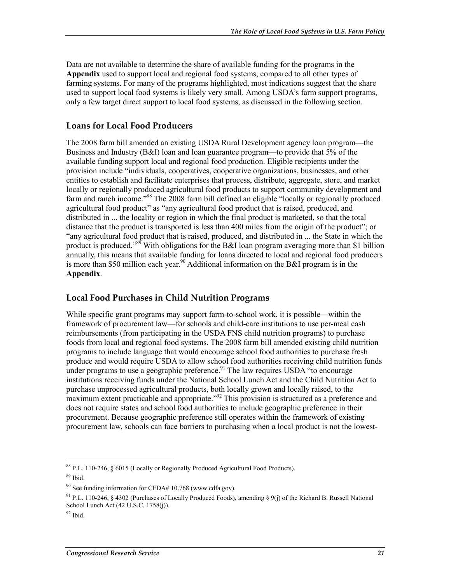Data are not available to determine the share of available funding for the programs in the **Appendix** used to support local and regional food systems, compared to all other types of farming systems. For many of the programs highlighted, most indications suggest that the share used to support local food systems is likely very small. Among USDA's farm support programs, only a few target direct support to local food systems, as discussed in the following section.

### **Loans for Local Food Producers**

The 2008 farm bill amended an existing USDA Rural Development agency loan program—the Business and Industry (B&I) loan and loan guarantee program—to provide that 5% of the available funding support local and regional food production. Eligible recipients under the provision include "individuals, cooperatives, cooperative organizations, businesses, and other entities to establish and facilitate enterprises that process, distribute, aggregate, store, and market locally or regionally produced agricultural food products to support community development and farm and ranch income."<sup>88</sup> The 2008 farm bill defined an eligible "locally or regionally produced agricultural food product" as "any agricultural food product that is raised, produced, and distributed in ... the locality or region in which the final product is marketed, so that the total distance that the product is transported is less than 400 miles from the origin of the product"; or "any agricultural food product that is raised, produced, and distributed in ... the State in which the product is produced."<sup>89</sup> With obligations for the B&I loan program averaging more than \$1 billion annually, this means that available funding for loans directed to local and regional food producers is more than \$50 million each year.<sup>90</sup> Additional information on the B&I program is in the **Appendix**.

### **Local Food Purchases in Child Nutrition Programs**

While specific grant programs may support farm-to-school work, it is possible—within the framework of procurement law—for schools and child-care institutions to use per-meal cash reimbursements (from participating in the USDA FNS child nutrition programs) to purchase foods from local and regional food systems. The 2008 farm bill amended existing child nutrition programs to include language that would encourage school food authorities to purchase fresh produce and would require USDA to allow school food authorities receiving child nutrition funds under programs to use a geographic preference.<sup>91</sup> The law requires USDA "to encourage" institutions receiving funds under the National School Lunch Act and the Child Nutrition Act to purchase unprocessed agricultural products, both locally grown and locally raised, to the maximum extent practicable and appropriate.<sup> $392$ </sup> This provision is structured as a preference and does not require states and school food authorities to include geographic preference in their procurement. Because geographic preference still operates within the framework of existing procurement law, schools can face barriers to purchasing when a local product is not the lowest-

<sup>1</sup> 88 P.L. 110-246, § 6015 (Locally or Regionally Produced Agricultural Food Products).

 $89$  Ibid.

 $90$  See funding information for CFDA# 10.768 (www.cdfa.gov).

<sup>&</sup>lt;sup>91</sup> P.L. 110-246, § 4302 (Purchases of Locally Produced Foods), amending § 9(j) of the Richard B. Russell National School Lunch Act (42 U.S.C. 1758(j)).

 $92$  Ibid.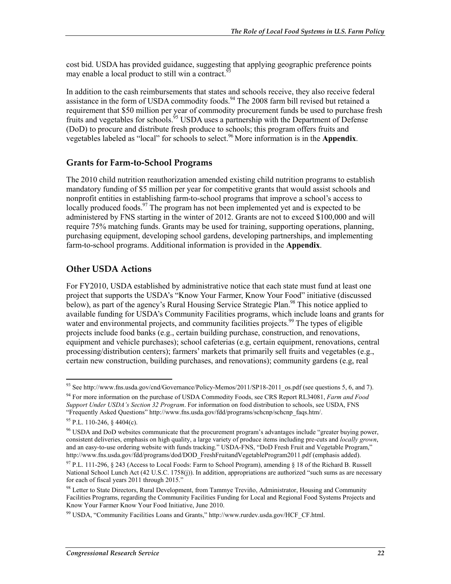cost bid. USDA has provided guidance, suggesting that applying geographic preference points may enable a local product to still win a contract.<sup>9</sup>

In addition to the cash reimbursements that states and schools receive, they also receive federal assistance in the form of USDA commodity foods.<sup>94</sup> The 2008 farm bill revised but retained a requirement that \$50 million per year of commodity procurement funds be used to purchase fresh fruits and vegetables for schools.<sup>55</sup> USDA uses a partnership with the Department of Defense (DoD) to procure and distribute fresh produce to schools; this program offers fruits and vegetables labeled as "local" for schools to select.96 More information is in the **Appendix**.

#### **Grants for Farm-to-School Programs**

The 2010 child nutrition reauthorization amended existing child nutrition programs to establish mandatory funding of \$5 million per year for competitive grants that would assist schools and nonprofit entities in establishing farm-to-school programs that improve a school's access to locally produced foods.<sup>97</sup> The program has not been implemented yet and is expected to be administered by FNS starting in the winter of 2012. Grants are not to exceed \$100,000 and will require 75% matching funds. Grants may be used for training, supporting operations, planning, purchasing equipment, developing school gardens, developing partnerships, and implementing farm-to-school programs. Additional information is provided in the **Appendix**.

### **Other USDA Actions**

For FY2010, USDA established by administrative notice that each state must fund at least one project that supports the USDA's "Know Your Farmer, Know Your Food" initiative (discussed below), as part of the agency's Rural Housing Service Strategic Plan.<sup>98</sup> This notice applied to available funding for USDA's Community Facilities programs, which include loans and grants for water and environmental projects, and community facilities projects.<sup>99</sup> The types of eligible projects include food banks (e.g., certain building purchase, construction, and renovations, equipment and vehicle purchases); school cafeterias (e.g, certain equipment, renovations, central processing/distribution centers); farmers' markets that primarily sell fruits and vegetables (e.g., certain new construction, building purchases, and renovations); community gardens (e.g, real

<sup>&</sup>lt;u>.</u> <sup>93</sup> See http://www.fns.usda.gov/cnd/Governance/Policy-Memos/2011/SP18-2011\_os.pdf (see questions 5, 6, and 7).

<sup>94</sup> For more information on the purchase of USDA Commodity Foods, see CRS Report RL34081, *Farm and Food Support Under USDA's Section 32 Program*. For information on food distribution to schools, see USDA, FNS "Frequently Asked Questions" http://www.fns.usda.gov/fdd/programs/schcnp/schcnp\_faqs.htm/.

<sup>95</sup> P.L. 110-246, § 4404(c).

<sup>&</sup>lt;sup>96</sup> USDA and DoD websites communicate that the procurement program's advantages include "greater buying power, consistent deliveries, emphasis on high quality, a large variety of produce items including pre-cuts and *locally grown*, and an easy-to-use ordering website with funds tracking." USDA-FNS, "DoD Fresh Fruit and Vegetable Program," http://www.fns.usda.gov/fdd/programs/dod/DOD\_FreshFruitandVegetableProgram2011.pdf (emphasis added).

<sup>&</sup>lt;sup>97</sup> P.L. 111-296, § 243 (Access to Local Foods: Farm to School Program), amending § 18 of the Richard B. Russell National School Lunch Act (42 U.S.C. 1758(j)). In addition, appropriations are authorized "such sums as are necessary for each of fiscal years 2011 through 2015."

<sup>&</sup>lt;sup>98</sup> Letter to State Directors, Rural Development, from Tammye Treviño, Administrator, Housing and Community Facilities Programs, regarding the Community Facilities Funding for Local and Regional Food Systems Projects and Know Your Farmer Know Your Food Initiative, June 2010.

<sup>99</sup> USDA, "Community Facilities Loans and Grants," http://www.rurdev.usda.gov/HCF\_CF.html.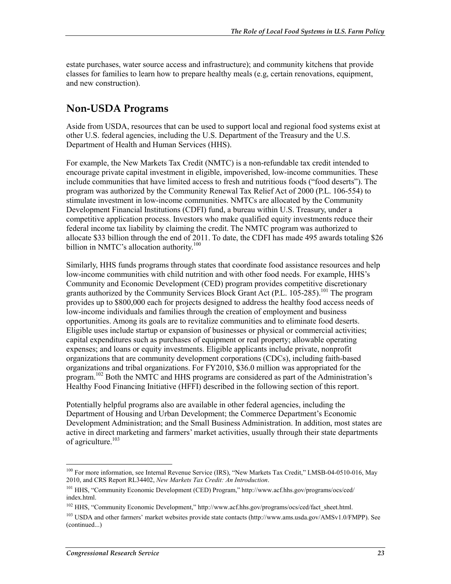estate purchases, water source access and infrastructure); and community kitchens that provide classes for families to learn how to prepare healthy meals (e.g, certain renovations, equipment, and new construction).

### **Non-USDA Programs**

Aside from USDA, resources that can be used to support local and regional food systems exist at other U.S. federal agencies, including the U.S. Department of the Treasury and the U.S. Department of Health and Human Services (HHS).

For example, the New Markets Tax Credit (NMTC) is a non-refundable tax credit intended to encourage private capital investment in eligible, impoverished, low-income communities. These include communities that have limited access to fresh and nutritious foods ("food deserts"). The program was authorized by the Community Renewal Tax Relief Act of 2000 (P.L. 106-554) to stimulate investment in low-income communities. NMTCs are allocated by the Community Development Financial Institutions (CDFI) fund, a bureau within U.S. Treasury, under a competitive application process. Investors who make qualified equity investments reduce their federal income tax liability by claiming the credit. The NMTC program was authorized to allocate \$33 billion through the end of 2011. To date, the CDFI has made 495 awards totaling \$26 billion in NMTC's allocation authority.<sup>100</sup>

Similarly, HHS funds programs through states that coordinate food assistance resources and help low-income communities with child nutrition and with other food needs. For example, HHS's Community and Economic Development (CED) program provides competitive discretionary grants authorized by the Community Services Block Grant Act (P.L. 105-285).101 The program provides up to \$800,000 each for projects designed to address the healthy food access needs of low-income individuals and families through the creation of employment and business opportunities. Among its goals are to revitalize communities and to eliminate food deserts. Eligible uses include startup or expansion of businesses or physical or commercial activities; capital expenditures such as purchases of equipment or real property; allowable operating expenses; and loans or equity investments. Eligible applicants include private, nonprofit organizations that are community development corporations (CDCs), including faith-based organizations and tribal organizations. For FY2010, \$36.0 million was appropriated for the program.<sup>102</sup> Both the NMTC and HHS programs are considered as part of the Administration's Healthy Food Financing Initiative (HFFI) described in the following section of this report.

Potentially helpful programs also are available in other federal agencies, including the Department of Housing and Urban Development; the Commerce Department's Economic Development Administration; and the Small Business Administration. In addition, most states are active in direct marketing and farmers' market activities, usually through their state departments of agriculture.<sup>103</sup>

<sup>&</sup>lt;sup>100</sup> For more information, see Internal Revenue Service (IRS), "New Markets Tax Credit," LMSB-04-0510-016, May 2010, and CRS Report RL34402, *New Markets Tax Credit: An Introduction*.

<sup>101</sup> HHS, "Community Economic Development (CED) Program," http://www.acf.hhs.gov/programs/ocs/ced/ index.html.

<sup>&</sup>lt;sup>102</sup> HHS, "Community Economic Development," http://www.acf.hhs.gov/programs/ocs/ced/fact\_sheet.html.

<sup>103</sup> USDA and other farmers' market websites provide state contacts (http://www.ams.usda.gov/AMSv1.0/FMPP). See (continued...)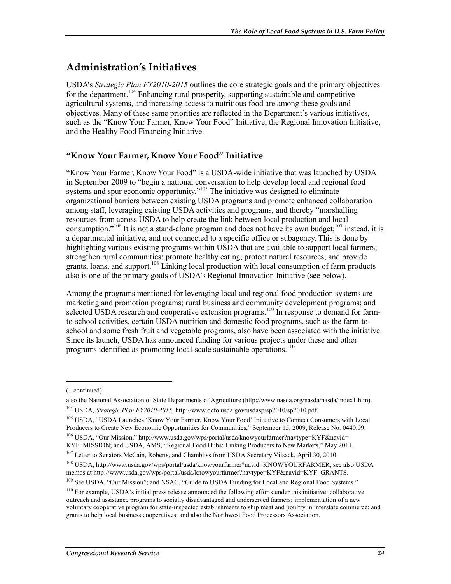### **Administration's Initiatives**

USDA's *Strategic Plan FY2010-2015* outlines the core strategic goals and the primary objectives for the department.<sup>104</sup> Enhancing rural prosperity, supporting sustainable and competitive agricultural systems, and increasing access to nutritious food are among these goals and objectives. Many of these same priorities are reflected in the Department's various initiatives, such as the "Know Your Farmer, Know Your Food" Initiative, the Regional Innovation Initiative, and the Healthy Food Financing Initiative.

### **"Know Your Farmer, Know Your Food" Initiative**

"Know Your Farmer, Know Your Food" is a USDA-wide initiative that was launched by USDA in September 2009 to "begin a national conversation to help develop local and regional food systems and spur economic opportunity."<sup>105</sup> The initiative was designed to eliminate organizational barriers between existing USDA programs and promote enhanced collaboration among staff, leveraging existing USDA activities and programs, and thereby "marshalling resources from across USDA to help create the link between local production and local consumption."<sup>106</sup> It is not a stand-alone program and does not have its own budget;<sup>107</sup> instead, it is a departmental initiative, and not connected to a specific office or subagency. This is done by highlighting various existing programs within USDA that are available to support local farmers; strengthen rural communities; promote healthy eating; protect natural resources; and provide grants, loans, and support.<sup>108</sup> Linking local production with local consumption of farm products also is one of the primary goals of USDA's Regional Innovation Initiative (see below).

Among the programs mentioned for leveraging local and regional food production systems are marketing and promotion programs; rural business and community development programs; and selected USDA research and cooperative extension programs.<sup>109</sup> In response to demand for farmto-school activities, certain USDA nutrition and domestic food programs, such as the farm-toschool and some fresh fruit and vegetable programs, also have been associated with the initiative. Since its launch, USDA has announced funding for various projects under these and other programs identified as promoting local-scale sustainable operations.<sup>110</sup>

1

106 USDA, "Our Mission," http://www.usda.gov/wps/portal/usda/knowyourfarmer?navtype=KYF&navid= KYF\_MISSION; and USDA, AMS, "Regional Food Hubs: Linking Producers to New Markets," May 2011.

<sup>(...</sup>continued)

also the National Association of State Departments of Agriculture (http://www.nasda.org/nasda/nasda/index1.htm). 104 USDA, *Strategic Plan FY2010-2015*, http://www.ocfo.usda.gov/usdasp/sp2010/sp2010.pdf.

<sup>105</sup> USDA, "USDA Launches 'Know Your Farmer, Know Your Food' Initiative to Connect Consumers with Local Producers to Create New Economic Opportunities for Communities," September 15, 2009, Release No. 0440.09.

<sup>&</sup>lt;sup>107</sup> Letter to Senators McCain, Roberts, and Chambliss from USDA Secretary Vilsack, April 30, 2010.

<sup>108</sup> USDA, http://www.usda.gov/wps/portal/usda/knowyourfarmer?navid=KNOWYOURFARMER; see also USDA memos at http://www.usda.gov/wps/portal/usda/knowyourfarmer?navtype=KYF&navid=KYF\_GRANTS.

<sup>&</sup>lt;sup>109</sup> See USDA, "Our Mission"; and NSAC, "Guide to USDA Funding for Local and Regional Food Systems."

<sup>&</sup>lt;sup>110</sup> For example, USDA's initial press release announced the following efforts under this initiative: collaborative outreach and assistance programs to socially disadvantaged and underserved farmers; implementation of a new voluntary cooperative program for state-inspected establishments to ship meat and poultry in interstate commerce; and grants to help local business cooperatives, and also the Northwest Food Processors Association.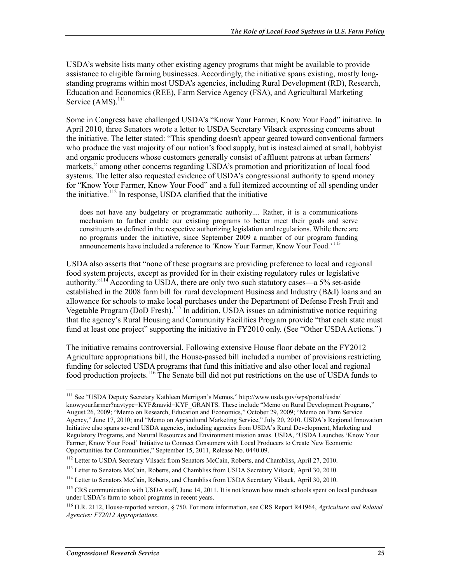USDA's website lists many other existing agency programs that might be available to provide assistance to eligible farming businesses. Accordingly, the initiative spans existing, mostly longstanding programs within most USDA's agencies, including Rural Development (RD), Research, Education and Economics (REE), Farm Service Agency (FSA), and Agricultural Marketing Service (AMS).<sup>111</sup>

Some in Congress have challenged USDA's "Know Your Farmer, Know Your Food" initiative. In April 2010, three Senators wrote a letter to USDA Secretary Vilsack expressing concerns about the initiative. The letter stated: "This spending doesn't appear geared toward conventional farmers who produce the vast majority of our nation's food supply, but is instead aimed at small, hobbyist and organic producers whose customers generally consist of affluent patrons at urban farmers' markets," among other concerns regarding USDA's promotion and prioritization of local food systems. The letter also requested evidence of USDA's congressional authority to spend money for "Know Your Farmer, Know Your Food" and a full itemized accounting of all spending under the initiative.<sup>112</sup> In response, USDA clarified that the initiative

does not have any budgetary or programmatic authority.... Rather, it is a communications mechanism to further enable our existing programs to better meet their goals and serve constituents as defined in the respective authorizing legislation and regulations. While there are no programs under the initiative, since September 2009 a number of our program funding announcements have included a reference to 'Know Your Farmer, Know Your Food.' 113

USDA also asserts that "none of these programs are providing preference to local and regional food system projects, except as provided for in their existing regulatory rules or legislative authority."<sup>114</sup> According to USDA, there are only two such statutory cases—a 5% set-aside established in the 2008 farm bill for rural development Business and Industry (B&I) loans and an allowance for schools to make local purchases under the Department of Defense Fresh Fruit and Vegetable Program (DoD Fresh).<sup>115</sup> In addition, USDA issues an administrative notice requiring that the agency's Rural Housing and Community Facilities Program provide "that each state must fund at least one project" supporting the initiative in FY2010 only. (See "Other USDA Actions.")

The initiative remains controversial. Following extensive House floor debate on the FY2012 Agriculture appropriations bill, the House-passed bill included a number of provisions restricting funding for selected USDA programs that fund this initiative and also other local and regional food production projects.116 The Senate bill did not put restrictions on the use of USDA funds to

<sup>111</sup> See "USDA Deputy Secretary Kathleen Merrigan's Memos," http://www.usda.gov/wps/portal/usda/ knowyourfarmer?navtype=KYF&navid=KYF\_GRANTS. These include "Memo on Rural Development Programs," August 26, 2009; "Memo on Research, Education and Economics," October 29, 2009; "Memo on Farm Service Agency," June 17, 2010; and "Memo on Agricultural Marketing Service," July 20, 2010. USDA's Regional Innovation Initiative also spans several USDA agencies, including agencies from USDA's Rural Development, Marketing and Regulatory Programs, and Natural Resources and Environment mission areas. USDA, "USDA Launches 'Know Your Farmer, Know Your Food' Initiative to Connect Consumers with Local Producers to Create New Economic Opportunities for Communities," September 15, 2011, Release No. 0440.09.

<sup>&</sup>lt;sup>112</sup> Letter to USDA Secretary Vilsack from Senators McCain, Roberts, and Chambliss, April 27, 2010.

<sup>&</sup>lt;sup>113</sup> Letter to Senators McCain, Roberts, and Chambliss from USDA Secretary Vilsack, April 30, 2010.

<sup>&</sup>lt;sup>114</sup> Letter to Senators McCain, Roberts, and Chambliss from USDA Secretary Vilsack, April 30, 2010.

<sup>&</sup>lt;sup>115</sup> CRS communication with USDA staff, June 14, 2011. It is not known how much schools spent on local purchases under USDA's farm to school programs in recent years.

<sup>116</sup> H.R. 2112, House-reported version, § 750. For more information, see CRS Report R41964, *Agriculture and Related Agencies: FY2012 Appropriations*.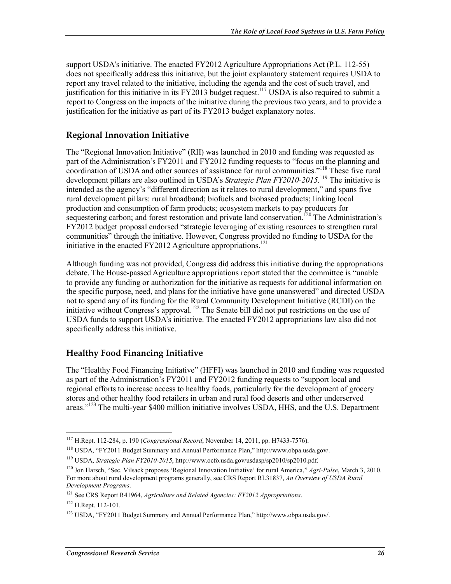support USDA's initiative. The enacted FY2012 Agriculture Appropriations Act (P.L. 112-55) does not specifically address this initiative, but the joint explanatory statement requires USDA to report any travel related to the initiative, including the agenda and the cost of such travel, and justification for this initiative in its FY2013 budget request.<sup>117</sup> USDA is also required to submit a report to Congress on the impacts of the initiative during the previous two years, and to provide a justification for the initiative as part of its FY2013 budget explanatory notes.

### **Regional Innovation Initiative**

The "Regional Innovation Initiative" (RII) was launched in 2010 and funding was requested as part of the Administration's FY2011 and FY2012 funding requests to "focus on the planning and coordination of USDA and other sources of assistance for rural communities."<sup>118</sup> These five rural development pillars are also outlined in USDA's *Strategic Plan FY2010-2015.*<sup>119</sup> The initiative is intended as the agency's "different direction as it relates to rural development," and spans five rural development pillars: rural broadband; biofuels and biobased products; linking local production and consumption of farm products; ecosystem markets to pay producers for sequestering carbon; and forest restoration and private land conservation.<sup>120</sup> The Administration's FY2012 budget proposal endorsed "strategic leveraging of existing resources to strengthen rural communities" through the initiative. However, Congress provided no funding to USDA for the initiative in the enacted FY2012 Agriculture appropriations.<sup>121</sup>

Although funding was not provided, Congress did address this initiative during the appropriations debate. The House-passed Agriculture appropriations report stated that the committee is "unable to provide any funding or authorization for the initiative as requests for additional information on the specific purpose, need, and plans for the initiative have gone unanswered" and directed USDA not to spend any of its funding for the Rural Community Development Initiative (RCDI) on the initiative without Congress's approval.<sup>122</sup> The Senate bill did not put restrictions on the use of USDA funds to support USDA's initiative. The enacted FY2012 appropriations law also did not specifically address this initiative.

### **Healthy Food Financing Initiative**

The "Healthy Food Financing Initiative" (HFFI) was launched in 2010 and funding was requested as part of the Administration's FY2011 and FY2012 funding requests to "support local and regional efforts to increase access to healthy foods, particularly for the development of grocery stores and other healthy food retailers in urban and rural food deserts and other underserved areas."<sup>123</sup> The multi-year \$400 million initiative involves USDA, HHS, and the U.S. Department

<sup>117</sup> H.Rept. 112-284, p. 190 (*Congressional Record*, November 14, 2011, pp. H7433-7576).

<sup>118</sup> USDA, "FY2011 Budget Summary and Annual Performance Plan," http://www.obpa.usda.gov/.

<sup>119</sup> USDA, *Strategic Plan FY2010-2015*, http://www.ocfo.usda.gov/usdasp/sp2010/sp2010.pdf.

<sup>120</sup> Jon Harsch, "Sec. Vilsack proposes 'Regional Innovation Initiative' for rural America," *Agri-Pulse*, March 3, 2010. For more about rural development programs generally, see CRS Report RL31837, *An Overview of USDA Rural Development Programs*.

<sup>121</sup> See CRS Report R41964, *Agriculture and Related Agencies: FY2012 Appropriations*.

<sup>122</sup> H.Rept. 112-101.

<sup>123</sup> USDA, "FY2011 Budget Summary and Annual Performance Plan," http://www.obpa.usda.gov/.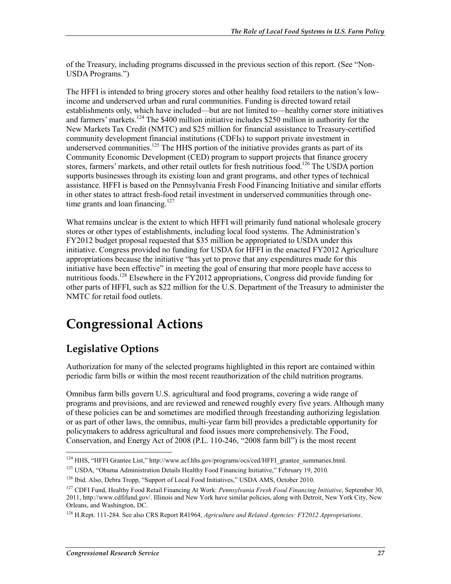of the Treasury, including programs discussed in the previous section of this report. (See "Non-USDA Programs.")

The HFFI is intended to bring grocery stores and other healthy food retailers to the nation's lowincome and underserved urban and rural communities. Funding is directed toward retail establishments only, which have included—but are not limited to—healthy corner store initiatives and farmers' markets.<sup>124</sup> The \$400 million initiative includes \$250 million in authority for the New Markets Tax Credit (NMTC) and \$25 million for financial assistance to Treasury-certified community development financial institutions (CDFIs) to support private investment in underserved communities.<sup>125</sup> The HHS portion of the initiative provides grants as part of its Community Economic Development (CED) program to support projects that finance grocery stores, farmers' markets, and other retail outlets for fresh nutritious food.<sup>126</sup> The USDA portion supports businesses through its existing loan and grant programs, and other types of technical assistance. HFFI is based on the Pennsylvania Fresh Food Financing Initiative and similar efforts in other states to attract fresh-food retail investment in underserved communities through onetime grants and loan financing.<sup>127</sup>

What remains unclear is the extent to which HFFI will primarily fund national wholesale grocery stores or other types of establishments, including local food systems. The Administration's FY2012 budget proposal requested that \$35 million be appropriated to USDA under this initiative. Congress provided no funding for USDA for HFFI in the enacted FY2012 Agriculture appropriations because the initiative "has yet to prove that any expenditures made for this initiative have been effective" in meeting the goal of ensuring that more people have access to nutritious foods.<sup>128</sup> Elsewhere in the FY2012 appropriations, Congress did provide funding for other parts of HFFI, such as \$22 million for the U.S. Department of the Treasury to administer the NMTC for retail food outlets.

## **Congressional Actions**

### **Legislative Options**

Authorization for many of the selected programs highlighted in this report are contained within periodic farm bills or within the most recent reauthorization of the child nutrition programs.

Omnibus farm bills govern U.S. agricultural and food programs, covering a wide range of programs and provisions, and are reviewed and renewed roughly every five years. Although many of these policies can be and sometimes are modified through freestanding authorizing legislation or as part of other laws, the omnibus, multi-year farm bill provides a predictable opportunity for policymakers to address agricultural and food issues more comprehensively. The Food, Conservation, and Energy Act of 2008 (P.L. 110-246, "2008 farm bill") is the most recent

<sup>1</sup> <sup>124</sup> HHS, "HFFI Grantee List," http://www.acf.hhs.gov/programs/ocs/ced/HFFI\_grantee\_summaries.html.

<sup>&</sup>lt;sup>125</sup> USDA, "Obama Administration Details Healthy Food Financing Initiative," February 19, 2010.

<sup>&</sup>lt;sup>126</sup> Ibid. Also, Debra Tropp, "Support of Local Food Initiatives," USDA AMS, October 2010.

<sup>127</sup> CDFI Fund, Healthy Food Retail Financing At Work: *Pennsylvania Fresh Food Financing Initiative*, September 30, 2011, http://www.cdfifund.gov/. Illinois and New York have similar policies, along with Detroit, New York City, New Orleans, and Washington, DC.

<sup>128</sup> H.Rept. 111-284. See also CRS Report R41964, *Agriculture and Related Agencies: FY2012 Appropriations*.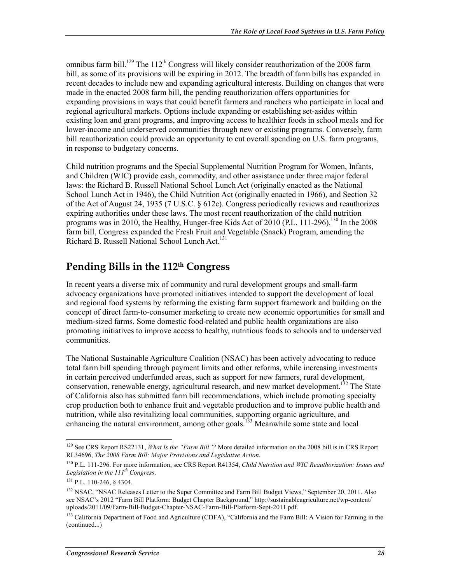omnibus farm bill.<sup>129</sup> The 112<sup>th</sup> Congress will likely consider reauthorization of the 2008 farm bill, as some of its provisions will be expiring in 2012. The breadth of farm bills has expanded in recent decades to include new and expanding agricultural interests. Building on changes that were made in the enacted 2008 farm bill, the pending reauthorization offers opportunities for expanding provisions in ways that could benefit farmers and ranchers who participate in local and regional agricultural markets. Options include expanding or establishing set-asides within existing loan and grant programs, and improving access to healthier foods in school meals and for lower-income and underserved communities through new or existing programs. Conversely, farm bill reauthorization could provide an opportunity to cut overall spending on U.S. farm programs, in response to budgetary concerns.

Child nutrition programs and the Special Supplemental Nutrition Program for Women, Infants, and Children (WIC) provide cash, commodity, and other assistance under three major federal laws: the Richard B. Russell National School Lunch Act (originally enacted as the National School Lunch Act in 1946), the Child Nutrition Act (originally enacted in 1966), and Section 32 of the Act of August 24, 1935 (7 U.S.C. § 612c). Congress periodically reviews and reauthorizes expiring authorities under these laws. The most recent reauthorization of the child nutrition programs was in 2010, the Healthy, Hunger-free Kids Act of 2010 (P.L. 111-296).<sup>130</sup> In the 2008 farm bill, Congress expanded the Fresh Fruit and Vegetable (Snack) Program, amending the Richard B. Russell National School Lunch Act.<sup>131</sup>

### **Pending Bills in the 112th Congress**

In recent years a diverse mix of community and rural development groups and small-farm advocacy organizations have promoted initiatives intended to support the development of local and regional food systems by reforming the existing farm support framework and building on the concept of direct farm-to-consumer marketing to create new economic opportunities for small and medium-sized farms. Some domestic food-related and public health organizations are also promoting initiatives to improve access to healthy, nutritious foods to schools and to underserved communities.

The National Sustainable Agriculture Coalition (NSAC) has been actively advocating to reduce total farm bill spending through payment limits and other reforms, while increasing investments in certain perceived underfunded areas, such as support for new farmers, rural development, conservation, renewable energy, agricultural research, and new market development.<sup>132</sup> The State of California also has submitted farm bill recommendations, which include promoting specialty crop production both to enhance fruit and vegetable production and to improve public health and nutrition, while also revitalizing local communities, supporting organic agriculture, and enhancing the natural environment, among other goals.<sup>133</sup> Meanwhile some state and local

<sup>&</sup>lt;sup>129</sup> See CRS Report RS22131, *What Is the "Farm Bill"?* More detailed information on the 2008 bill is in CRS Report RL34696, *The 2008 Farm Bill: Major Provisions and Legislative Action*.

<sup>130</sup> P.L. 111-296. For more information, see CRS Report R41354, *Child Nutrition and WIC Reauthorization: Issues and Legislation in the 111th Congress*.

<sup>131</sup> P.L. 110-246, § 4304.

<sup>&</sup>lt;sup>132</sup> NSAC, "NSAC Releases Letter to the Super Committee and Farm Bill Budget Views," September 20, 2011. Also see NSAC's 2012 "Farm Bill Platform: Budget Chapter Background," http://sustainableagriculture.net/wp-content/ uploads/2011/09/Farm-Bill-Budget-Chapter-NSAC-Farm-Bill-Platform-Sept-2011.pdf.

<sup>&</sup>lt;sup>133</sup> California Department of Food and Agriculture (CDFA), "California and the Farm Bill: A Vision for Farming in the (continued...)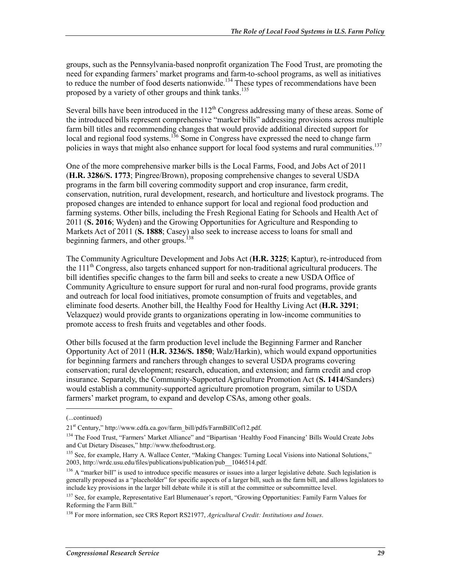groups, such as the Pennsylvania-based nonprofit organization The Food Trust, are promoting the need for expanding farmers' market programs and farm-to-school programs, as well as initiatives to reduce the number of food deserts nationwide.<sup>134</sup> These types of recommendations have been proposed by a variety of other groups and think tanks.<sup>135</sup>

Several bills have been introduced in the  $112<sup>th</sup>$  Congress addressing many of these areas. Some of the introduced bills represent comprehensive "marker bills" addressing provisions across multiple farm bill titles and recommending changes that would provide additional directed support for local and regional food systems.<sup>136</sup> Some in Congress have expressed the need to change farm policies in ways that might also enhance support for local food systems and rural communities.<sup>137</sup>

One of the more comprehensive marker bills is the Local Farms, Food, and Jobs Act of 2011 (**H.R. 3286/S. 1773**; Pingree/Brown), proposing comprehensive changes to several USDA programs in the farm bill covering commodity support and crop insurance, farm credit, conservation, nutrition, rural development, research, and horticulture and livestock programs. The proposed changes are intended to enhance support for local and regional food production and farming systems. Other bills, including the Fresh Regional Eating for Schools and Health Act of 2011 (**S. 2016**; Wyden) and the Growing Opportunities for Agriculture and Responding to Markets Act of 2011 (**S. 1888**; Casey) also seek to increase access to loans for small and beginning farmers, and other groups.<sup>138</sup>

The Community Agriculture Development and Jobs Act (**H.R. 3225**; Kaptur), re-introduced from the  $111<sup>th</sup>$  Congress, also targets enhanced support for non-traditional agricultural producers. The bill identifies specific changes to the farm bill and seeks to create a new USDA Office of Community Agriculture to ensure support for rural and non-rural food programs, provide grants and outreach for local food initiatives, promote consumption of fruits and vegetables, and eliminate food deserts. Another bill, the Healthy Food for Healthy Living Act (**H.R. 3291**; Velazquez) would provide grants to organizations operating in low-income communities to promote access to fresh fruits and vegetables and other foods.

Other bills focused at the farm production level include the Beginning Farmer and Rancher Opportunity Act of 2011 (**H.R. 3236/S. 1850**; Walz/Harkin), which would expand opportunities for beginning farmers and ranchers through changes to several USDA programs covering conservation; rural development; research, education, and extension; and farm credit and crop insurance. Separately, the Community-Supported Agriculture Promotion Act (**S. 1414/**Sanders) would establish a community-supported agriculture promotion program, similar to USDA farmers' market program, to expand and develop CSAs, among other goals.

<sup>(...</sup>continued)

<sup>21&</sup>lt;sup>st</sup> Century," http://www.cdfa.ca.gov/farm\_bill/pdfs/FarmBillCof12.pdf.

<sup>&</sup>lt;sup>134</sup> The Food Trust, "Farmers' Market Alliance" and "Bipartisan 'Healthy Food Financing' Bills Would Create Jobs and Cut Dietary Diseases," http://www.thefoodtrust.org.

<sup>&</sup>lt;sup>135</sup> See, for example, Harry A. Wallace Center, "Making Changes: Turning Local Visions into National Solutions," 2003, http://wrdc.usu.edu/files/publications/publication/pub\_\_1046514.pdf.

<sup>&</sup>lt;sup>136</sup> A "marker bill" is used to introduce specific measures or issues into a larger legislative debate. Such legislation is generally proposed as a "placeholder" for specific aspects of a larger bill, such as the farm bill, and allows legislators to include key provisions in the larger bill debate while it is still at the committee or subcommittee level.

<sup>&</sup>lt;sup>137</sup> See, for example, Representative Earl Blumenauer's report, "Growing Opportunities: Family Farm Values for Reforming the Farm Bill."

<sup>138</sup> For more information, see CRS Report RS21977, *Agricultural Credit: Institutions and Issues*.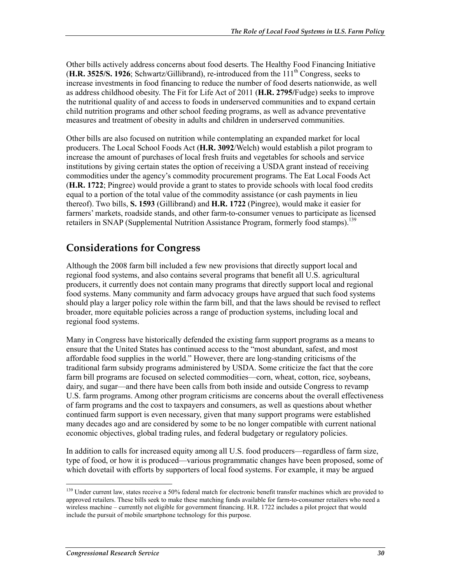Other bills actively address concerns about food deserts. The Healthy Food Financing Initiative  $(H.R. 3525/S. 1926$ ; Schwartz/Gillibrand), re-introduced from the  $111<sup>th</sup>$  Congress, seeks to increase investments in food financing to reduce the number of food deserts nationwide, as well as address childhood obesity. The Fit for Life Act of 2011 (**H.R. 2795/**Fudge) seeks to improve the nutritional quality of and access to foods in underserved communities and to expand certain child nutrition programs and other school feeding programs, as well as advance preventative measures and treatment of obesity in adults and children in underserved communities.

Other bills are also focused on nutrition while contemplating an expanded market for local producers. The Local School Foods Act (**H.R. 3092**/Welch) would establish a pilot program to increase the amount of purchases of local fresh fruits and vegetables for schools and service institutions by giving certain states the option of receiving a USDA grant instead of receiving commodities under the agency's commodity procurement programs. The Eat Local Foods Act (**H.R. 1722**; Pingree) would provide a grant to states to provide schools with local food credits equal to a portion of the total value of the commodity assistance (or cash payments in lieu thereof). Two bills, **S. 1593** (Gillibrand) and **H.R. 1722** (Pingree), would make it easier for farmers' markets, roadside stands, and other farm-to-consumer venues to participate as licensed retailers in SNAP (Supplemental Nutrition Assistance Program, formerly food stamps).<sup>139</sup>

### **Considerations for Congress**

Although the 2008 farm bill included a few new provisions that directly support local and regional food systems, and also contains several programs that benefit all U.S. agricultural producers, it currently does not contain many programs that directly support local and regional food systems. Many community and farm advocacy groups have argued that such food systems should play a larger policy role within the farm bill, and that the laws should be revised to reflect broader, more equitable policies across a range of production systems, including local and regional food systems.

Many in Congress have historically defended the existing farm support programs as a means to ensure that the United States has continued access to the "most abundant, safest, and most affordable food supplies in the world." However, there are long-standing criticisms of the traditional farm subsidy programs administered by USDA. Some criticize the fact that the core farm bill programs are focused on selected commodities—corn, wheat, cotton, rice, soybeans, dairy, and sugar—and there have been calls from both inside and outside Congress to revamp U.S. farm programs. Among other program criticisms are concerns about the overall effectiveness of farm programs and the cost to taxpayers and consumers, as well as questions about whether continued farm support is even necessary, given that many support programs were established many decades ago and are considered by some to be no longer compatible with current national economic objectives, global trading rules, and federal budgetary or regulatory policies.

In addition to calls for increased equity among all U.S. food producers—regardless of farm size, type of food, or how it is produced—various programmatic changes have been proposed, some of which dovetail with efforts by supporters of local food systems. For example, it may be argued

<sup>&</sup>lt;sup>139</sup> Under current law, states receive a 50% federal match for electronic benefit transfer machines which are provided to approved retailers. These bills seek to make these matching funds available for farm-to-consumer retailers who need a wireless machine – currently not eligible for government financing. H.R. 1722 includes a pilot project that would include the pursuit of mobile smartphone technology for this purpose.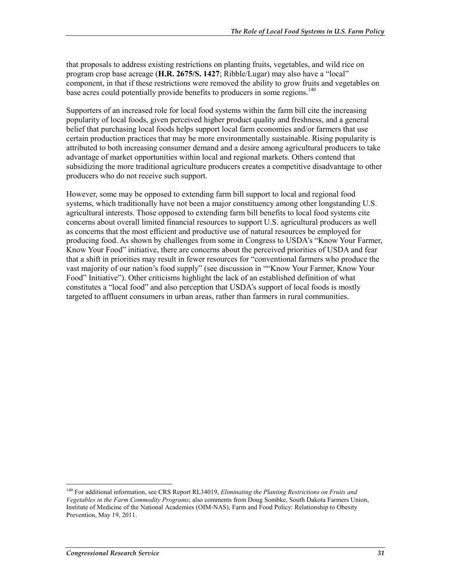that proposals to address existing restrictions on planting fruits, vegetables, and wild rice on program crop base acreage (**H.R. 2675/S. 1427**; Ribble/Lugar) may also have a "local" component, in that if these restrictions were removed the ability to grow fruits and vegetables on base acres could potentially provide benefits to producers in some regions.<sup>140</sup>

Supporters of an increased role for local food systems within the farm bill cite the increasing popularity of local foods, given perceived higher product quality and freshness, and a general belief that purchasing local foods helps support local farm economies and/or farmers that use certain production practices that may be more environmentally sustainable. Rising popularity is attributed to both increasing consumer demand and a desire among agricultural producers to take advantage of market opportunities within local and regional markets. Others contend that subsidizing the more traditional agriculture producers creates a competitive disadvantage to other producers who do not receive such support.

However, some may be opposed to extending farm bill support to local and regional food systems, which traditionally have not been a major constituency among other longstanding U.S. agricultural interests. Those opposed to extending farm bill benefits to local food systems cite concerns about overall limited financial resources to support U.S. agricultural producers as well as concerns that the most efficient and productive use of natural resources be employed for producing food. As shown by challenges from some in Congress to USDA's "Know Your Farmer, Know Your Food" initiative, there are concerns about the perceived priorities of USDA and fear that a shift in priorities may result in fewer resources for "conventional farmers who produce the vast majority of our nation's food supply" (see discussion in ""Know Your Farmer, Know Your Food" Initiative"). Other criticisms highlight the lack of an established definition of what constitutes a "local food" and also perception that USDA's support of local foods is mostly targeted to affluent consumers in urban areas, rather than farmers in rural communities.

<sup>140</sup> For additional information, see CRS Report RL34019, *Eliminating the Planting Restrictions on Fruits and Vegetables in the Farm Commodity Programs*; also comments from Doug Sombke, South Dakota Farmers Union, Institute of Medicine of the National Academies (OIM-NAS), Farm and Food Policy: Relationship to Obesity Prevention, May 19, 2011.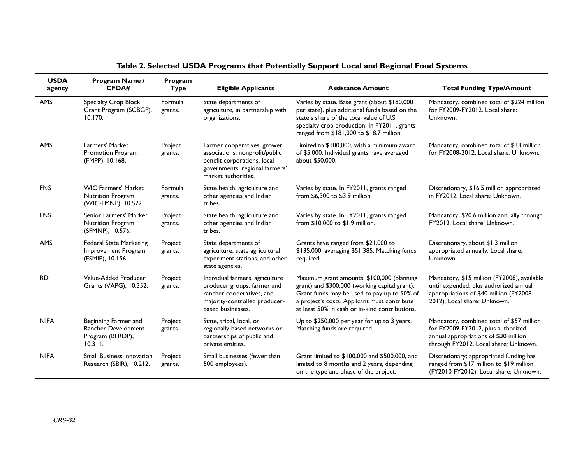| <b>USDA</b><br>agency | Program Name /<br><b>CFDA#</b>                                             | Program<br><b>Type</b> | <b>Eligible Applicants</b>                                                                                                                            | <b>Assistance Amount</b>                                                                                                                                                                                                                     | <b>Total Funding Type/Amount</b>                                                                                                                                  |
|-----------------------|----------------------------------------------------------------------------|------------------------|-------------------------------------------------------------------------------------------------------------------------------------------------------|----------------------------------------------------------------------------------------------------------------------------------------------------------------------------------------------------------------------------------------------|-------------------------------------------------------------------------------------------------------------------------------------------------------------------|
| <b>AMS</b>            | Specialty Crop Block<br>Grant Program (SCBGP),<br>10.170.                  | Formula<br>grants.     | State departments of<br>agriculture, in partnership with<br>organizations.                                                                            | Varies by state. Base grant (about \$180,000<br>per state), plus additional funds based on the<br>state's share of the total value of U.S.<br>specialty crop production. In FY2011, grants<br>ranged from \$181,000 to \$18.7 million.       | Mandatory, combined total of \$224 million<br>for FY2009-FY2012. Local share:<br>Unknown.                                                                         |
| <b>AMS</b>            | <b>Farmers' Market</b><br>Promotion Program<br>(FMPP), 10.168.             | Project<br>grants.     | Farmer cooperatives, grower<br>associations, nonprofit/public<br>benefit corporations, local<br>governments, regional farmers'<br>market authorities. | Limited to \$100,000, with a minimum award<br>of \$5,000. Individual grants have averaged<br>about \$50,000.                                                                                                                                 | Mandatory, combined total of \$33 million<br>for FY2008-2012. Local share: Unknown.                                                                               |
| <b>FNS</b>            | <b>WIC Farmers' Market</b><br>Nutrition Program<br>(WIC-FMNP), 10.572.     | Formula<br>grants.     | State health, agriculture and<br>other agencies and Indian<br>tribes.                                                                                 | Varies by state. In FY2011, grants ranged<br>from \$6,300 to \$3.9 million.                                                                                                                                                                  | Discretionary, \$16.5 million appropriated<br>in FY2012. Local share: Unknown.                                                                                    |
| <b>FNS</b>            | <b>Senior Farmers' Market</b><br>Nutrition Program<br>(SFMNP), 10.576.     | Project<br>grants.     | State health, agriculture and<br>other agencies and Indian<br>tribes.                                                                                 | Varies by state. In FY2011, grants ranged<br>from \$10,000 to \$1.9 million.                                                                                                                                                                 | Mandatory, \$20.6 million annually through<br>FY2012. Local share: Unknown.                                                                                       |
| AMS                   | <b>Federal State Marketing</b><br>Improvement Program<br>(FSMIP), 10.156.  | Project<br>grants.     | State departments of<br>agriculture, state agricultural<br>experiment stations, and other<br>state agencies.                                          | Grants have ranged from \$21,000 to<br>\$135,000, averaging \$51,385. Matching funds<br>required.                                                                                                                                            | Discretionary, about \$1.3 million<br>appropriated annually. Local share:<br>Unknown.                                                                             |
| <b>RD</b>             | Value-Added Producer<br>Grants (VAPG), 10.352.                             | Project<br>grants.     | Individual farmers, agriculture<br>producer groups, farmer and<br>rancher cooperatives, and<br>majority-controlled producer-<br>based businesses.     | Maximum grant amounts: \$100,000 (planning<br>grant) and \$300,000 (working capital grant).<br>Grant funds may be used to pay up to 50% of<br>a project's costs. Applicant must contribute<br>at least 50% in cash or in-kind contributions. | Mandatory, \$15 million (FY2008), available<br>until expended, plus authorized annual<br>appropriations of \$40 million (FY2008-<br>2012). Local share: Unknown.  |
| <b>NIFA</b>           | Beginning Farmer and<br>Rancher Development<br>Program (BFRDP),<br>10.311. | Project<br>grants.     | State, tribal, local, or<br>regionally-based networks or<br>partnerships of public and<br>private entities.                                           | Up to \$250,000 per year for up to 3 years.<br>Matching funds are required.                                                                                                                                                                  | Mandatory, combined total of \$57 million<br>for FY2009-FY2012, plus authorized<br>annual appropriations of \$30 million<br>through FY2012. Local share: Unknown. |
| <b>NIFA</b>           | <b>Small Business Innovation</b><br>Research (SBIR), 10.212.               | Project<br>grants.     | Small businesses (fewer than<br>500 employees).                                                                                                       | Grant limited to \$100,000 and \$500,000, and<br>limited to 8 months and 2 years, depending<br>on the type and phase of the project.                                                                                                         | Discretionary; appropriated funding has<br>ranged from \$17 million to \$19 million<br>(FY2010-FY2012). Local share: Unknown.                                     |

### **Table 2. Selected USDA Programs that Potentially Support Local and Regional Food Systems**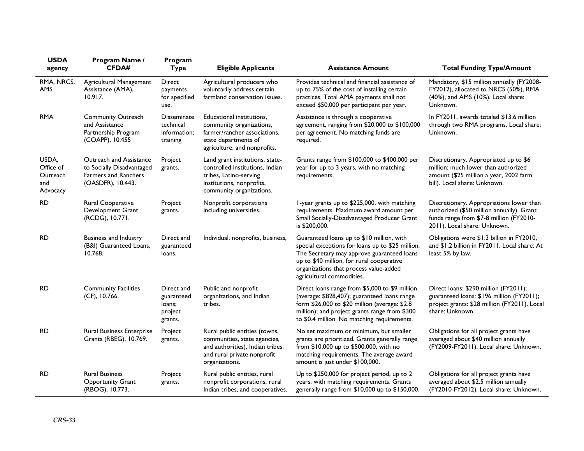| <b>USDA</b><br>agency                             | Program Name /<br><b>CFDA#</b>                                                                    | Program<br><b>Type</b>                                      | <b>Eligible Applicants</b>                                                                                                                            | <b>Assistance Amount</b>                                                                                                                                                                                                                                        | <b>Total Funding Type/Amount</b>                                                                                                                                 |
|---------------------------------------------------|---------------------------------------------------------------------------------------------------|-------------------------------------------------------------|-------------------------------------------------------------------------------------------------------------------------------------------------------|-----------------------------------------------------------------------------------------------------------------------------------------------------------------------------------------------------------------------------------------------------------------|------------------------------------------------------------------------------------------------------------------------------------------------------------------|
| RMA, NRCS,<br>AMS                                 | Agricultural Management<br>Assistance (AMA),<br>10.917.                                           | Direct<br>payments<br>for specified<br>use.                 | Agricultural producers who<br>voluntarily address certain<br>farmland conservation issues.                                                            | Provides technical and financial assistance of<br>up to 75% of the cost of installing certain<br>practices. Total AMA payments shall not<br>exceed \$50,000 per participant per year.                                                                           | Mandatory, \$15 million annually (FY2008-<br>FY2012), allocated to NRCS (50%), RMA<br>(40%), and AMS (10%). Local share:<br>Unknown.                             |
| <b>RMA</b>                                        | <b>Community Outreach</b><br>and Assistance<br>Partnership Program<br>(COAPP), 10.455             | <b>Disseminate</b><br>technical<br>information;<br>training | Educational institutions,<br>community organizations,<br>farmer/rancher associations,<br>state departments of<br>agriculture, and nonprofits.         | Assistance is through a cooperative<br>agreement, ranging from \$20,000 to \$100,000<br>per agreement. No matching funds are<br>required.                                                                                                                       | In FY2011, awards totaled \$13.6 million<br>through two RMA programs. Local share:<br>Unknown.                                                                   |
| USDA,<br>Office of<br>Outreach<br>and<br>Advocacy | Outreach and Assistance<br>to Socially Disadvantaged<br>Farmers and Ranchers<br>(OASDFR), 10.443. | Project<br>grants.                                          | Land grant institutions, state-<br>controlled institutions, Indian<br>tribes, Latino-serving<br>institutions, nonprofits,<br>community organizations. | Grants range from \$100,000 to \$400,000 per<br>year for up to 3 years, with no matching<br>requirements.                                                                                                                                                       | Discretionary. Appropriated up to \$6<br>million; much lower than authorized<br>amount (\$25 million a year, 2002 farm<br>bill). Local share: Unknown.           |
| RD.                                               | Rural Cooperative<br>Development Grant<br>(RCDG), 10.771.                                         | Project<br>grants.                                          | Nonprofit corporations<br>including universities.                                                                                                     | I-year grants up to \$225,000, with matching<br>requirements. Maximum award amount per<br>Small Socially-Disadvantaged Producer Grant<br>is \$200,000.                                                                                                          | Discretionary. Appropriations lower than<br>authorized (\$50 million annually). Grant<br>funds range from \$7-8 million (FY2010-<br>2011). Local share: Unknown. |
| <b>RD</b>                                         | <b>Business and Industry</b><br>(B&I) Guaranteed Loans,<br>10.768.                                | Direct and<br>guaranteed<br>loans.                          | Individual, nonprofits, business,                                                                                                                     | Guaranteed loans up to \$10 million, with<br>special exceptions for loans up to \$25 million.<br>The Secretary may approve guaranteed loans<br>up to \$40 million, for rural cooperative<br>organizations that process value-added<br>agricultural commodities. | Obligations were \$1.3 billion in FY2010,<br>and \$1.2 billion in FY2011. Local share: At<br>least 5% by law.                                                    |
| <b>RD</b>                                         | <b>Community Facilities</b><br>(CF), 10.766.                                                      | Direct and<br>guaranteed<br>loans;<br>project<br>grants.    | Public and nonprofit<br>organizations, and Indian<br>tribes.                                                                                          | Direct loans range from \$5,000 to \$9 million<br>(average: \$828,407); guaranteed loans range<br>form \$26,000 to \$20 million (average: \$2.8<br>million); and project grants range from \$300<br>to \$0.4 million. No matching requirements.                 | Direct loans: \$290 million (FY2011);<br>guaranteed loans: \$196 million (FY2011);<br>project grants: \$28 million (FY2011). Local<br>share: Unknown.            |
| <b>RD</b>                                         | <b>Rural Business Enterprise</b><br>Grants (RBEG), 10.769.                                        | Project<br>grants.                                          | Rural public entities (towns,<br>communities, state agencies,<br>and authorities), Indian tribes,<br>and rural private nonprofit<br>organizations.    | No set maximum or minimum, but smaller<br>grants are prioritized. Grants generally range<br>from \$10,000 up to \$500,000, with no<br>matching requirements. The average award<br>amount is just under \$100,000.                                               | Obligations for all project grants have<br>averaged about \$40 million annually<br>(FY2009-FY2011). Local share: Unknown.                                        |
| <b>RD</b>                                         | <b>Rural Business</b><br><b>Opportunity Grant</b><br>(RBOG), 10.773.                              | Project<br>grants.                                          | Rural public entities, rural<br>nonprofit corporations, rural<br>Indian tribes, and cooperatives.                                                     | Up to \$250,000 for project period, up to 2<br>years, with matching requirements. Grants<br>generally range from \$10,000 up to \$150,000.                                                                                                                      | Obligations for all project grants have<br>averaged about \$2.5 million annually<br>(FY2010-FY2012). Local share: Unknown.                                       |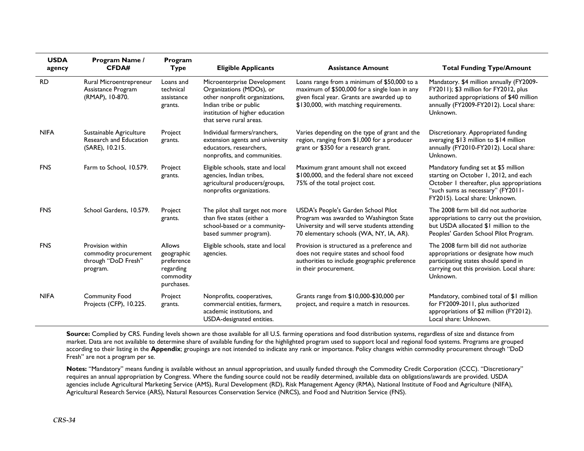| <b>USDA</b><br>agency | Program Name /<br><b>CFDA#</b>                                               | Program<br><b>Type</b>                                                            | <b>Eligible Applicants</b>                                                                                                                                                        | <b>Assistance Amount</b>                                                                                                                                                              | <b>Total Funding Type/Amount</b>                                                                                                                                                                  |
|-----------------------|------------------------------------------------------------------------------|-----------------------------------------------------------------------------------|-----------------------------------------------------------------------------------------------------------------------------------------------------------------------------------|---------------------------------------------------------------------------------------------------------------------------------------------------------------------------------------|---------------------------------------------------------------------------------------------------------------------------------------------------------------------------------------------------|
| <b>RD</b>             | Rural Microentrepreneur<br>Assistance Program<br>(RMAP), 10-870.             | Loans and<br>technical<br>assistance<br>grants.                                   | Microenterprise Development<br>Organizations (MDOs), or<br>other nonprofit organizations,<br>Indian tribe or public<br>institution of higher education<br>that serve rural areas. | Loans range from a minimum of \$50,000 to a<br>maximum of \$500,000 for a single loan in any<br>given fiscal year. Grants are awarded up to<br>\$130,000, with matching requirements. | Mandatory. \$4 million annually (FY2009-<br>FY2011); \$3 million for FY2012, plus<br>authorized appropriations of \$40 million<br>annually (FY2009-FY2012). Local share:<br>Unknown.              |
| <b>NIFA</b>           | Sustainable Agriculture<br>Research and Education<br>(SARE), 10.215.         | Project<br>grants.                                                                | Individual farmers/ranchers,<br>extension agents and university<br>educators, researchers,<br>nonprofits, and communities.                                                        | Varies depending on the type of grant and the<br>region, ranging from \$1,000 for a producer<br>grant or \$350 for a research grant.                                                  | Discretionary. Appropriated funding<br>averaging \$13 million to \$14 million<br>annually (FY2010-FY2012). Local share:<br>Unknown.                                                               |
| <b>FNS</b>            | Farm to School, 10.579.                                                      | Project<br>grants.                                                                | Eligible schools, state and local<br>agencies, Indian tribes,<br>agricultural producers/groups,<br>nonprofits organizations.                                                      | Maximum grant amount shall not exceed<br>\$100,000, and the federal share not exceed<br>75% of the total project cost.                                                                | Mandatory funding set at \$5 million<br>starting on October 1, 2012, and each<br>October 1 thereafter, plus appropriations<br>"such sums as necessary" (FY2011-<br>FY2015). Local share: Unknown. |
| <b>FNS</b>            | School Gardens, 10.579.                                                      | Project<br>grants.                                                                | The pilot shall target not more<br>than five states (either a<br>school-based or a community-<br>based summer program).                                                           | USDA's People's Garden School Pilot<br>Program was awarded to Washington State<br>University and will serve students attending<br>70 elementary schools (WA, NY, IA, AR).             | The 2008 farm bill did not authorize<br>appropriations to carry out the provision,<br>but USDA allocated \$1 million to the<br>Peoples' Garden School Pilot Program.                              |
| <b>FNS</b>            | Provision within<br>commodity procurement<br>through "DoD Fresh"<br>program. | <b>Allows</b><br>geographic<br>preference<br>regarding<br>commodity<br>purchases. | Eligible schools, state and local<br>agencies.                                                                                                                                    | Provision is structured as a preference and<br>does not require states and school food<br>authorities to include geographic preference<br>in their procurement.                       | The 2008 farm bill did not authorize<br>appropriations or designate how much<br>participating states should spend in<br>carrying out this provision. Local share:<br>Unknown.                     |
| <b>NIFA</b>           | <b>Community Food</b><br>Projects (CFP), 10.225.                             | Project<br>grants.                                                                | Nonprofits, cooperatives,<br>commercial entities, farmers,<br>academic institutions, and<br>USDA-designated entities.                                                             | Grants range from \$10,000-\$30,000 per<br>project, and require a match in resources.                                                                                                 | Mandatory, combined total of \$1 million<br>for FY2009-2011, plus authorized<br>appropriations of \$2 million (FY2012).<br>Local share: Unknown.                                                  |

Source: Complied by CRS. Funding levels shown are those available for all U.S. farming operations and food distribution systems, regardless of size and distance from market. Data are not available to determine share of available funding for the highlighted program used to support local and regional food systems. Programs are grouped according to their listing in the **Appendix**; groupings are not intended to indicate any rank or importance. Policy changes within commodity procurement through "DoD Fresh" are not a program per se.

**Notes:** "Mandatory" means funding is available without an annual appropriation, and usually funded through the Commodity Credit Corporation (CCC). "Discretionary" requires an annual appropriation by Congress. Where the funding source could not be readily determined, available data on obligations/awards are provided. USDA agencies include Agricultural Marketing Service (AMS), Rural Development (RD), Risk Management Agency (RMA), National Institute of Food and Agriculture (NIFA), Agricultural Research Service (ARS), Natural Resources Conservation Service (NRCS), and Food and Nutrition Service (FNS).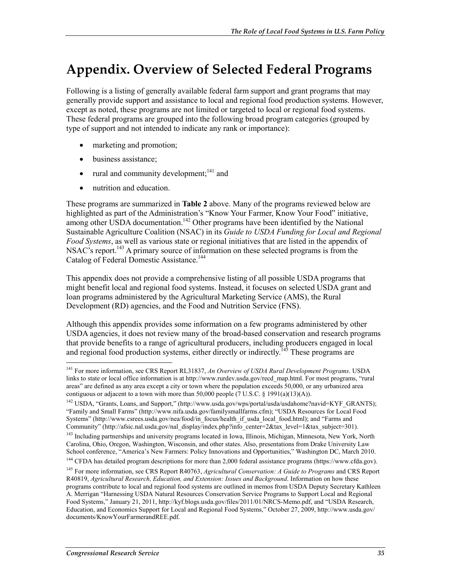## **Appendix. Overview of Selected Federal Programs**

Following is a listing of generally available federal farm support and grant programs that may generally provide support and assistance to local and regional food production systems. However, except as noted, these programs are not limited or targeted to local or regional food systems. These federal programs are grouped into the following broad program categories (grouped by type of support and not intended to indicate any rank or importance):

- marketing and promotion;
- business assistance:
- rural and community development; $^{141}$  and
- nutrition and education.

These programs are summarized in **Table 2** above. Many of the programs reviewed below are highlighted as part of the Administration's "Know Your Farmer, Know Your Food" initiative, among other USDA documentation.<sup>142</sup> Other programs have been identified by the National Sustainable Agriculture Coalition (NSAC) in its *Guide to USDA Funding for Local and Regional Food Systems*, as well as various state or regional initiatives that are listed in the appendix of NSAC's report.<sup>143</sup> A primary source of information on these selected programs is from the Catalog of Federal Domestic Assistance.<sup>144</sup>

This appendix does not provide a comprehensive listing of all possible USDA programs that might benefit local and regional food systems. Instead, it focuses on selected USDA grant and loan programs administered by the Agricultural Marketing Service (AMS), the Rural Development (RD) agencies, and the Food and Nutrition Service (FNS).

Although this appendix provides some information on a few programs administered by other USDA agencies, it does not review many of the broad-based conservation and research programs that provide benefits to a range of agricultural producers, including producers engaged in local and regional food production systems, either directly or indirectly.<sup>145</sup> These programs are

<sup>141</sup> For more information, see CRS Report RL31837, *An Overview of USDA Rural Development Programs*. USDA links to state or local office information is at http://www.rurdev.usda.gov/recd\_map.html. For most programs, "rural areas" are defined as any area except a city or town where the population exceeds 50,000, or any urbanized area contiguous or adjacent to a town with more than 50,000 people (7 U.S.C. § 1991(a)(13)(A)).

<sup>&</sup>lt;sup>142</sup> USDA, "Grants, Loans, and Support," (http://www.usda.gov/wps/portal/usda/usdahome?navid=KYF\_GRANTS); "Family and Small Farms" (http://www.nifa.usda.gov/familysmallfarms.cfm); "USDA Resources for Local Food Systems" (http://www.csrees.usda.gov/nea/food/in\_focus/health\_if\_usda\_local\_food.html); and "Farms and Community" (http://afsic.nal.usda.gov/nal\_display/index.php?info\_center=2&tax\_level=1&tax\_subject=301).

<sup>&</sup>lt;sup>143</sup> Including partnerships and university programs located in Iowa, Illinois, Michigan, Minnesota, New York, North Carolina, Ohio, Oregon, Washington, Wisconsin, and other states. Also, presentations from Drake University Law School conference, "America's New Farmers: Policy Innovations and Opportunities," Washington DC, March 2010.

<sup>&</sup>lt;sup>144</sup> CFDA has detailed program descriptions for more than 2,000 federal assistance programs (https://www.cfda.gov).

<sup>145</sup> For more information, see CRS Report R40763, *Agricultural Conservation: A Guide to Programs* and CRS Report R40819, *Agricultural Research, Education, and Extension: Issues and Background*. Information on how these programs contribute to local and regional food systems are outlined in memos from USDA Deputy Secretary Kathleen A. Merrigan "Harnessing USDA Natural Resources Conservation Service Programs to Support Local and Regional Food Systems," January 21, 2011, http://kyf.blogs.usda.gov/files/2011/01/NRCS-Memo.pdf, and "USDA Research, Education, and Economics Support for Local and Regional Food Systems," October 27, 2009, http://www.usda.gov/ documents/KnowYourFarmerandREE.pdf.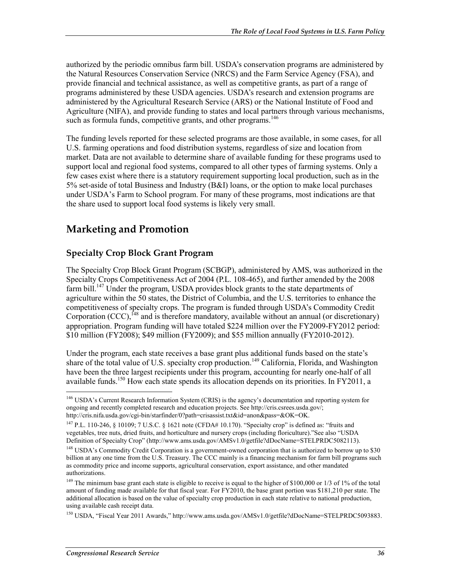authorized by the periodic omnibus farm bill. USDA's conservation programs are administered by the Natural Resources Conservation Service (NRCS) and the Farm Service Agency (FSA), and provide financial and technical assistance, as well as competitive grants, as part of a range of programs administered by these USDA agencies. USDA's research and extension programs are administered by the Agricultural Research Service (ARS) or the National Institute of Food and Agriculture (NIFA), and provide funding to states and local partners through various mechanisms, such as formula funds, competitive grants, and other programs.<sup>146</sup>

The funding levels reported for these selected programs are those available, in some cases, for all U.S. farming operations and food distribution systems, regardless of size and location from market. Data are not available to determine share of available funding for these programs used to support local and regional food systems, compared to all other types of farming systems. Only a few cases exist where there is a statutory requirement supporting local production, such as in the 5% set-aside of total Business and Industry (B&I) loans, or the option to make local purchases under USDA's Farm to School program. For many of these programs, most indications are that the share used to support local food systems is likely very small.

### **Marketing and Promotion**

### **Specialty Crop Block Grant Program**

The Specialty Crop Block Grant Program (SCBGP), administered by AMS, was authorized in the Specialty Crops Competitiveness Act of 2004 (P.L. 108-465), and further amended by the 2008 farm bill.<sup>147</sup> Under the program, USDA provides block grants to the state departments of agriculture within the 50 states, the District of Columbia, and the U.S. territories to enhance the competitiveness of specialty crops. The program is funded through USDA's Commodity Credit Corporation  $(CCC)$ ,  $^{148}$  and is therefore mandatory, available without an annual (or discretionary) appropriation. Program funding will have totaled \$224 million over the FY2009-FY2012 period: \$10 million (FY2008); \$49 million (FY2009); and \$55 million annually (FY2010-2012).

Under the program, each state receives a base grant plus additional funds based on the state's share of the total value of U.S. specialty crop production.<sup>149</sup> California, Florida, and Washington have been the three largest recipients under this program, accounting for nearly one-half of all available funds.<sup>150</sup> How each state spends its allocation depends on its priorities. In FY2011, a

<u>.</u>

<sup>&</sup>lt;sup>146</sup> USDA's Current Research Information System (CRIS) is the agency's documentation and reporting system for ongoing and recently completed research and education projects. See http://cris.csrees.usda.gov/; http://cris.nifa.usda.gov/cgi-bin/starfinder/0?path=crisassist.txt&id=anon&pass=&OK=OK.

<sup>147</sup> P.L. 110-246, § 10109; 7 U.S.C. § 1621 note (CFDA# 10.170). "Specialty crop" is defined as: "fruits and vegetables, tree nuts, dried fruits, and horticulture and nursery crops (including floriculture)."See also "USDA Definition of Specialty Crop" (http://www.ams.usda.gov/AMSv1.0/getfile?dDocName=STELPRDC5082113).

<sup>&</sup>lt;sup>148</sup> USDA's Commodity Credit Corporation is a government-owned corporation that is authorized to borrow up to \$30 billion at any one time from the U.S. Treasury. The CCC mainly is a financing mechanism for farm bill programs such as commodity price and income supports, agricultural conservation, export assistance, and other mandated authorizations.

<sup>&</sup>lt;sup>149</sup> The minimum base grant each state is eligible to receive is equal to the higher of \$100,000 or 1/3 of 1% of the total amount of funding made available for that fiscal year. For FY2010, the base grant portion was \$181,210 per state. The additional allocation is based on the value of specialty crop production in each state relative to national production, using available cash receipt data.

<sup>150</sup> USDA, "Fiscal Year 2011 Awards," http://www.ams.usda.gov/AMSv1.0/getfile?dDocName=STELPRDC5093883.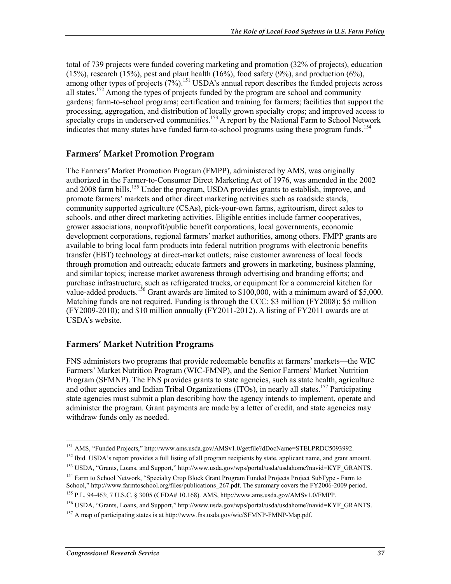total of 739 projects were funded covering marketing and promotion (32% of projects), education  $(15%)$ , research  $(15%)$ , pest and plant health  $(16%)$ , food safety  $(9%)$ , and production  $(6%)$ , among other types of projects  $(7\%)$ .<sup>151</sup> USDA's annual report describes the funded projects across all states.<sup>152</sup> Among the types of projects funded by the program are school and community gardens; farm-to-school programs; certification and training for farmers; facilities that support the processing, aggregation, and distribution of locally grown specialty crops; and improved access to specialty crops in underserved communities.<sup>153</sup> A report by the National Farm to School Network indicates that many states have funded farm-to-school programs using these program funds.<sup>154</sup>

### **Farmers' Market Promotion Program**

The Farmers' Market Promotion Program (FMPP), administered by AMS, was originally authorized in the Farmer-to-Consumer Direct Marketing Act of 1976, was amended in the 2002 and 2008 farm bills.<sup>155</sup> Under the program, USDA provides grants to establish, improve, and promote farmers' markets and other direct marketing activities such as roadside stands, community supported agriculture (CSAs), pick-your-own farms, agritourism, direct sales to schools, and other direct marketing activities. Eligible entities include farmer cooperatives, grower associations, nonprofit/public benefit corporations, local governments, economic development corporations, regional farmers' market authorities, among others. FMPP grants are available to bring local farm products into federal nutrition programs with electronic benefits transfer (EBT) technology at direct-market outlets; raise customer awareness of local foods through promotion and outreach; educate farmers and growers in marketing, business planning, and similar topics; increase market awareness through advertising and branding efforts; and purchase infrastructure, such as refrigerated trucks, or equipment for a commercial kitchen for value-added products.<sup>156</sup> Grant awards are limited to \$100,000, with a minimum award of \$5,000. Matching funds are not required. Funding is through the CCC: \$3 million (FY2008); \$5 million (FY2009-2010); and \$10 million annually (FY2011-2012). A listing of FY2011 awards are at USDA's website.

### **Farmers' Market Nutrition Programs**

FNS administers two programs that provide redeemable benefits at farmers' markets—the WIC Farmers' Market Nutrition Program (WIC-FMNP), and the Senior Farmers' Market Nutrition Program (SFMNP). The FNS provides grants to state agencies, such as state health, agriculture and other agencies and Indian Tribal Organizations (ITOs), in nearly all states.<sup>157</sup> Participating state agencies must submit a plan describing how the agency intends to implement, operate and administer the program. Grant payments are made by a letter of credit, and state agencies may withdraw funds only as needed.

- 154 Farm to School Network, "Specialty Crop Block Grant Program Funded Projects Project SubType Farm to School," http://www.farmtoschool.org/files/publications\_267.pdf. The summary covers the FY2006-2009 period.
- 155 P.L. 94-463; 7 U.S.C. § 3005 (CFDA# 10.168). AMS, http://www.ams.usda.gov/AMSv1.0/FMPP.

<sup>151</sup> AMS, "Funded Projects," http://www.ams.usda.gov/AMSv1.0/getfile?dDocName=STELPRDC5093992.

 $152$  Ibid. USDA's report provides a full listing of all program recipients by state, applicant name, and grant amount.

<sup>153</sup> USDA, "Grants, Loans, and Support," http://www.usda.gov/wps/portal/usda/usdahome?navid=KYF\_GRANTS.

<sup>156</sup> USDA, "Grants, Loans, and Support," http://www.usda.gov/wps/portal/usda/usdahome?navid=KYF\_GRANTS.

<sup>&</sup>lt;sup>157</sup> A map of participating states is at http://www.fns.usda.gov/wic/SFMNP-FMNP-Map.pdf.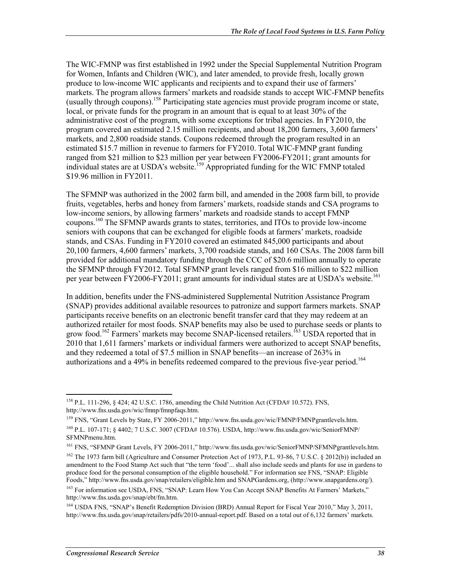The WIC-FMNP was first established in 1992 under the Special Supplemental Nutrition Program for Women, Infants and Children (WIC), and later amended, to provide fresh, locally grown produce to low-income WIC applicants and recipients and to expand their use of farmers' markets. The program allows farmers' markets and roadside stands to accept WIC-FMNP benefits (usually through coupons).158 Participating state agencies must provide program income or state, local, or private funds for the program in an amount that is equal to at least 30% of the administrative cost of the program, with some exceptions for tribal agencies. In FY2010, the program covered an estimated 2.15 million recipients, and about 18,200 farmers, 3,600 farmers' markets, and 2,800 roadside stands. Coupons redeemed through the program resulted in an estimated \$15.7 million in revenue to farmers for FY2010. Total WIC-FMNP grant funding ranged from \$21 million to \$23 million per year between FY2006-FY2011; grant amounts for individual states are at USDA's website.<sup>159</sup> Appropriated funding for the WIC FMNP totaled \$19.96 million in FY2011.

The SFMNP was authorized in the 2002 farm bill, and amended in the 2008 farm bill, to provide fruits, vegetables, herbs and honey from farmers' markets, roadside stands and CSA programs to low-income seniors, by allowing farmers' markets and roadside stands to accept FMNP coupons.160 The SFMNP awards grants to states, territories, and ITOs to provide low-income seniors with coupons that can be exchanged for eligible foods at farmers' markets, roadside stands, and CSAs. Funding in FY2010 covered an estimated 845,000 participants and about 20,100 farmers, 4,600 farmers' markets, 3,700 roadside stands, and 160 CSAs. The 2008 farm bill provided for additional mandatory funding through the CCC of \$20.6 million annually to operate the SFMNP through FY2012. Total SFMNP grant levels ranged from \$16 million to \$22 million per year between FY2006-FY2011; grant amounts for individual states are at USDA's website.<sup>161</sup>

In addition, benefits under the FNS-administered Supplemental Nutrition Assistance Program (SNAP) provides additional available resources to patronize and support farmers markets. SNAP participants receive benefits on an electronic benefit transfer card that they may redeem at an authorized retailer for most foods. SNAP benefits may also be used to purchase seeds or plants to grow food.<sup>162</sup> Farmers' markets may become SNAP-licensed retailers.<sup>163</sup> USDA reported that in 2010 that 1,611 farmers' markets or individual farmers were authorized to accept SNAP benefits, and they redeemed a total of \$7.5 million in SNAP benefits—an increase of 263% in authorizations and a 49% in benefits redeemed compared to the previous five-year period.<sup>164</sup>

<u>.</u>

<sup>&</sup>lt;sup>158</sup> P.L. 111-296, § 424; 42 U.S.C. 1786, amending the Child Nutrition Act (CFDA# 10.572). FNS, http://www.fns.usda.gov/wic/fmnp/fmnpfaqs.htm.

<sup>&</sup>lt;sup>159</sup> FNS, "Grant Levels by State, FY 2006-2011," http://www.fns.usda.gov/wic/FMNP/FMNPgrantlevels.htm. 160 P.L. 107-171; § 4402; 7 U.S.C. 3007 (CFDA# 10.576). USDA, http://www.fns.usda.gov/wic/SeniorFMNP/ SFMNPmenu.htm.

<sup>161</sup> FNS, "SFMNP Grant Levels, FY 2006-2011," http://www.fns.usda.gov/wic/SeniorFMNP/SFMNPgrantlevels.htm.

<sup>&</sup>lt;sup>162</sup> The 1973 farm bill (Agriculture and Consumer Protection Act of 1973, P.L. 93-86, 7 U.S.C. § 2012(b)) included an amendment to the Food Stamp Act such that "the term 'food'... shall also include seeds and plants for use in gardens to produce food for the personal consumption of the eligible household." For information see FNS, "SNAP: Eligible Foods," http://www.fns.usda.gov/snap/retailers/eligible.htm and SNAPGardens.org, (http://www.snapgardens.org/).

<sup>&</sup>lt;sup>163</sup> For information see USDA, FNS, "SNAP: Learn How You Can Accept SNAP Benefits At Farmers' Markets," http://www.fns.usda.gov/snap/ebt/fm.htm.

<sup>&</sup>lt;sup>164</sup> USDA FNS, "SNAP's Benefit Redemption Division (BRD) Annual Report for Fiscal Year 2010," May 3, 2011, http://www.fns.usda.gov/snap/retailers/pdfs/2010-annual-report.pdf. Based on a total out of 6,132 farmers' markets.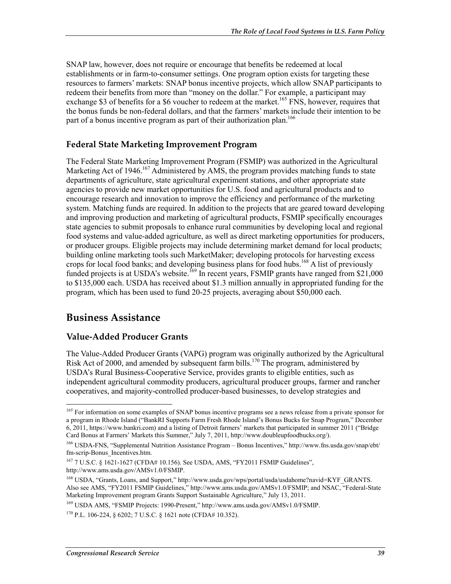SNAP law, however, does not require or encourage that benefits be redeemed at local establishments or in farm-to-consumer settings. One program option exists for targeting these resources to farmers' markets: SNAP bonus incentive projects, which allow SNAP participants to redeem their benefits from more than "money on the dollar." For example, a participant may exchange \$3 of benefits for a \$6 voucher to redeem at the market.<sup>165</sup> FNS, however, requires that the bonus funds be non-federal dollars, and that the farmers' markets include their intention to be part of a bonus incentive program as part of their authorization plan.<sup>166</sup>

#### **Federal State Marketing Improvement Program**

The Federal State Marketing Improvement Program (FSMIP) was authorized in the Agricultural Marketing Act of 1946.<sup>167</sup> Administered by AMS, the program provides matching funds to state departments of agriculture, state agricultural experiment stations, and other appropriate state agencies to provide new market opportunities for U.S. food and agricultural products and to encourage research and innovation to improve the efficiency and performance of the marketing system. Matching funds are required. In addition to the projects that are geared toward developing and improving production and marketing of agricultural products, FSMIP specifically encourages state agencies to submit proposals to enhance rural communities by developing local and regional food systems and value-added agriculture, as well as direct marketing opportunities for producers, or producer groups. Eligible projects may include determining market demand for local products; building online marketing tools such MarketMaker; developing protocols for harvesting excess crops for local food banks; and developing business plans for food hubs.<sup>168</sup> A list of previously funded projects is at USDA's website.<sup>169</sup> In recent years, FSMIP grants have ranged from \$21,000 to \$135,000 each. USDA has received about \$1.3 million annually in appropriated funding for the program, which has been used to fund 20-25 projects, averaging about \$50,000 each.

### **Business Assistance**

<u>.</u>

### **Value-Added Producer Grants**

The Value-Added Producer Grants (VAPG) program was originally authorized by the Agricultural Risk Act of 2000, and amended by subsequent farm bills.<sup>170</sup> The program, administered by USDA's Rural Business-Cooperative Service, provides grants to eligible entities, such as independent agricultural commodity producers, agricultural producer groups, farmer and rancher cooperatives, and majority-controlled producer-based businesses, to develop strategies and

169 USDA AMS, "FSMIP Projects: 1990-Present," http://www.ams.usda.gov/AMSv1.0/FSMIP.

<sup>&</sup>lt;sup>165</sup> For information on some examples of SNAP bonus incentive programs see a news release from a private sponsor for a program in Rhode Island ("BankRI Supports Farm Fresh Rhode Island's Bonus Bucks for Snap Program," December 6, 2011, https://www.bankri.com) and a listing of Detroit farmers' markets that participated in summer 2011 ("Bridge Card Bonus at Farmers' Markets this Summer," July 7, 2011, http://www.doubleupfoodbucks.org/).

<sup>166</sup> USDA-FNS, "Supplemental Nutrition Assistance Program – Bonus Incentives," http://www.fns.usda.gov/snap/ebt/ fm-scrip-Bonus\_Incentives.htm.

<sup>167 7</sup> U.S.C. § 1621-1627 (CFDA# 10.156). See USDA, AMS, "FY2011 FSMIP Guidelines", http://www.ams.usda.gov/AMSv1.0/FSMIP.

<sup>168</sup> USDA, "Grants, Loans, and Support," http://www.usda.gov/wps/portal/usda/usdahome?navid=KYF\_GRANTS. Also see AMS, "FY2011 FSMIP Guidelines," http://www.ams.usda.gov/AMSv1.0/FSMIP; and NSAC, "Federal-State Marketing Improvement program Grants Support Sustainable Agriculture," July 13, 2011.

<sup>170</sup> P.L. 106-224, § 6202; 7 U.S.C. § 1621 note (CFDA# 10.352).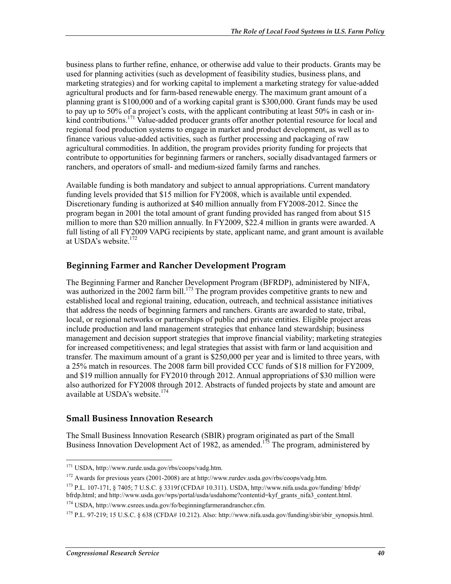business plans to further refine, enhance, or otherwise add value to their products. Grants may be used for planning activities (such as development of feasibility studies, business plans, and marketing strategies) and for working capital to implement a marketing strategy for value-added agricultural products and for farm-based renewable energy. The maximum grant amount of a planning grant is \$100,000 and of a working capital grant is \$300,000. Grant funds may be used to pay up to 50% of a project's costs, with the applicant contributing at least 50% in cash or inkind contributions.<sup>171</sup> Value-added producer grants offer another potential resource for local and regional food production systems to engage in market and product development, as well as to finance various value-added activities, such as further processing and packaging of raw agricultural commodities. In addition, the program provides priority funding for projects that contribute to opportunities for beginning farmers or ranchers, socially disadvantaged farmers or ranchers, and operators of small- and medium-sized family farms and ranches.

Available funding is both mandatory and subject to annual appropriations. Current mandatory funding levels provided that \$15 million for FY2008, which is available until expended. Discretionary funding is authorized at \$40 million annually from FY2008-2012. Since the program began in 2001 the total amount of grant funding provided has ranged from about \$15 million to more than \$20 million annually. In FY2009, \$22.4 million in grants were awarded. A full listing of all FY2009 VAPG recipients by state, applicant name, and grant amount is available at USDA's website.<sup>172</sup>

### **Beginning Farmer and Rancher Development Program**

The Beginning Farmer and Rancher Development Program (BFRDP), administered by NIFA, was authorized in the 2002 farm bill.<sup>173</sup> The program provides competitive grants to new and established local and regional training, education, outreach, and technical assistance initiatives that address the needs of beginning farmers and ranchers. Grants are awarded to state, tribal, local, or regional networks or partnerships of public and private entities. Eligible project areas include production and land management strategies that enhance land stewardship; business management and decision support strategies that improve financial viability; marketing strategies for increased competitiveness; and legal strategies that assist with farm or land acquisition and transfer. The maximum amount of a grant is \$250,000 per year and is limited to three years, with a 25% match in resources. The 2008 farm bill provided CCC funds of \$18 million for FY2009, and \$19 million annually for FY2010 through 2012. Annual appropriations of \$30 million were also authorized for FY2008 through 2012. Abstracts of funded projects by state and amount are available at USDA's website. $174$ 

### **Small Business Innovation Research**

The Small Business Innovation Research (SBIR) program originated as part of the Small Business Innovation Development Act of 1982, as amended.<sup>175</sup> The program, administered by

<sup>171</sup> USDA, http://www.rurde.usda.gov/rbs/coops/vadg.htm.

<sup>172</sup> Awards for previous years (2001-2008) are at http://www.rurdev.usda.gov/rbs/coops/vadg.htm.

<sup>173</sup> P.L. 107-171, § 7405; 7 U.S.C. § 3319f (CFDA# 10.311). USDA, http://www.nifa.usda.gov/funding/ bfrdp/ bfrdp.html; and http://www.usda.gov/wps/portal/usda/usdahome?contentid=kyf\_grants\_nifa3\_content.html.

<sup>174</sup> USDA, http://www.csrees.usda.gov/fo/beginningfarmerandrancher.cfm.

<sup>&</sup>lt;sup>175</sup> P.L. 97-219; 15 U.S.C. § 638 (CFDA# 10.212). Also: http://www.nifa.usda.gov/funding/sbir/sbir\_synopsis.html.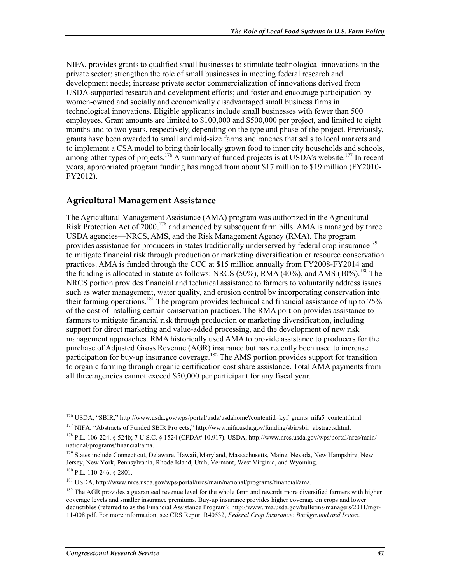NIFA, provides grants to qualified small businesses to stimulate technological innovations in the private sector; strengthen the role of small businesses in meeting federal research and development needs; increase private sector commercialization of innovations derived from USDA-supported research and development efforts; and foster and encourage participation by women-owned and socially and economically disadvantaged small business firms in technological innovations. Eligible applicants include small businesses with fewer than 500 employees. Grant amounts are limited to \$100,000 and \$500,000 per project, and limited to eight months and to two years, respectively, depending on the type and phase of the project. Previously, grants have been awarded to small and mid-size farms and ranches that sells to local markets and to implement a CSA model to bring their locally grown food to inner city households and schools, among other types of projects.<sup>176</sup> A summary of funded projects is at USDA's website.<sup>177</sup> In recent years, appropriated program funding has ranged from about \$17 million to \$19 million (FY2010- FY2012).

### **Agricultural Management Assistance**

The Agricultural Management Assistance (AMA) program was authorized in the Agricultural Risk Protection Act of  $2000$ ,<sup>178</sup> and amended by subsequent farm bills. AMA is managed by three USDA agencies—NRCS, AMS, and the Risk Management Agency (RMA). The program provides assistance for producers in states traditionally underserved by federal crop insurance<sup>179</sup> to mitigate financial risk through production or marketing diversification or resource conservation practices. AMA is funded through the CCC at \$15 million annually from FY2008-FY2014 and the funding is allocated in statute as follows: NRCS (50%), RMA (40%), and AMS (10%).<sup>180</sup> The NRCS portion provides financial and technical assistance to farmers to voluntarily address issues such as water management, water quality, and erosion control by incorporating conservation into their farming operations.<sup>181</sup> The program provides technical and financial assistance of up to  $75%$ of the cost of installing certain conservation practices. The RMA portion provides assistance to farmers to mitigate financial risk through production or marketing diversification, including support for direct marketing and value-added processing, and the development of new risk management approaches. RMA historically used AMA to provide assistance to producers for the purchase of Adjusted Gross Revenue (AGR) insurance but has recently been used to increase participation for buy-up insurance coverage.<sup>182</sup> The AMS portion provides support for transition to organic farming through organic certification cost share assistance. Total AMA payments from all three agencies cannot exceed \$50,000 per participant for any fiscal year.

<sup>&</sup>lt;sup>176</sup> USDA, "SBIR," http://www.usda.gov/wps/portal/usda/usdahome?contentid=kyf\_grants\_nifa5\_content.html. <sup>177</sup> NIFA, "Abstracts of Funded SBIR Projects," http://www.nifa.usda.gov/funding/sbir/sbir\_abstracts.html.

<sup>178</sup> P.L. 106-224, § 524b; 7 U.S.C. § 1524 (CFDA# 10.917). USDA, http://www.nrcs.usda.gov/wps/portal/nrcs/main/ national/programs/financial/ama.

<sup>&</sup>lt;sup>179</sup> States include Connecticut, Delaware, Hawaii, Maryland, Massachusetts, Maine, Nevada, New Hampshire, New Jersey, New York, Pennsylvania, Rhode Island, Utah, Vermont, West Virginia, and Wyoming.

<sup>180</sup> P.L. 110-246, § 2801.

<sup>181</sup> USDA, http://www.nrcs.usda.gov/wps/portal/nrcs/main/national/programs/financial/ama.

<sup>&</sup>lt;sup>182</sup> The AGR provides a guaranteed revenue level for the whole farm and rewards more diversified farmers with higher coverage levels and smaller insurance premiums. Buy-up insurance provides higher coverage on crops and lower deductibles (referred to as the Financial Assistance Program); http://www.rma.usda.gov/bulletins/managers/2011/mgr-11-008.pdf. For more information, see CRS Report R40532, *Federal Crop Insurance: Background and Issues*.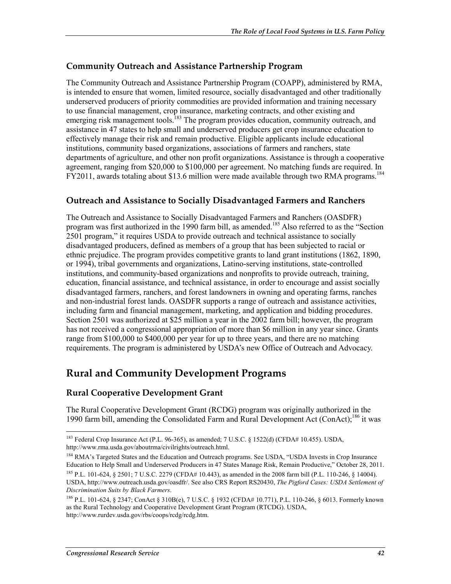### **Community Outreach and Assistance Partnership Program**

The Community Outreach and Assistance Partnership Program (COAPP), administered by RMA, is intended to ensure that women, limited resource, socially disadvantaged and other traditionally underserved producers of priority commodities are provided information and training necessary to use financial management, crop insurance, marketing contracts, and other existing and emerging risk management tools.<sup>183</sup> The program provides education, community outreach, and assistance in 47 states to help small and underserved producers get crop insurance education to effectively manage their risk and remain productive. Eligible applicants include educational institutions, community based organizations, associations of farmers and ranchers, state departments of agriculture, and other non profit organizations. Assistance is through a cooperative agreement, ranging from \$20,000 to \$100,000 per agreement. No matching funds are required. In FY2011, awards totaling about \$13.6 million were made available through two RMA programs.<sup>184</sup>

### **Outreach and Assistance to Socially Disadvantaged Farmers and Ranchers**

The Outreach and Assistance to Socially Disadvantaged Farmers and Ranchers (OASDFR) program was first authorized in the 1990 farm bill, as amended.<sup>185</sup> Also referred to as the "Section" 2501 program," it requires USDA to provide outreach and technical assistance to socially disadvantaged producers, defined as members of a group that has been subjected to racial or ethnic prejudice. The program provides competitive grants to land grant institutions (1862, 1890, or 1994), tribal governments and organizations, Latino-serving institutions, state-controlled institutions, and community-based organizations and nonprofits to provide outreach, training, education, financial assistance, and technical assistance, in order to encourage and assist socially disadvantaged farmers, ranchers, and forest landowners in owning and operating farms, ranches and non-industrial forest lands. OASDFR supports a range of outreach and assistance activities, including farm and financial management, marketing, and application and bidding procedures. Section 2501 was authorized at \$25 million a year in the 2002 farm bill; however, the program has not received a congressional appropriation of more than \$6 million in any year since. Grants range from \$100,000 to \$400,000 per year for up to three years, and there are no matching requirements. The program is administered by USDA's new Office of Outreach and Advocacy.

### **Rural and Community Development Programs**

### **Rural Cooperative Development Grant**

The Rural Cooperative Development Grant (RCDG) program was originally authorized in the 1990 farm bill, amending the Consolidated Farm and Rural Development Act (ConAct);<sup>186</sup> it was

<sup>183</sup> Federal Crop Insurance Act (P.L. 96-365), as amended; 7 U.S.C. § 1522(d) (CFDA# 10.455). USDA, http://www.rma.usda.gov/aboutrma/civilrights/outreach.html.

<sup>&</sup>lt;sup>184</sup> RMA's Targeted States and the Education and Outreach programs. See USDA, "USDA Invests in Crop Insurance Education to Help Small and Underserved Producers in 47 States Manage Risk, Remain Productive," October 28, 2011.

<sup>&</sup>lt;sup>185</sup> P.L. 101-624, § 2501; 7 U.S.C. 2279 (CFDA# 10.443), as amended in the 2008 farm bill (P.L. 110-246, § 14004). USDA, http://www.outreach.usda.gov/oasdfr/. See also CRS Report RS20430, *The Pigford Cases: USDA Settlement of Discrimination Suits by Black Farmers*.

<sup>186</sup> P.L. 101-624, § 2347; ConAct § 310B(e), 7 U.S.C. § 1932 (CFDA# 10.771), P.L. 110-246, § 6013. Formerly known as the Rural Technology and Cooperative Development Grant Program (RTCDG). USDA, http://www.rurdev.usda.gov/rbs/coops/rcdg/rcdg.htm.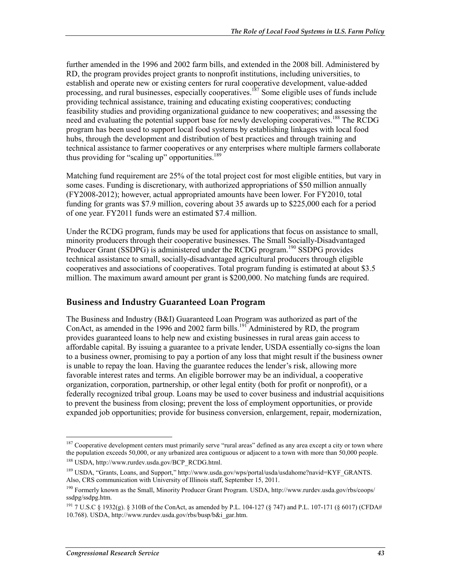further amended in the 1996 and 2002 farm bills, and extended in the 2008 bill. Administered by RD, the program provides project grants to nonprofit institutions, including universities, to establish and operate new or existing centers for rural cooperative development, value-added processing, and rural businesses, especially cooperatives.<sup>187</sup> Some eligible uses of funds include providing technical assistance, training and educating existing cooperatives; conducting feasibility studies and providing organizational guidance to new cooperatives; and assessing the need and evaluating the potential support base for newly developing cooperatives.<sup>188</sup> The RCDG program has been used to support local food systems by establishing linkages with local food hubs, through the development and distribution of best practices and through training and technical assistance to farmer cooperatives or any enterprises where multiple farmers collaborate thus providing for "scaling up" opportunities. $189$ 

Matching fund requirement are 25% of the total project cost for most eligible entities, but vary in some cases. Funding is discretionary, with authorized appropriations of \$50 million annually (FY2008-2012); however, actual appropriated amounts have been lower. For FY2010, total funding for grants was \$7.9 million, covering about 35 awards up to \$225,000 each for a period of one year. FY2011 funds were an estimated \$7.4 million.

Under the RCDG program, funds may be used for applications that focus on assistance to small, minority producers through their cooperative businesses. The Small Socially-Disadvantaged Producer Grant (SSDPG) is administered under the RCDG program.<sup>190</sup> SSDPG provides technical assistance to small, socially-disadvantaged agricultural producers through eligible cooperatives and associations of cooperatives. Total program funding is estimated at about \$3.5 million. The maximum award amount per grant is \$200,000. No matching funds are required.

#### **Business and Industry Guaranteed Loan Program**

The Business and Industry (B&I) Guaranteed Loan Program was authorized as part of the ConAct, as amended in the 1996 and 2002 farm bills.<sup>191</sup> Administered by RD, the program provides guaranteed loans to help new and existing businesses in rural areas gain access to affordable capital. By issuing a guarantee to a private lender, USDA essentially co-signs the loan to a business owner, promising to pay a portion of any loss that might result if the business owner is unable to repay the loan. Having the guarantee reduces the lender's risk, allowing more favorable interest rates and terms. An eligible borrower may be an individual, a cooperative organization, corporation, partnership, or other legal entity (both for profit or nonprofit), or a federally recognized tribal group. Loans may be used to cover business and industrial acquisitions to prevent the business from closing; prevent the loss of employment opportunities, or provide expanded job opportunities; provide for business conversion, enlargement, repair, modernization,

<sup>&</sup>lt;sup>187</sup> Cooperative development centers must primarily serve "rural areas" defined as any area except a city or town where the population exceeds 50,000, or any urbanized area contiguous or adjacent to a town with more than 50,000 people. 188 USDA, http://www.rurdev.usda.gov/BCP\_RCDG.html.

<sup>189</sup> USDA, "Grants, Loans, and Support," http://www.usda.gov/wps/portal/usda/usdahome?navid=KYF\_GRANTS. Also, CRS communication with University of Illinois staff, September 15, 2011.

<sup>190</sup> Formerly known as the Small, Minority Producer Grant Program. USDA, http://www.rurdev.usda.gov/rbs/coops/ ssdpg/ssdpg.htm.

<sup>&</sup>lt;sup>191</sup> 7 U.S.C § 1932(g). § 310B of the ConAct, as amended by P.L. 104-127 (§ 747) and P.L. 107-171 (§ 6017) (CFDA# 10.768). USDA, http://www.rurdev.usda.gov/rbs/busp/b&i\_gar.htm.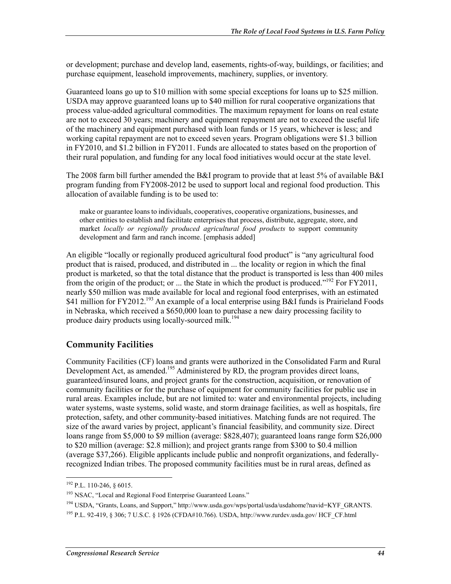or development; purchase and develop land, easements, rights-of-way, buildings, or facilities; and purchase equipment, leasehold improvements, machinery, supplies, or inventory.

Guaranteed loans go up to \$10 million with some special exceptions for loans up to \$25 million. USDA may approve guaranteed loans up to \$40 million for rural cooperative organizations that process value-added agricultural commodities. The maximum repayment for loans on real estate are not to exceed 30 years; machinery and equipment repayment are not to exceed the useful life of the machinery and equipment purchased with loan funds or 15 years, whichever is less; and working capital repayment are not to exceed seven years. Program obligations were \$1.3 billion in FY2010, and \$1.2 billion in FY2011. Funds are allocated to states based on the proportion of their rural population, and funding for any local food initiatives would occur at the state level.

The 2008 farm bill further amended the B&I program to provide that at least 5% of available B&I program funding from FY2008-2012 be used to support local and regional food production. This allocation of available funding is to be used to:

make or guarantee loans to individuals, cooperatives, cooperative organizations, businesses, and other entities to establish and facilitate enterprises that process, distribute, aggregate, store, and market *locally or regionally produced agricultural food products* to support community development and farm and ranch income. [emphasis added]

An eligible "locally or regionally produced agricultural food product" is "any agricultural food product that is raised, produced, and distributed in ... the locality or region in which the final product is marketed, so that the total distance that the product is transported is less than 400 miles from the origin of the product; or ... the State in which the product is produced."<sup>192</sup> For FY2011, nearly \$50 million was made available for local and regional food enterprises, with an estimated \$41 million for FY2012.<sup>193</sup> An example of a local enterprise using B&I funds is Prairieland Foods in Nebraska, which received a \$650,000 loan to purchase a new dairy processing facility to produce dairy products using locally-sourced milk.<sup>194</sup>

### **Community Facilities**

Community Facilities (CF) loans and grants were authorized in the Consolidated Farm and Rural Development Act, as amended.<sup>195</sup> Administered by RD, the program provides direct loans, guaranteed/insured loans, and project grants for the construction, acquisition, or renovation of community facilities or for the purchase of equipment for community facilities for public use in rural areas. Examples include, but are not limited to: water and environmental projects, including water systems, waste systems, solid waste, and storm drainage facilities, as well as hospitals, fire protection, safety, and other community-based initiatives. Matching funds are not required. The size of the award varies by project, applicant's financial feasibility, and community size. Direct loans range from \$5,000 to \$9 million (average: \$828,407); guaranteed loans range form \$26,000 to \$20 million (average: \$2.8 million); and project grants range from \$300 to \$0.4 million (average \$37,266). Eligible applicants include public and nonprofit organizations, and federallyrecognized Indian tribes. The proposed community facilities must be in rural areas, defined as

 $192$  P.L. 110-246, § 6015.

<sup>&</sup>lt;sup>193</sup> NSAC, "Local and Regional Food Enterprise Guaranteed Loans."

<sup>&</sup>lt;sup>194</sup> USDA, "Grants, Loans, and Support," http://www.usda.gov/wps/portal/usda/usdahome?navid=KYF\_GRANTS.

<sup>195</sup> P.L. 92-419, § 306; 7 U.S.C. § 1926 (CFDA#10.766). USDA, http://www.rurdev.usda.gov/ HCF\_CF.html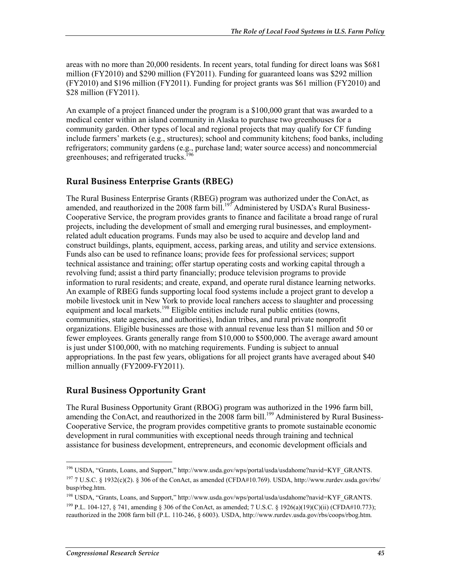areas with no more than 20,000 residents. In recent years, total funding for direct loans was \$681 million (FY2010) and \$290 million (FY2011). Funding for guaranteed loans was \$292 million (FY2010) and \$196 million (FY2011). Funding for project grants was \$61 million (FY2010) and \$28 million (FY2011).

An example of a project financed under the program is a \$100,000 grant that was awarded to a medical center within an island community in Alaska to purchase two greenhouses for a community garden. Other types of local and regional projects that may qualify for CF funding include farmers' markets (e.g., structures); school and community kitchens; food banks, including refrigerators; community gardens (e.g., purchase land; water source access) and noncommercial greenhouses; and refrigerated trucks.<sup>1</sup>

### **Rural Business Enterprise Grants (RBEG)**

The Rural Business Enterprise Grants (RBEG) program was authorized under the ConAct, as amended, and reauthorized in the 2008 farm bill.<sup>197</sup> Administered by USDA's Rural Business-Cooperative Service, the program provides grants to finance and facilitate a broad range of rural projects, including the development of small and emerging rural businesses, and employmentrelated adult education programs. Funds may also be used to acquire and develop land and construct buildings, plants, equipment, access, parking areas, and utility and service extensions. Funds also can be used to refinance loans; provide fees for professional services; support technical assistance and training; offer startup operating costs and working capital through a revolving fund; assist a third party financially; produce television programs to provide information to rural residents; and create, expand, and operate rural distance learning networks. An example of RBEG funds supporting local food systems include a project grant to develop a mobile livestock unit in New York to provide local ranchers access to slaughter and processing equipment and local markets.<sup>198</sup> Eligible entities include rural public entities (towns, communities, state agencies, and authorities), Indian tribes, and rural private nonprofit organizations. Eligible businesses are those with annual revenue less than \$1 million and 50 or fewer employees. Grants generally range from \$10,000 to \$500,000. The average award amount is just under \$100,000, with no matching requirements. Funding is subject to annual appropriations. In the past few years, obligations for all project grants have averaged about \$40 million annually (FY2009-FY2011).

### **Rural Business Opportunity Grant**

The Rural Business Opportunity Grant (RBOG) program was authorized in the 1996 farm bill, amending the ConAct, and reauthorized in the 2008 farm bill.<sup>199</sup> Administered by Rural Business-Cooperative Service, the program provides competitive grants to promote sustainable economic development in rural communities with exceptional needs through training and technical assistance for business development, entrepreneurs, and economic development officials and

<sup>196</sup> USDA, "Grants, Loans, and Support," http://www.usda.gov/wps/portal/usda/usdahome?navid=KYF\_GRANTS.

<sup>197 7</sup> U.S.C. § 1932(c)(2). § 306 of the ConAct, as amended (CFDA#10.769). USDA, http://www.rurdev.usda.gov/rbs/ busp/rbeg.htm.

<sup>198</sup> USDA, "Grants, Loans, and Support," http://www.usda.gov/wps/portal/usda/usdahome?navid=KYF\_GRANTS. <sup>199</sup> P.L. 104-127, § 741, amending § 306 of the ConAct, as amended; 7 U.S.C. § 1926(a)(19)(C)(ii) (CFDA#10.773); reauthorized in the 2008 farm bill (P.L. 110-246, § 6003). USDA, http://www.rurdev.usda.gov/rbs/coops/rbog.htm.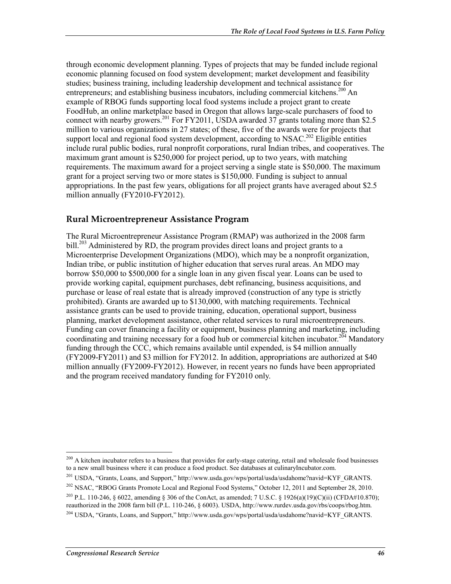through economic development planning. Types of projects that may be funded include regional economic planning focused on food system development; market development and feasibility studies; business training, including leadership development and technical assistance for entrepreneurs; and establishing business incubators, including commercial kitchens.<sup>200</sup> An example of RBOG funds supporting local food systems include a project grant to create FoodHub, an online marketplace based in Oregon that allows large-scale purchasers of food to connect with nearby growers.<sup>201</sup> For FY2011, USDA awarded 37 grants totaling more than \$2.5 million to various organizations in 27 states; of these, five of the awards were for projects that support local and regional food system development, according to NSAC.<sup>202</sup> Eligible entities include rural public bodies, rural nonprofit corporations, rural Indian tribes, and cooperatives. The maximum grant amount is \$250,000 for project period, up to two years, with matching requirements. The maximum award for a project serving a single state is \$50,000. The maximum grant for a project serving two or more states is \$150,000. Funding is subject to annual appropriations. In the past few years, obligations for all project grants have averaged about \$2.5 million annually (FY2010-FY2012).

#### **Rural Microentrepreneur Assistance Program**

The Rural Microentrepreneur Assistance Program (RMAP) was authorized in the 2008 farm bill.<sup>203</sup> Administered by RD, the program provides direct loans and project grants to a Microenterprise Development Organizations (MDO), which may be a nonprofit organization, Indian tribe, or public institution of higher education that serves rural areas. An MDO may borrow \$50,000 to \$500,000 for a single loan in any given fiscal year. Loans can be used to provide working capital, equipment purchases, debt refinancing, business acquisitions, and purchase or lease of real estate that is already improved (construction of any type is strictly prohibited). Grants are awarded up to \$130,000, with matching requirements. Technical assistance grants can be used to provide training, education, operational support, business planning, market development assistance, other related services to rural microentrepreneurs. Funding can cover financing a facility or equipment, business planning and marketing, including coordinating and training necessary for a food hub or commercial kitchen incubator.<sup>204</sup> Mandatory funding through the CCC, which remains available until expended, is \$4 million annually (FY2009-FY2011) and \$3 million for FY2012. In addition, appropriations are authorized at \$40 million annually (FY2009-FY2012). However, in recent years no funds have been appropriated and the program received mandatory funding for FY2010 only.

 $^{200}$  A kitchen incubator refers to a business that provides for early-stage catering, retail and wholesale food businesses to a new small business where it can produce a food product. See databases at culinaryIncubator.com.

<sup>&</sup>lt;sup>201</sup> USDA, "Grants, Loans, and Support," http://www.usda.gov/wps/portal/usda/usdahome?navid=KYF\_GRANTS.

<sup>&</sup>lt;sup>202</sup> NSAC, "RBOG Grants Promote Local and Regional Food Systems," October 12, 2011 and September 28, 2010.

<sup>&</sup>lt;sup>203</sup> P.L. 110-246, § 6022, amending § 306 of the ConAct, as amended; 7 U.S.C. § 1926(a)(19)(C)(ii) (CFDA#10.870); reauthorized in the 2008 farm bill (P.L. 110-246, § 6003). USDA, http://www.rurdev.usda.gov/rbs/coops/rbog.htm.

<sup>&</sup>lt;sup>204</sup> USDA, "Grants, Loans, and Support," http://www.usda.gov/wps/portal/usda/usdahome?navid=KYF\_GRANTS.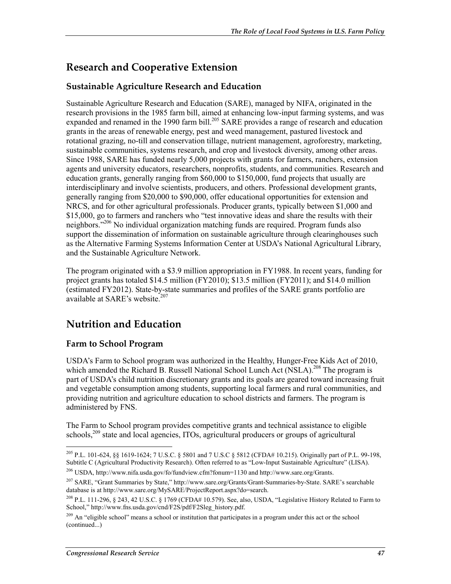### **Research and Cooperative Extension**

### **Sustainable Agriculture Research and Education**

Sustainable Agriculture Research and Education (SARE), managed by NIFA, originated in the research provisions in the 1985 farm bill, aimed at enhancing low-input farming systems, and was expanded and renamed in the 1990 farm bill.<sup>205</sup> SARE provides a range of research and education grants in the areas of renewable energy, pest and weed management, pastured livestock and rotational grazing, no-till and conservation tillage, nutrient management, agroforestry, marketing, sustainable communities, systems research, and crop and livestock diversity, among other areas. Since 1988, SARE has funded nearly 5,000 projects with grants for farmers, ranchers, extension agents and university educators, researchers, nonprofits, students, and communities. Research and education grants, generally ranging from \$60,000 to \$150,000, fund projects that usually are interdisciplinary and involve scientists, producers, and others. Professional development grants, generally ranging from \$20,000 to \$90,000, offer educational opportunities for extension and NRCS, and for other agricultural professionals. Producer grants, typically between \$1,000 and \$15,000, go to farmers and ranchers who "test innovative ideas and share the results with their neighbors."<sup>206</sup> No individual organization matching funds are required. Program funds also support the dissemination of information on sustainable agriculture through clearinghouses such as the Alternative Farming Systems Information Center at USDA's National Agricultural Library, and the Sustainable Agriculture Network.

The program originated with a \$3.9 million appropriation in FY1988. In recent years, funding for project grants has totaled \$14.5 million (FY2010); \$13.5 million (FY2011); and \$14.0 million (estimated FY2012). State-by-state summaries and profiles of the SARE grants portfolio are available at SARE's website. $207$ 

### **Nutrition and Education**

### **Farm to School Program**

USDA's Farm to School program was authorized in the Healthy, Hunger-Free Kids Act of 2010, which amended the Richard B. Russell National School Lunch Act (NSLA).<sup>208</sup> The program is part of USDA's child nutrition discretionary grants and its goals are geared toward increasing fruit and vegetable consumption among students, supporting local farmers and rural communities, and providing nutrition and agriculture education to school districts and farmers. The program is administered by FNS.

The Farm to School program provides competitive grants and technical assistance to eligible schools,<sup>209</sup> state and local agencies, ITOs, agricultural producers or groups of agricultural

<sup>205</sup> P.L. 101-624, §§ 1619-1624; 7 U.S.C. § 5801 and 7 U.S.C § 5812 (CFDA# 10.215). Originally part of P.L. 99-198, Subtitle C (Agricultural Productivity Research). Often referred to as "Low-Input Sustainable Agriculture" (LISA).

<sup>206</sup> USDA, http://www.nifa.usda.gov/fo/fundview.cfm?fonum=1130 and http://www.sare.org/Grants.

<sup>207</sup> SARE, "Grant Summaries by State," http://www.sare.org/Grants/Grant-Summaries-by-State. SARE's searchable database is at http://www.sare.org/MySARE/ProjectReport.aspx?do=search.

<sup>&</sup>lt;sup>208</sup> P.L. 111-296, § 243, 42 U.S.C. § 1769 (CFDA# 10.579). See, also, USDA, "Legislative History Related to Farm to School," http://www.fns.usda.gov/cnd/F2S/pdf/F2Sleg\_history.pdf.

 $^{209}$  An "eligible school" means a school or institution that participates in a program under this act or the school (continued...)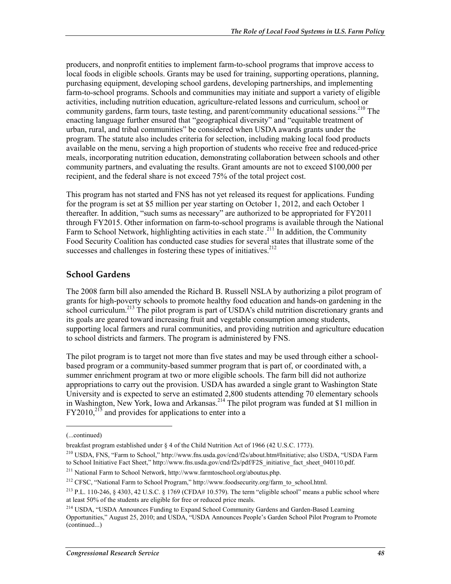producers, and nonprofit entities to implement farm-to-school programs that improve access to local foods in eligible schools. Grants may be used for training, supporting operations, planning, purchasing equipment, developing school gardens, developing partnerships, and implementing farm-to-school programs. Schools and communities may initiate and support a variety of eligible activities, including nutrition education, agriculture-related lessons and curriculum, school or community gardens, farm tours, taste testing, and parent/community educational sessions.<sup>210</sup> The enacting language further ensured that "geographical diversity" and "equitable treatment of urban, rural, and tribal communities" be considered when USDA awards grants under the program. The statute also includes criteria for selection, including making local food products available on the menu, serving a high proportion of students who receive free and reduced-price meals, incorporating nutrition education, demonstrating collaboration between schools and other community partners, and evaluating the results. Grant amounts are not to exceed \$100,000 per recipient, and the federal share is not exceed 75% of the total project cost.

This program has not started and FNS has not yet released its request for applications. Funding for the program is set at \$5 million per year starting on October 1, 2012, and each October 1 thereafter. In addition, "such sums as necessary" are authorized to be appropriated for FY2011 through FY2015. Other information on farm-to-school programs is available through the National Farm to School Network, highlighting activities in each state.<sup>211</sup> In addition, the Community Food Security Coalition has conducted case studies for several states that illustrate some of the successes and challenges in fostering these types of initiatives. $2^{12}$ 

#### **School Gardens**

The 2008 farm bill also amended the Richard B. Russell NSLA by authorizing a pilot program of grants for high-poverty schools to promote healthy food education and hands-on gardening in the school curriculum.<sup>213</sup> The pilot program is part of USDA's child nutrition discretionary grants and its goals are geared toward increasing fruit and vegetable consumption among students, supporting local farmers and rural communities, and providing nutrition and agriculture education to school districts and farmers. The program is administered by FNS.

The pilot program is to target not more than five states and may be used through either a schoolbased program or a community-based summer program that is part of, or coordinated with, a summer enrichment program at two or more eligible schools. The farm bill did not authorize appropriations to carry out the provision. USDA has awarded a single grant to Washington State University and is expected to serve an estimated 2,800 students attending 70 elementary schools in Washington, New York, Iowa and Arkansas.<sup>214</sup> The pilot program was funded at \$1 million in  $FY2010<sup>215</sup>$  and provides for applications to enter into a

<sup>(...</sup>continued)

breakfast program established under § 4 of the Child Nutrition Act of 1966 (42 U.S.C. 1773).

<sup>210</sup> USDA, FNS, "Farm to School," http://www.fns.usda.gov/cnd/f2s/about.htm#Initiative; also USDA, "USDA Farm to School Initiative Fact Sheet," http://www.fns.usda.gov/cnd/f2s/pdf/F2S\_initiative\_fact\_sheet\_040110.pdf.

<sup>211</sup> National Farm to School Network, http://www.farmtoschool.org/aboutus.php.

<sup>&</sup>lt;sup>212</sup> CFSC, "National Farm to School Program," http://www.foodsecurity.org/farm\_to\_school.html.

<sup>&</sup>lt;sup>213</sup> P.L. 110-246, § 4303, 42 U.S.C. § 1769 (CFDA# 10.579). The term "eligible school" means a public school where at least 50% of the students are eligible for free or reduced price meals.

<sup>&</sup>lt;sup>214</sup> USDA, "USDA Announces Funding to Expand School Community Gardens and Garden-Based Learning Opportunities," August 25, 2010; and USDA, "USDA Announces People's Garden School Pilot Program to Promote (continued...)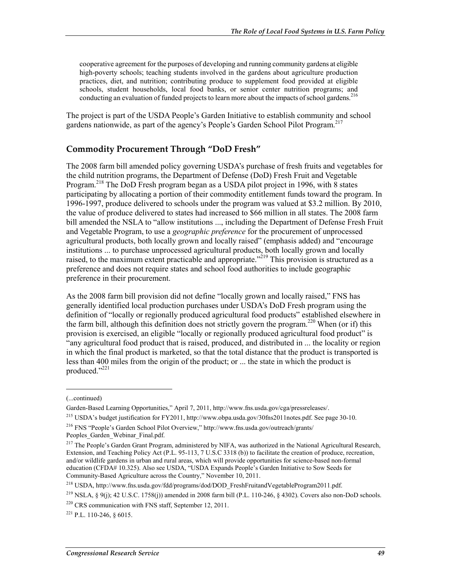cooperative agreement for the purposes of developing and running community gardens at eligible high-poverty schools; teaching students involved in the gardens about agriculture production practices, diet, and nutrition; contributing produce to supplement food provided at eligible schools, student households, local food banks, or senior center nutrition programs; and conducting an evaluation of funded projects to learn more about the impacts of school gardens.<sup>216</sup>

The project is part of the USDA People's Garden Initiative to establish community and school gardens nationwide, as part of the agency's People's Garden School Pilot Program.217

#### **Commodity Procurement Through "DoD Fresh"**

The 2008 farm bill amended policy governing USDA's purchase of fresh fruits and vegetables for the child nutrition programs, the Department of Defense (DoD) Fresh Fruit and Vegetable Program.<sup>218</sup> The DoD Fresh program began as a USDA pilot project in 1996, with 8 states participating by allocating a portion of their commodity entitlement funds toward the program. In 1996-1997, produce delivered to schools under the program was valued at \$3.2 million. By 2010, the value of produce delivered to states had increased to \$66 million in all states. The 2008 farm bill amended the NSLA to "allow institutions ..., including the Department of Defense Fresh Fruit and Vegetable Program, to use a *geographic preference* for the procurement of unprocessed agricultural products, both locally grown and locally raised" (emphasis added) and "encourage institutions ... to purchase unprocessed agricultural products, both locally grown and locally raised, to the maximum extent practicable and appropriate.<sup>2219</sup> This provision is structured as a preference and does not require states and school food authorities to include geographic preference in their procurement.

As the 2008 farm bill provision did not define "locally grown and locally raised," FNS has generally identified local production purchases under USDA's DoD Fresh program using the definition of "locally or regionally produced agricultural food products" established elsewhere in the farm bill, although this definition does not strictly govern the program.220 When (or if) this provision is exercised, an eligible "locally or regionally produced agricultural food product" is "any agricultural food product that is raised, produced, and distributed in ... the locality or region in which the final product is marketed, so that the total distance that the product is transported is less than 400 miles from the origin of the product; or ... the state in which the product is produced."<sup>221</sup>

 $\overline{\phantom{a}}$ 

<sup>(...</sup>continued)

Garden-Based Learning Opportunities," April 7, 2011, http://www.fns.usda.gov/cga/pressreleases/.

<sup>215</sup> USDA's budget justification for FY2011, http://www.obpa.usda.gov/30fns2011notes.pdf. See page 30-10.

<sup>216</sup> FNS "People's Garden School Pilot Overview," http://www.fns.usda.gov/outreach/grants/ Peoples Garden Webinar Final.pdf.

<sup>&</sup>lt;sup>217</sup> The People's Garden Grant Program, administered by NIFA, was authorized in the National Agricultural Research, Extension, and Teaching Policy Act (P.L. 95-113, 7 U.S.C 3318 (b)) to facilitate the creation of produce, recreation, and/or wildlife gardens in urban and rural areas, which will provide opportunities for science-based non-formal education (CFDA# 10.325). Also see USDA, "USDA Expands People's Garden Initiative to Sow Seeds for Community-Based Agriculture across the Country," November 10, 2011.

<sup>&</sup>lt;sup>218</sup> USDA, http://www.fns.usda.gov/fdd/programs/dod/DOD\_FreshFruitandVegetableProgram2011.pdf.

<sup>219</sup> NSLA, § 9(j); 42 U.S.C. 1758(j)) amended in 2008 farm bill (P.L. 110-246, § 4302). Covers also non-DoD schools.  $220$  CRS communication with FNS staff, September 12, 2011.

 $^{221}$  P.L. 110-246, 8 6015.